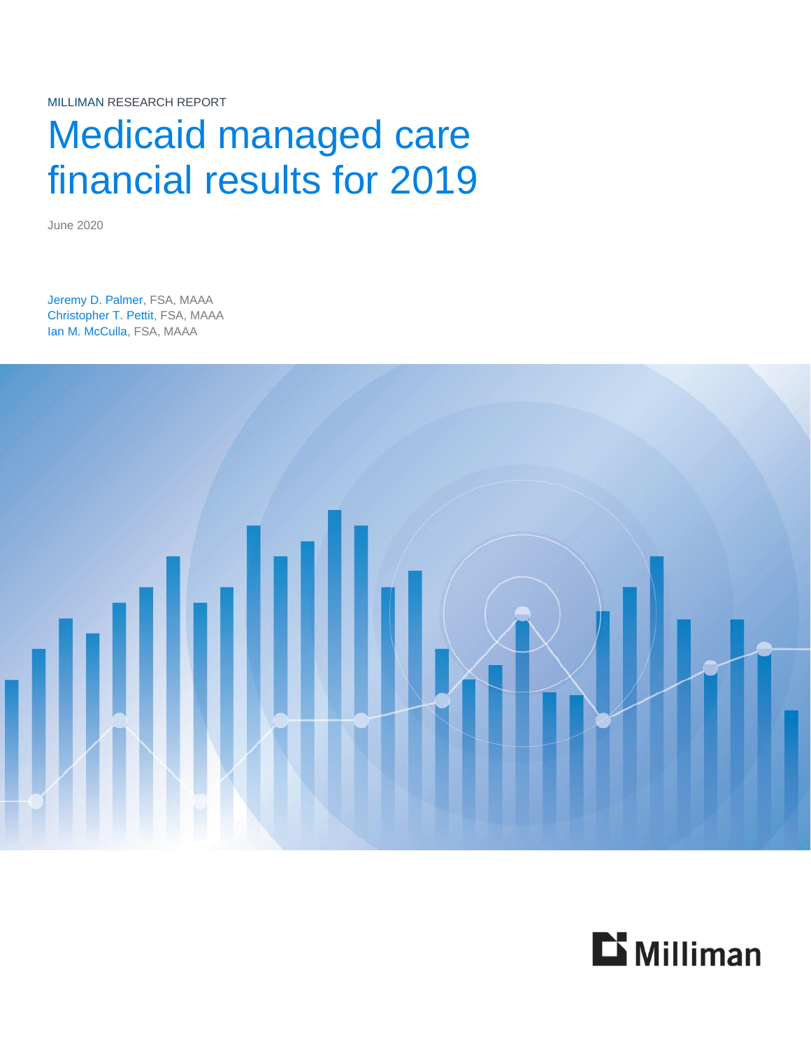MILLIMAN RESEARCH REPORT

# Medicaid managed care financial results for 2019

June 2020

Jeremy D. Palmer, FSA, MAAA Christopher T. Pettit, FSA, MAAA Ian M. McCulla, FSA, MAAA



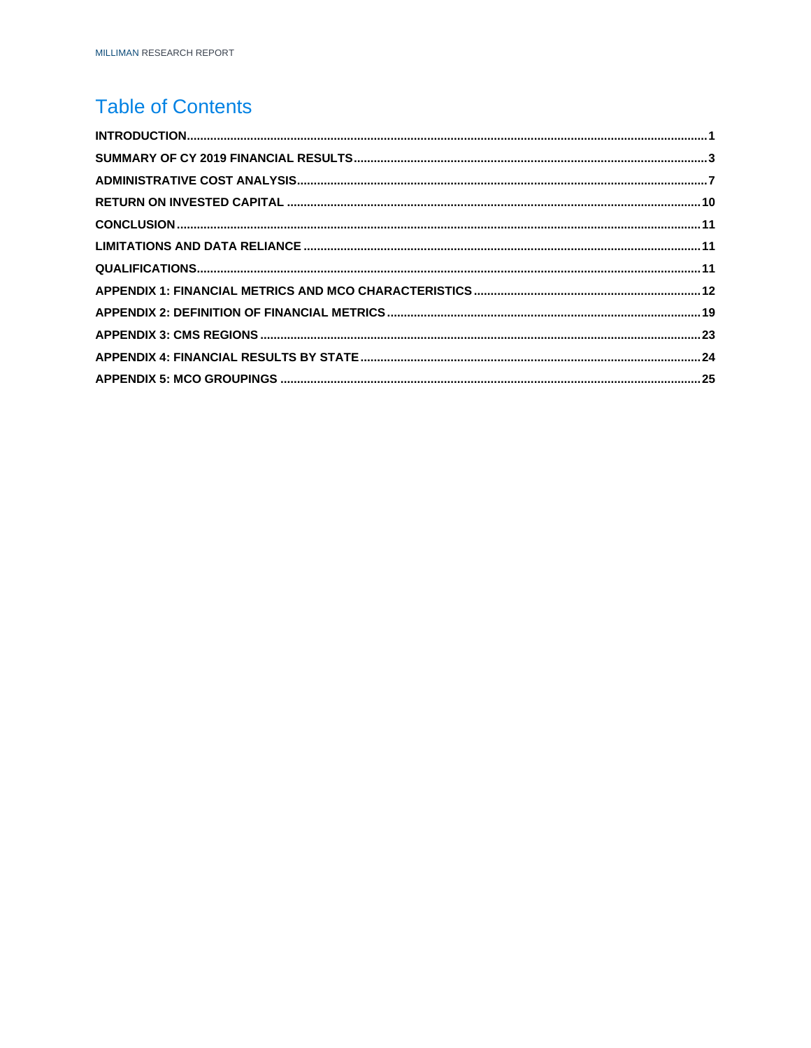### **Table of Contents**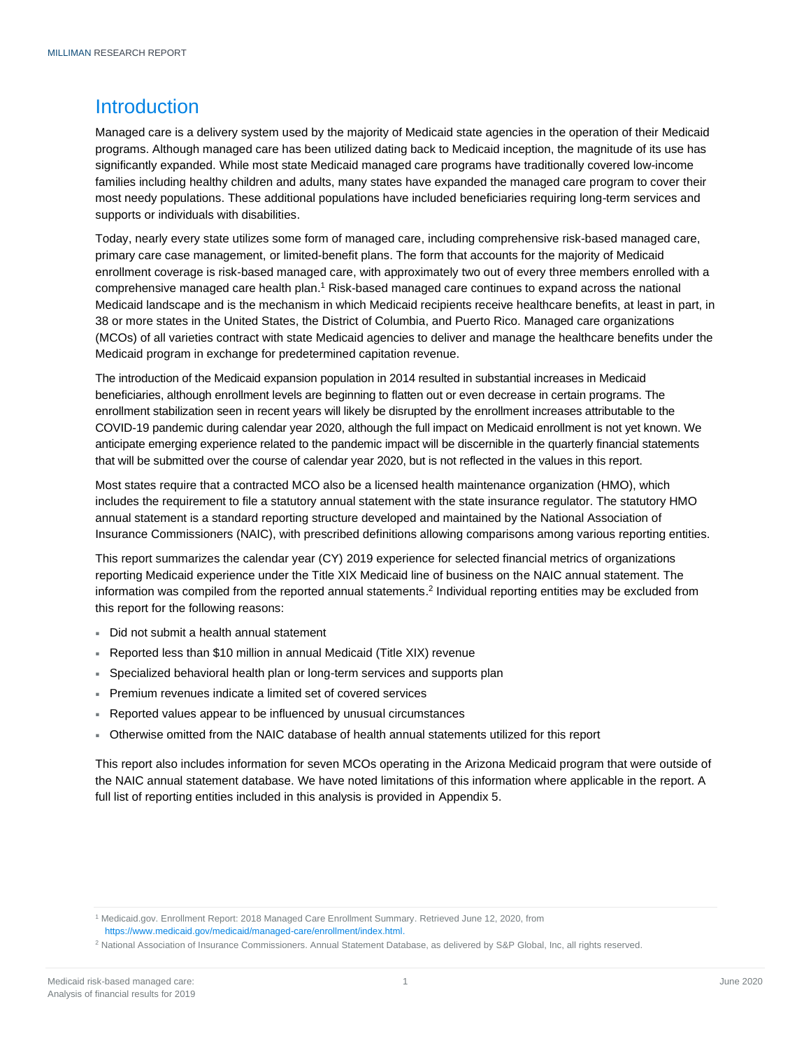### <span id="page-2-0"></span>**Introduction**

Managed care is a delivery system used by the majority of Medicaid state agencies in the operation of their Medicaid programs. Although managed care has been utilized dating back to Medicaid inception, the magnitude of its use has significantly expanded. While most state Medicaid managed care programs have traditionally covered low-income families including healthy children and adults, many states have expanded the managed care program to cover their most needy populations. These additional populations have included beneficiaries requiring long-term services and supports or individuals with disabilities.

Today, nearly every state utilizes some form of managed care, including comprehensive risk-based managed care, primary care case management, or limited-benefit plans. The form that accounts for the majority of Medicaid enrollment coverage is risk-based managed care, with approximately two out of every three members enrolled with a comprehensive managed care health plan.<sup>1</sup> Risk-based managed care continues to expand across the national Medicaid landscape and is the mechanism in which Medicaid recipients receive healthcare benefits, at least in part, in 38 or more states in the United States, the District of Columbia, and Puerto Rico. Managed care organizations (MCOs) of all varieties contract with state Medicaid agencies to deliver and manage the healthcare benefits under the Medicaid program in exchange for predetermined capitation revenue.

The introduction of the Medicaid expansion population in 2014 resulted in substantial increases in Medicaid beneficiaries, although enrollment levels are beginning to flatten out or even decrease in certain programs. The enrollment stabilization seen in recent years will likely be disrupted by the enrollment increases attributable to the COVID-19 pandemic during calendar year 2020, although the full impact on Medicaid enrollment is not yet known. We anticipate emerging experience related to the pandemic impact will be discernible in the quarterly financial statements that will be submitted over the course of calendar year 2020, but is not reflected in the values in this report.

Most states require that a contracted MCO also be a licensed health maintenance organization (HMO), which includes the requirement to file a statutory annual statement with the state insurance regulator. The statutory HMO annual statement is a standard reporting structure developed and maintained by the National Association of Insurance Commissioners (NAIC), with prescribed definitions allowing comparisons among various reporting entities.

This report summarizes the calendar year (CY) 2019 experience for selected financial metrics of organizations reporting Medicaid experience under the Title XIX Medicaid line of business on the NAIC annual statement. The information was compiled from the reported annual statements.<sup>2</sup> Individual reporting entities may be excluded from this report for the following reasons:

- Did not submit a health annual statement
- Reported less than \$10 million in annual Medicaid (Title XIX) revenue
- Specialized behavioral health plan or long-term services and supports plan
- Premium revenues indicate a limited set of covered services
- Reported values appear to be influenced by unusual circumstances
- Otherwise omitted from the NAIC database of health annual statements utilized for this report

This report also includes information for seven MCOs operating in the Arizona Medicaid program that were outside of the NAIC annual statement database. We have noted limitations of this information where applicable in the report. A full list of reporting entities included in this analysis is provided in Appendix 5.

<sup>1</sup> Medicaid.gov. Enrollment Report: 2018 Managed Care Enrollment Summary. Retrieved June 12, 2020, from [https://www.medicaid.gov/medicaid/managed-care/enrollment/index.html.](https://www.medicaid.gov/medicaid/managed-care/enrollment/index.html)

<sup>&</sup>lt;sup>2</sup> National Association of Insurance Commissioners. Annual Statement Database, as delivered by S&P Global, Inc, all rights reserved.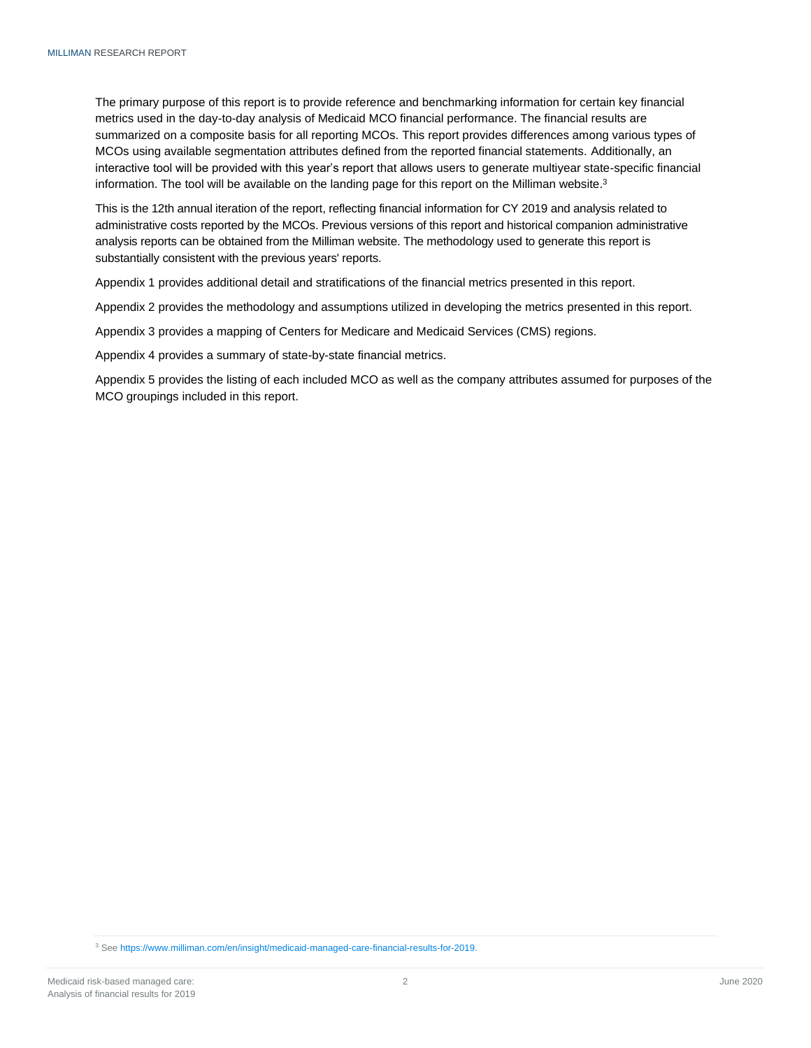The primary purpose of this report is to provide reference and benchmarking information for certain key financial metrics used in the day-to-day analysis of Medicaid MCO financial performance. The financial results are summarized on a composite basis for all reporting MCOs. This report provides differences among various types of MCOs using available segmentation attributes defined from the reported financial statements. Additionally, an interactive tool will be provided with this year's report that allows users to generate multiyear state-specific financial information. The tool will be available on the landing page for this report on the Milliman website.<sup>3</sup>

This is the 12th annual iteration of the report, reflecting financial information for CY 2019 and analysis related to administrative costs reported by the MCOs. Previous versions of this report and historical companion administrative analysis reports can be obtained from the Milliman website. The methodology used to generate this report is substantially consistent with the previous years' reports.

Appendix 1 provides additional detail and stratifications of the financial metrics presented in this report.

Appendix 2 provides the methodology and assumptions utilized in developing the metrics presented in this report.

Appendix 3 provides a mapping of Centers for Medicare and Medicaid Services (CMS) regions.

Appendix 4 provides a summary of state-by-state financial metrics.

Appendix 5 provides the listing of each included MCO as well as the company attributes assumed for purposes of the MCO groupings included in this report.

<sup>3</sup> See [https://www.milliman.com/en/insight/medicaid-managed-care-financial-results-for-2019.](https://www.milliman.com/en/insight/medicaid-managed-care-financial-results-for-2019)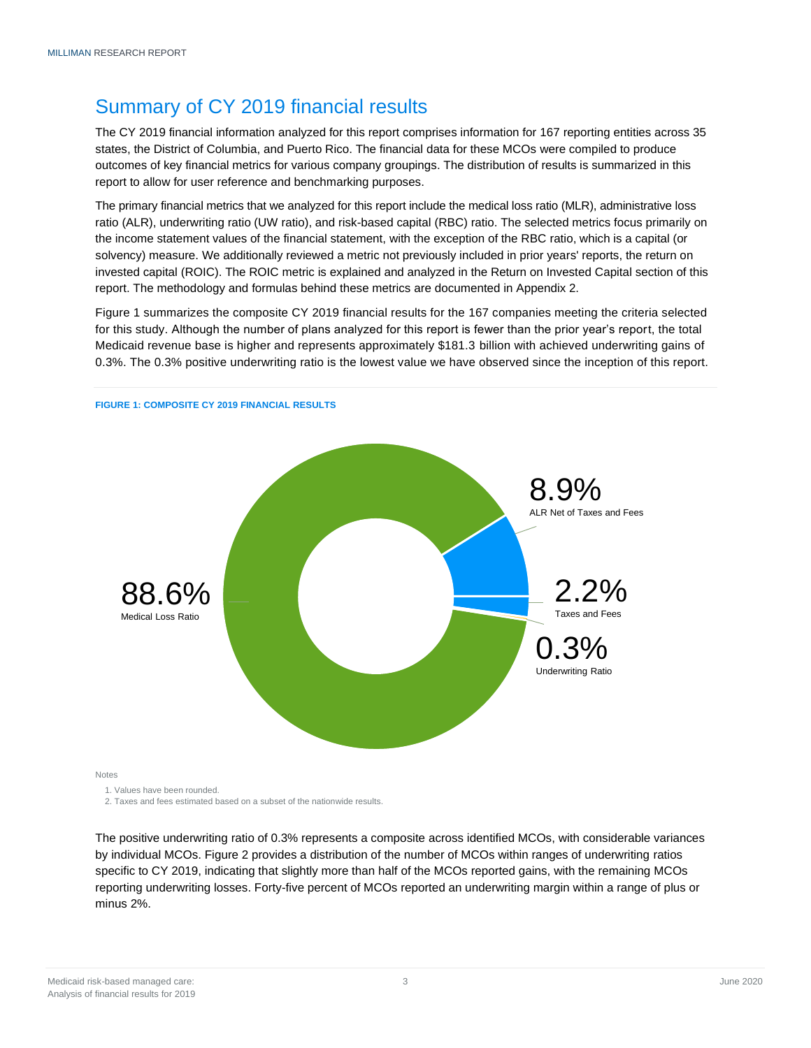### <span id="page-4-0"></span>Summary of CY 2019 financial results

The CY 2019 financial information analyzed for this report comprises information for 167 reporting entities across 35 states, the District of Columbia, and Puerto Rico. The financial data for these MCOs were compiled to produce outcomes of key financial metrics for various company groupings. The distribution of results is summarized in this report to allow for user reference and benchmarking purposes.

The primary financial metrics that we analyzed for this report include the medical loss ratio (MLR), administrative loss ratio (ALR), underwriting ratio (UW ratio), and risk-based capital (RBC) ratio. The selected metrics focus primarily on the income statement values of the financial statement, with the exception of the RBC ratio, which is a capital (or solvency) measure. We additionally reviewed a metric not previously included in prior years' reports, the return on invested capital (ROIC). The ROIC metric is explained and analyzed in the Return on Invested Capital section of this report. The methodology and formulas behind these metrics are documented in Appendix 2.

Figure 1 summarizes the composite CY 2019 financial results for the 167 companies meeting the criteria selected for this study. Although the number of plans analyzed for this report is fewer than the prior year's report, the total Medicaid revenue base is higher and represents approximately \$181.3 billion with achieved underwriting gains of 0.3%. The 0.3% positive underwriting ratio is the lowest value we have observed since the inception of this report.



Notes

1. Values have been rounded.

2. Taxes and fees estimated based on a subset of the nationwide results.

**FIGURE 1: COMPOSITE CY 2019 FINANCIAL RESULTS**

The positive underwriting ratio of 0.3% represents a composite across identified MCOs, with considerable variances by individual MCOs. Figure 2 provides a distribution of the number of MCOs within ranges of underwriting ratios specific to CY 2019, indicating that slightly more than half of the MCOs reported gains, with the remaining MCOs reporting underwriting losses. Forty-five percent of MCOs reported an underwriting margin within a range of plus or minus 2%.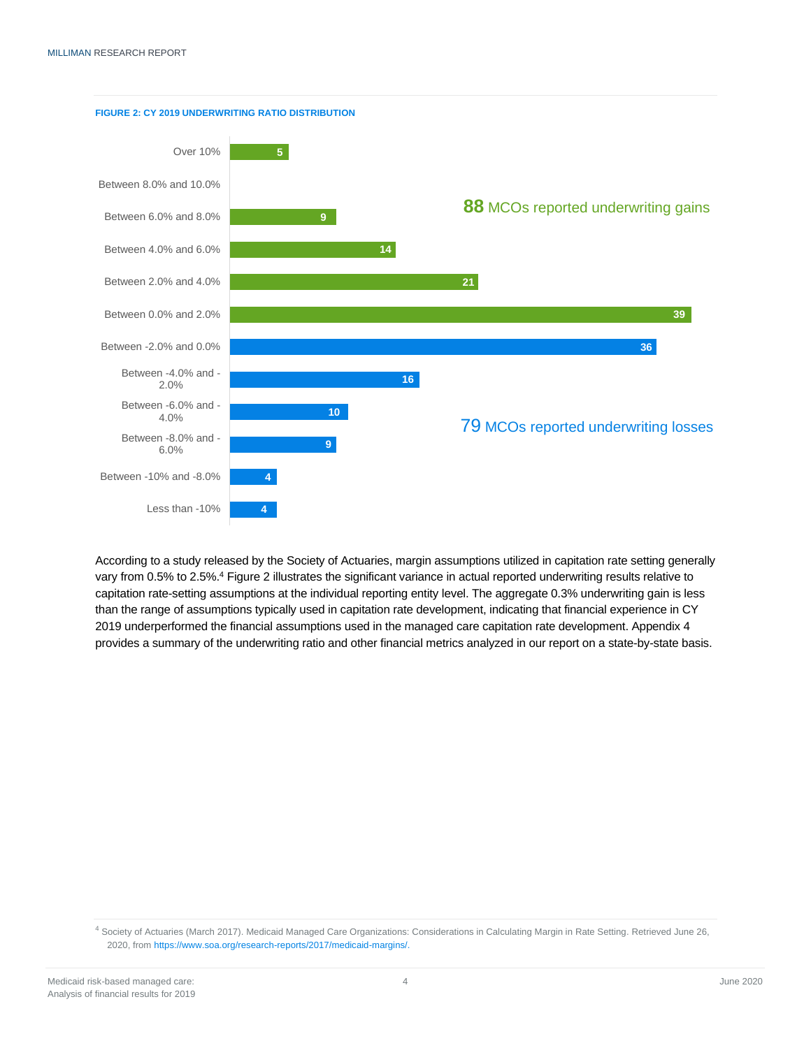

According to a study released by the Society of Actuaries, margin assumptions utilized in capitation rate setting generally vary from 0.5% to 2.5%.<sup>4</sup> Figure 2 illustrates the significant variance in actual reported underwriting results relative to capitation rate-setting assumptions at the individual reporting entity level. The aggregate 0.3% underwriting gain is less than the range of assumptions typically used in capitation rate development, indicating that financial experience in CY 2019 underperformed the financial assumptions used in the managed care capitation rate development. Appendix 4 provides a summary of the underwriting ratio and other financial metrics analyzed in our report on a state-by-state basis.

<sup>4</sup> Society of Actuaries (March 2017). Medicaid Managed Care Organizations: Considerations in Calculating Margin in Rate Setting. Retrieved June 26, 2020, fro[m https://www.soa.org/research-reports/2017/medicaid-margins/.](https://www.soa.org/research-reports/2017/medicaid-margins/)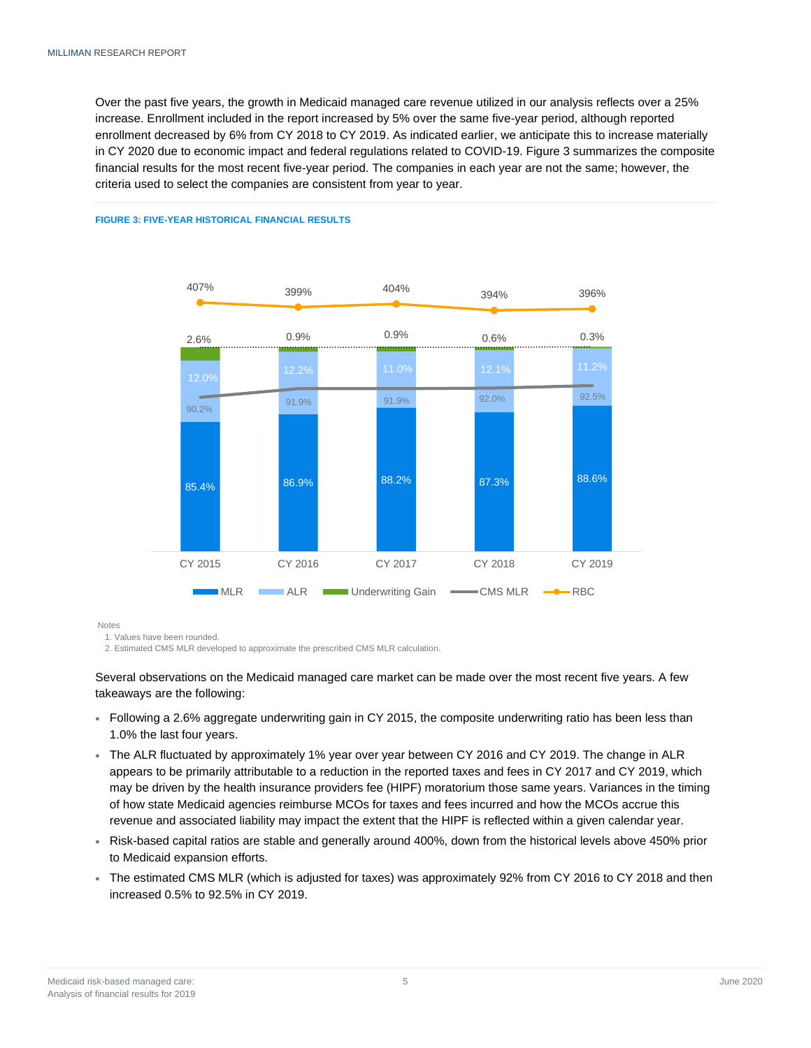Over the past five years, the growth in Medicaid managed care revenue utilized in our analysis reflects over a 25% increase. Enrollment included in the report increased by 5% over the same five-year period, although reported enrollment decreased by 6% from CY 2018 to CY 2019. As indicated earlier, we anticipate this to increase materially in CY 2020 due to economic impact and federal regulations related to COVID-19. Figure 3 summarizes the composite financial results for the most recent five-year period. The companies in each year are not the same; however, the criteria used to select the companies are consistent from year to year.



#### **FIGURE 3: FIVE-YEAR HISTORICAL FINANCIAL RESULTS**



Notes

1. Values have been rounded.

2. Estimated CMS MLR developed to approximate the prescribed CMS MLR calculation.

Several observations on the Medicaid managed care market can be made over the most recent five years. A few takeaways are the following:

- Following a 2.6% aggregate underwriting gain in CY 2015, the composite underwriting ratio has been less than 1.0% the last four years.
- The ALR fluctuated by approximately 1% year over year between CY 2016 and CY 2019. The change in ALR appears to be primarily attributable to a reduction in the reported taxes and fees in CY 2017 and CY 2019, which may be driven by the health insurance providers fee (HIPF) moratorium those same years. Variances in the timing of how state Medicaid agencies reimburse MCOs for taxes and fees incurred and how the MCOs accrue this revenue and associated liability may impact the extent that the HIPF is reflected within a given calendar year.
- Risk-based capital ratios are stable and generally around 400%, down from the historical levels above 450% prior to Medicaid expansion efforts.
- The estimated CMS MLR (which is adjusted for taxes) was approximately 92% from CY 2016 to CY 2018 and then increased 0.5% to 92.5% in CY 2019.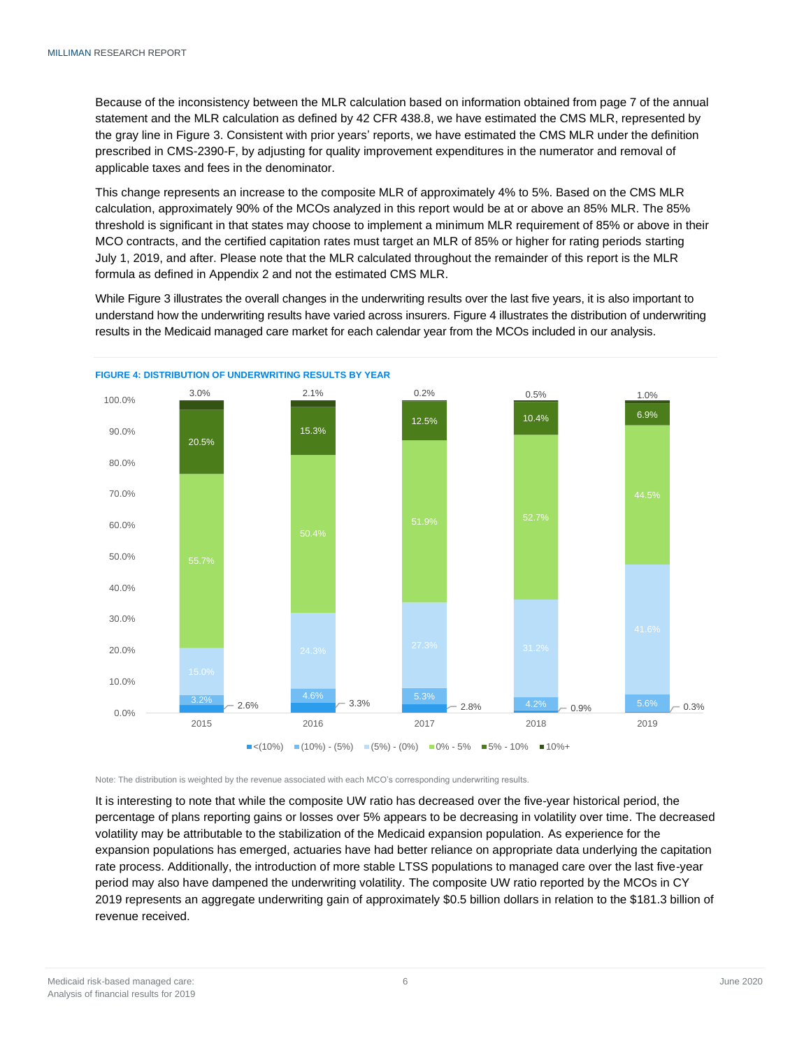Because of the inconsistency between the MLR calculation based on information obtained from page 7 of the annual statement and the MLR calculation as defined by 42 CFR 438.8, we have estimated the CMS MLR, represented by the gray line in Figure 3. Consistent with prior years' reports, we have estimated the CMS MLR under the definition prescribed in CMS-2390-F, by adjusting for quality improvement expenditures in the numerator and removal of applicable taxes and fees in the denominator.

This change represents an increase to the composite MLR of approximately 4% to 5%. Based on the CMS MLR calculation, approximately 90% of the MCOs analyzed in this report would be at or above an 85% MLR. The 85% threshold is significant in that states may choose to implement a minimum MLR requirement of 85% or above in their MCO contracts, and the certified capitation rates must target an MLR of 85% or higher for rating periods starting July 1, 2019, and after. Please note that the MLR calculated throughout the remainder of this report is the MLR formula as defined in Appendix 2 and not the estimated CMS MLR.

While Figure 3 illustrates the overall changes in the underwriting results over the last five years, it is also important to understand how the underwriting results have varied across insurers. Figure 4 illustrates the distribution of underwriting results in the Medicaid managed care market for each calendar year from the MCOs included in our analysis.



**FIGURE 4: DISTRIBUTION OF UNDERWRITING RESULTS BY YEAR**

Note: The distribution is weighted by the revenue associated with each MCO's corresponding underwriting results.

It is interesting to note that while the composite UW ratio has decreased over the five-year historical period, the percentage of plans reporting gains or losses over 5% appears to be decreasing in volatility over time. The decreased volatility may be attributable to the stabilization of the Medicaid expansion population. As experience for the expansion populations has emerged, actuaries have had better reliance on appropriate data underlying the capitation rate process. Additionally, the introduction of more stable LTSS populations to managed care over the last five-year period may also have dampened the underwriting volatility. The composite UW ratio reported by the MCOs in CY 2019 represents an aggregate underwriting gain of approximately \$0.5 billion dollars in relation to the \$181.3 billion of revenue received.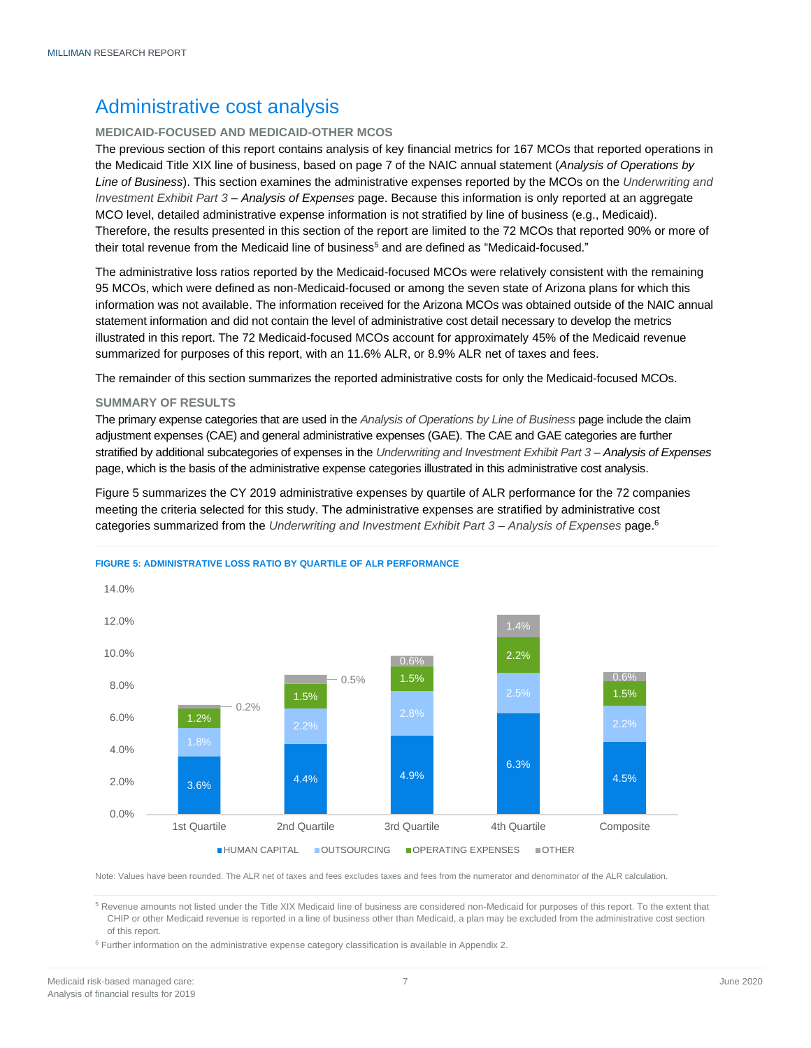### <span id="page-8-0"></span>Administrative cost analysis

#### **MEDICAID-FOCUSED AND MEDICAID-OTHER MCOS**

The previous section of this report contains analysis of key financial metrics for 167 MCOs that reported operations in the Medicaid Title XIX line of business, based on page 7 of the NAIC annual statement (*Analysis of Operations by Line of Business*). This section examines the administrative expenses reported by the MCOs on the *Underwriting and Investment Exhibit Part 3 – Analysis of Expenses* page. Because this information is only reported at an aggregate MCO level, detailed administrative expense information is not stratified by line of business (e.g., Medicaid). Therefore, the results presented in this section of the report are limited to the 72 MCOs that reported 90% or more of their total revenue from the Medicaid line of business<sup>5</sup> and are defined as "Medicaid-focused."

The administrative loss ratios reported by the Medicaid-focused MCOs were relatively consistent with the remaining 95 MCOs, which were defined as non-Medicaid-focused or among the seven state of Arizona plans for which this information was not available. The information received for the Arizona MCOs was obtained outside of the NAIC annual statement information and did not contain the level of administrative cost detail necessary to develop the metrics illustrated in this report. The 72 Medicaid-focused MCOs account for approximately 45% of the Medicaid revenue summarized for purposes of this report, with an 11.6% ALR, or 8.9% ALR net of taxes and fees.

The remainder of this section summarizes the reported administrative costs for only the Medicaid-focused MCOs.

#### **SUMMARY OF RESULTS**

The primary expense categories that are used in the *Analysis of Operations by Line of Business* page include the claim adjustment expenses (CAE) and general administrative expenses (GAE). The CAE and GAE categories are further stratified by additional subcategories of expenses in the *Underwriting and Investment Exhibit Part 3 – Analysis of Expenses* page, which is the basis of the administrative expense categories illustrated in this administrative cost analysis.

Figure 5 summarizes the CY 2019 administrative expenses by quartile of ALR performance for the 72 companies meeting the criteria selected for this study. The administrative expenses are stratified by administrative cost categories summarized from the *Underwriting and Investment Exhibit Part 3 – Analysis of Expenses* page. 6



#### **FIGURE 5: ADMINISTRATIVE LOSS RATIO BY QUARTILE OF ALR PERFORMANCE**

Note: Values have been rounded. The ALR net of taxes and fees excludes taxes and fees from the numerator and denominator of the ALR calculation.

<sup>5</sup> Revenue amounts not listed under the Title XIX Medicaid line of business are considered non-Medicaid for purposes of this report. To the extent that CHIP or other Medicaid revenue is reported in a line of business other than Medicaid, a plan may be excluded from the administrative cost section of this report.

<sup>6</sup> Further information on the administrative expense category classification is available in Appendix 2.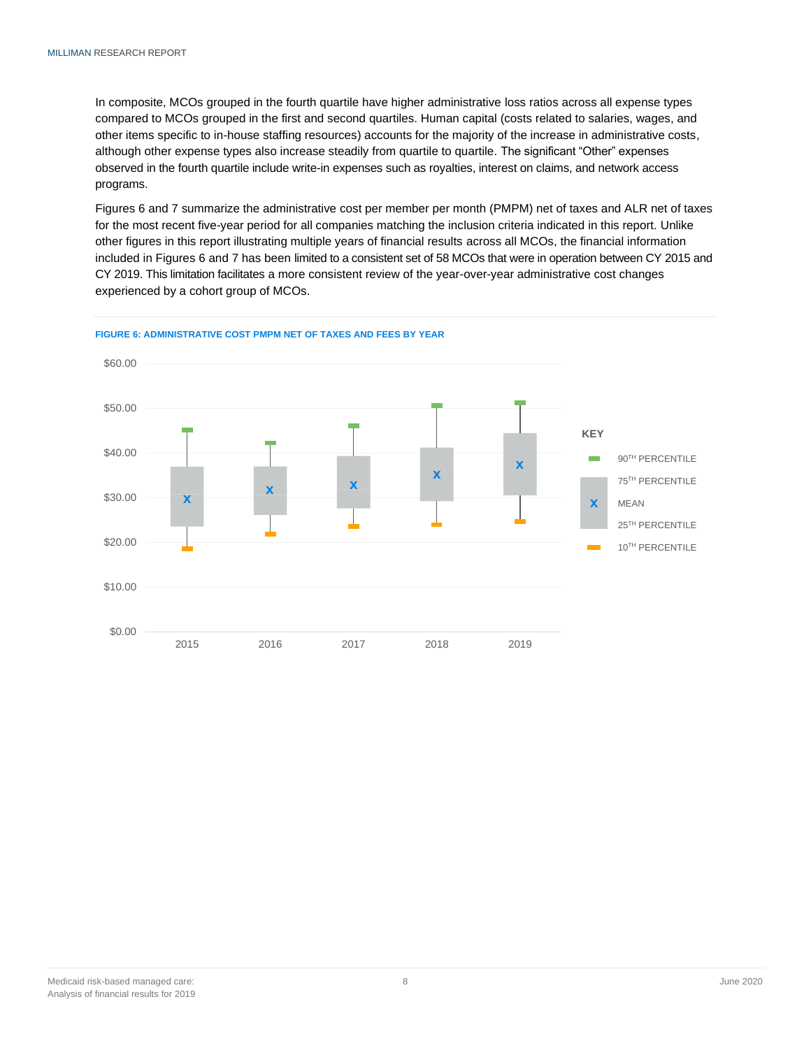In composite, MCOs grouped in the fourth quartile have higher administrative loss ratios across all expense types compared to MCOs grouped in the first and second quartiles. Human capital (costs related to salaries, wages, and other items specific to in-house staffing resources) accounts for the majority of the increase in administrative costs, although other expense types also increase steadily from quartile to quartile. The significant "Other" expenses observed in the fourth quartile include write-in expenses such as royalties, interest on claims, and network access programs.

Figures 6 and 7 summarize the administrative cost per member per month (PMPM) net of taxes and ALR net of taxes for the most recent five-year period for all companies matching the inclusion criteria indicated in this report. Unlike other figures in this report illustrating multiple years of financial results across all MCOs, the financial information included in Figures 6 and 7 has been limited to a consistent set of 58 MCOs that were in operation between CY 2015 and CY 2019. This limitation facilitates a more consistent review of the year-over-year administrative cost changes experienced by a cohort group of MCOs.



#### **FIGURE 6: ADMINISTRATIVE COST PMPM NET OF TAXES AND FEES BY YEAR**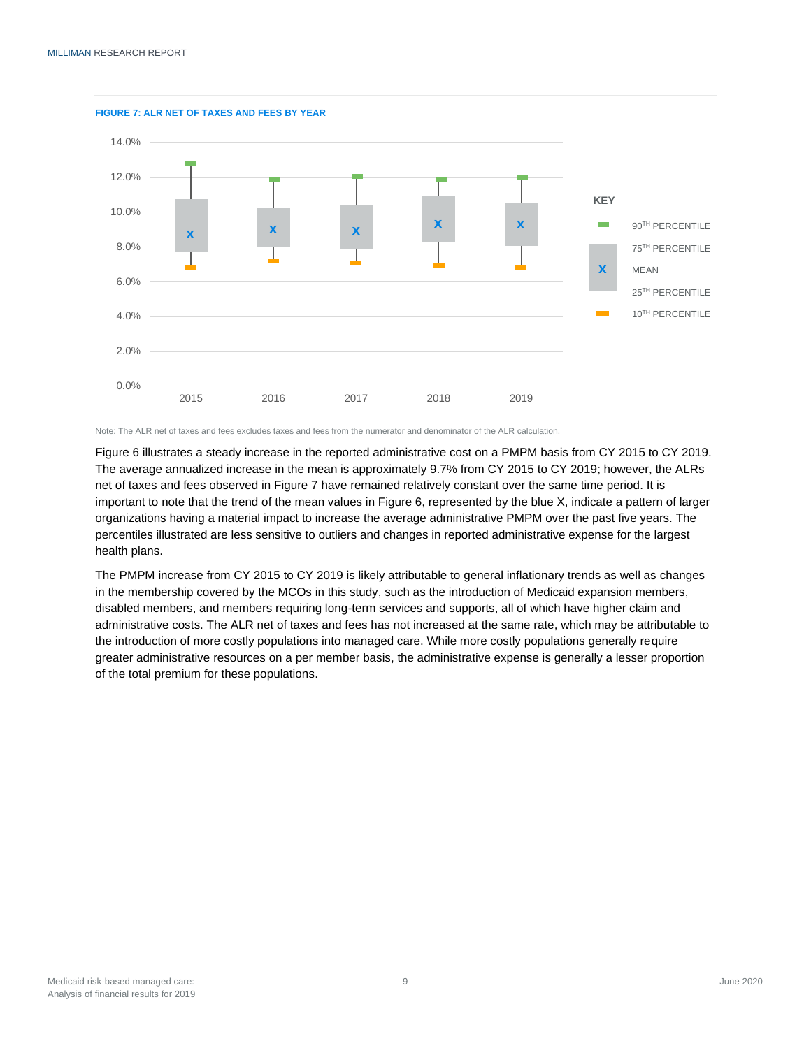

**FIGURE 7: ALR NET OF TAXES AND FEES BY YEAR**

Note: The ALR net of taxes and fees excludes taxes and fees from the numerator and denominator of the ALR calculation.

Figure 6 illustrates a steady increase in the reported administrative cost on a PMPM basis from CY 2015 to CY 2019. The average annualized increase in the mean is approximately 9.7% from CY 2015 to CY 2019; however, the ALRs net of taxes and fees observed in Figure 7 have remained relatively constant over the same time period. It is important to note that the trend of the mean values in Figure 6, represented by the blue X, indicate a pattern of larger organizations having a material impact to increase the average administrative PMPM over the past five years. The percentiles illustrated are less sensitive to outliers and changes in reported administrative expense for the largest health plans.

The PMPM increase from CY 2015 to CY 2019 is likely attributable to general inflationary trends as well as changes in the membership covered by the MCOs in this study, such as the introduction of Medicaid expansion members, disabled members, and members requiring long-term services and supports, all of which have higher claim and administrative costs. The ALR net of taxes and fees has not increased at the same rate, which may be attributable to the introduction of more costly populations into managed care. While more costly populations generally require greater administrative resources on a per member basis, the administrative expense is generally a lesser proportion of the total premium for these populations.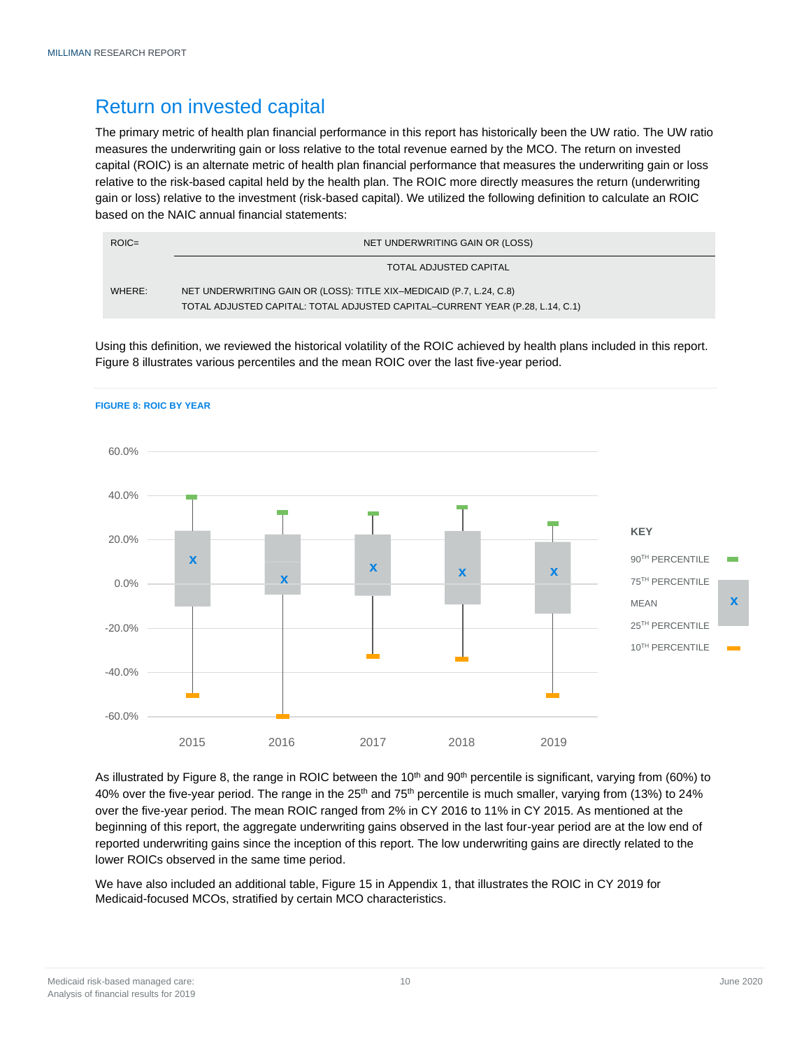### <span id="page-11-0"></span>Return on invested capital

The primary metric of health plan financial performance in this report has historically been the UW ratio. The UW ratio measures the underwriting gain or loss relative to the total revenue earned by the MCO. The return on invested capital (ROIC) is an alternate metric of health plan financial performance that measures the underwriting gain or loss relative to the risk-based capital held by the health plan. The ROIC more directly measures the return (underwriting gain or loss) relative to the investment (risk-based capital). We utilized the following definition to calculate an ROIC based on the NAIC annual financial statements:

| $ROIC =$ | NET UNDERWRITING GAIN OR (LOSS)                                               |
|----------|-------------------------------------------------------------------------------|
|          | TOTAL ADJUSTED CAPITAL                                                        |
| WHERE:   | NET UNDERWRITING GAIN OR (LOSS): TITLE XIX-MEDICAID (P.7, L.24, C.8)          |
|          | TOTAL ADJUSTED CAPITAL: TOTAL ADJUSTED CAPITAL-CURRENT YEAR (P.28, L.14, C.1) |

Using this definition, we reviewed the historical volatility of the ROIC achieved by health plans included in this report. Figure 8 illustrates various percentiles and the mean ROIC over the last five-year period.



**FIGURE 8: ROIC BY YEAR**

As illustrated by Figure 8, the range in ROIC between the 10<sup>th</sup> and 90<sup>th</sup> percentile is significant, varying from (60%) to 40% over the five-year period. The range in the 25<sup>th</sup> and 75<sup>th</sup> percentile is much smaller, varying from (13%) to 24% over the five-year period. The mean ROIC ranged from 2% in CY 2016 to 11% in CY 2015. As mentioned at the beginning of this report, the aggregate underwriting gains observed in the last four-year period are at the low end of reported underwriting gains since the inception of this report. The low underwriting gains are directly related to the lower ROICs observed in the same time period.

We have also included an additional table. Figure 15 in Appendix 1, that illustrates the ROIC in CY 2019 for Medicaid-focused MCOs, stratified by certain MCO characteristics.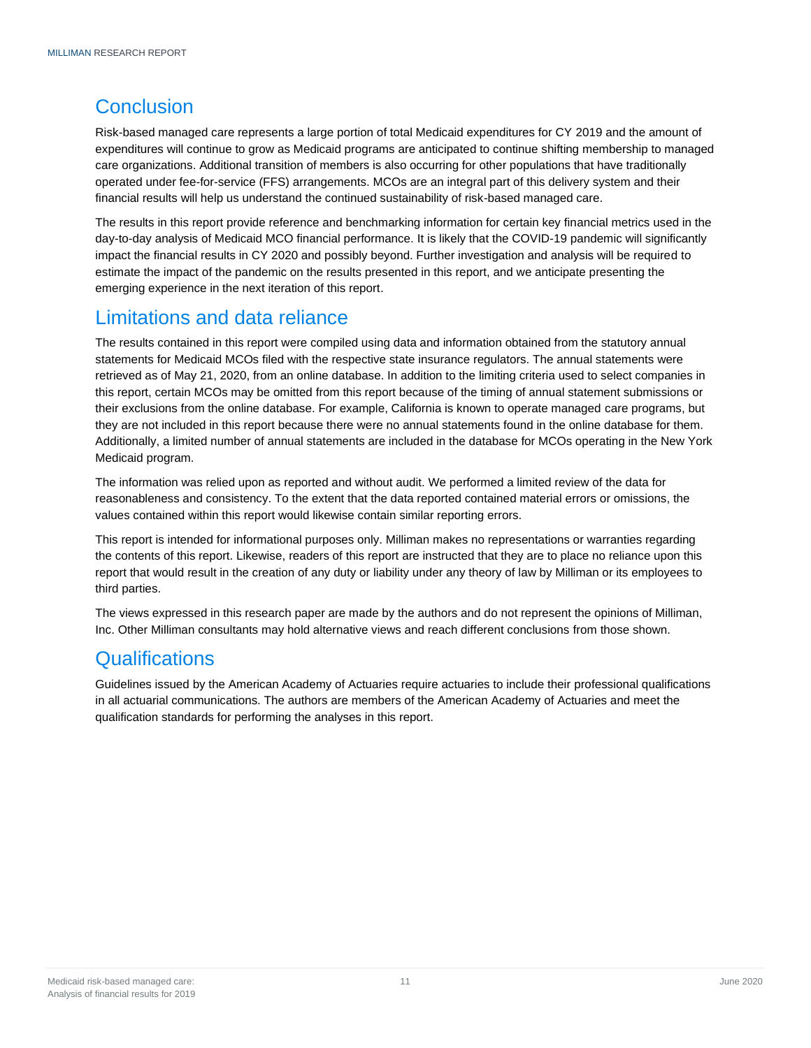### <span id="page-12-0"></span>**Conclusion**

Risk-based managed care represents a large portion of total Medicaid expenditures for CY 2019 and the amount of expenditures will continue to grow as Medicaid programs are anticipated to continue shifting membership to managed care organizations. Additional transition of members is also occurring for other populations that have traditionally operated under fee-for-service (FFS) arrangements. MCOs are an integral part of this delivery system and their financial results will help us understand the continued sustainability of risk-based managed care.

The results in this report provide reference and benchmarking information for certain key financial metrics used in the day-to-day analysis of Medicaid MCO financial performance. It is likely that the COVID-19 pandemic will significantly impact the financial results in CY 2020 and possibly beyond. Further investigation and analysis will be required to estimate the impact of the pandemic on the results presented in this report, and we anticipate presenting the emerging experience in the next iteration of this report.

### <span id="page-12-1"></span>Limitations and data reliance

The results contained in this report were compiled using data and information obtained from the statutory annual statements for Medicaid MCOs filed with the respective state insurance regulators. The annual statements were retrieved as of May 21, 2020, from an online database. In addition to the limiting criteria used to select companies in this report, certain MCOs may be omitted from this report because of the timing of annual statement submissions or their exclusions from the online database. For example, California is known to operate managed care programs, but they are not included in this report because there were no annual statements found in the online database for them. Additionally, a limited number of annual statements are included in the database for MCOs operating in the New York Medicaid program.

The information was relied upon as reported and without audit. We performed a limited review of the data for reasonableness and consistency. To the extent that the data reported contained material errors or omissions, the values contained within this report would likewise contain similar reporting errors.

This report is intended for informational purposes only. Milliman makes no representations or warranties regarding the contents of this report. Likewise, readers of this report are instructed that they are to place no reliance upon this report that would result in the creation of any duty or liability under any theory of law by Milliman or its employees to third parties.

The views expressed in this research paper are made by the authors and do not represent the opinions of Milliman, Inc. Other Milliman consultants may hold alternative views and reach different conclusions from those shown.

### <span id="page-12-2"></span>**Qualifications**

Guidelines issued by the American Academy of Actuaries require actuaries to include their professional qualifications in all actuarial communications. The authors are members of the American Academy of Actuaries and meet the qualification standards for performing the analyses in this report.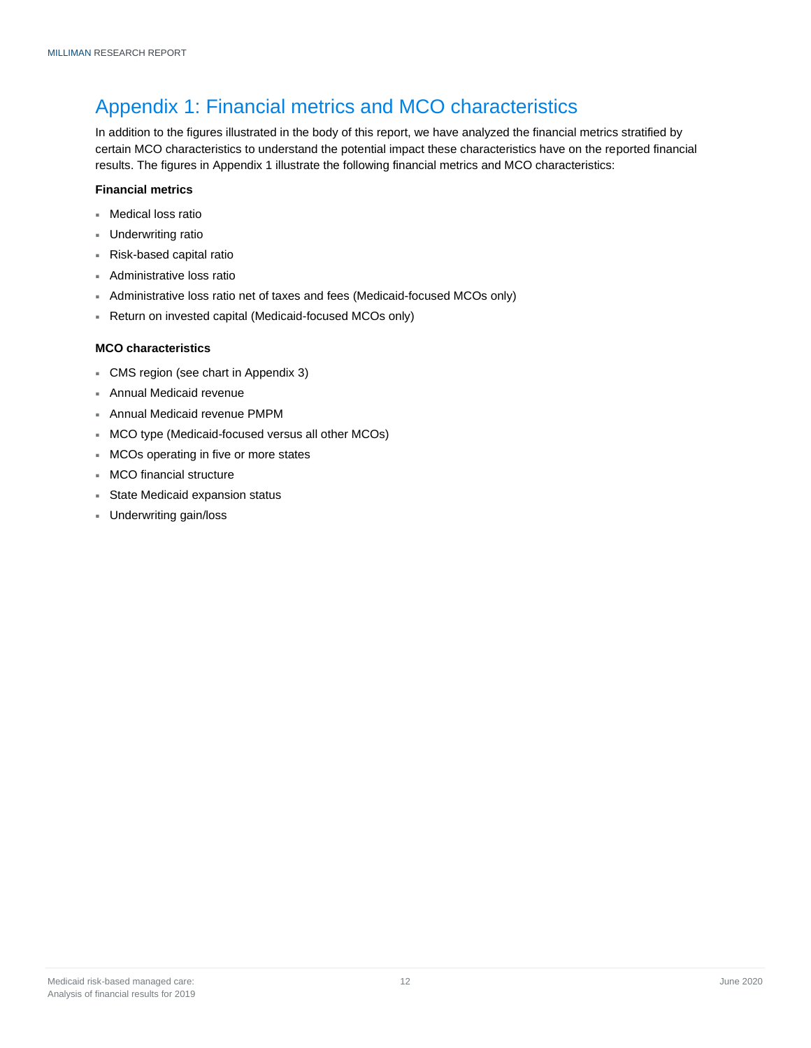### <span id="page-13-0"></span>Appendix 1: Financial metrics and MCO characteristics

In addition to the figures illustrated in the body of this report, we have analyzed the financial metrics stratified by certain MCO characteristics to understand the potential impact these characteristics have on the reported financial results. The figures in Appendix 1 illustrate the following financial metrics and MCO characteristics:

#### **Financial metrics**

- Medical loss ratio
- Underwriting ratio
- Risk-based capital ratio
- Administrative loss ratio
- Administrative loss ratio net of taxes and fees (Medicaid-focused MCOs only)
- Return on invested capital (Medicaid-focused MCOs only)

#### **MCO characteristics**

- CMS region (see chart in Appendix 3)
- Annual Medicaid revenue
- Annual Medicaid revenue PMPM
- MCO type (Medicaid-focused versus all other MCOs)
- MCOs operating in five or more states
- MCO financial structure
- **State Medicaid expansion status**
- Underwriting gain/loss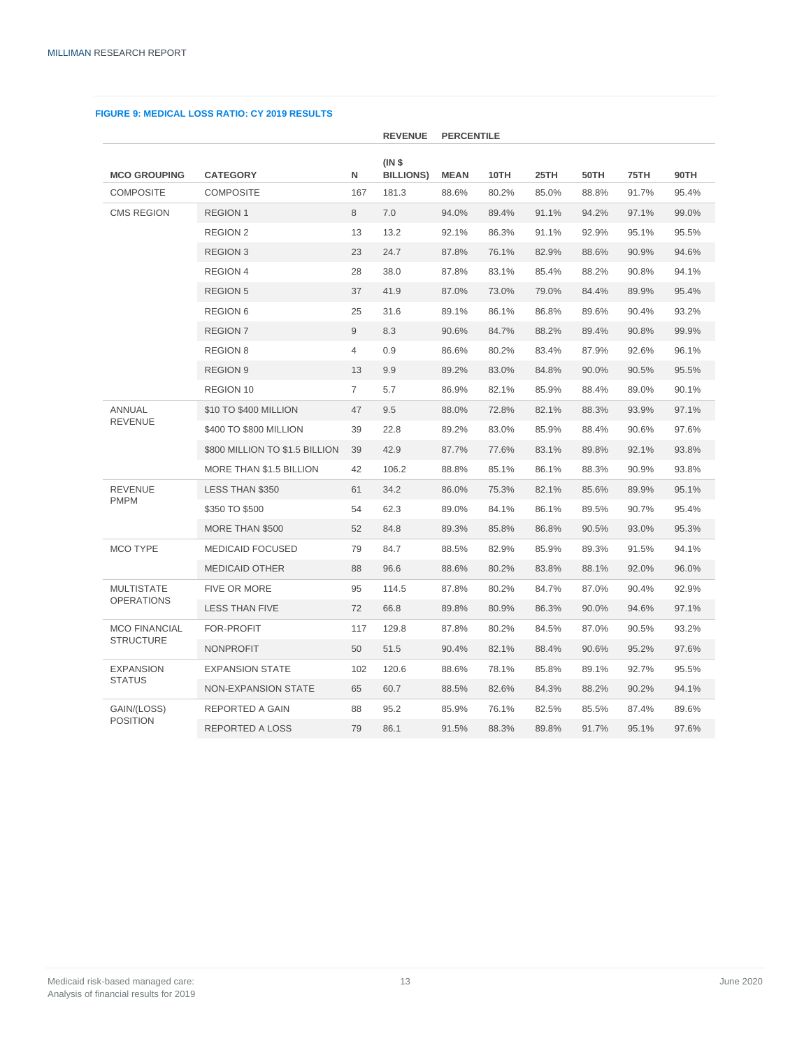|                      |                                |     | <b>REVENUE</b>            | <b>PERCENTILE</b> |       |       |       |       |       |
|----------------------|--------------------------------|-----|---------------------------|-------------------|-------|-------|-------|-------|-------|
| <b>MCO GROUPING</b>  | <b>CATEGORY</b>                | N   | (INS)<br><b>BILLIONS)</b> | <b>MEAN</b>       | 10TH  | 25TH  | 50TH  | 75TH  | 90TH  |
| <b>COMPOSITE</b>     | <b>COMPOSITE</b>               | 167 | 181.3                     | 88.6%             | 80.2% | 85.0% | 88.8% | 91.7% | 95.4% |
| <b>CMS REGION</b>    | <b>REGION 1</b>                | 8   | 7.0                       | 94.0%             | 89.4% | 91.1% | 94.2% | 97.1% | 99.0% |
|                      | <b>REGION 2</b>                | 13  | 13.2                      | 92.1%             | 86.3% | 91.1% | 92.9% | 95.1% | 95.5% |
|                      | <b>REGION 3</b>                | 23  | 24.7                      | 87.8%             | 76.1% | 82.9% | 88.6% | 90.9% | 94.6% |
|                      | <b>REGION 4</b>                | 28  | 38.0                      | 87.8%             | 83.1% | 85.4% | 88.2% | 90.8% | 94.1% |
|                      | <b>REGION 5</b>                | 37  | 41.9                      | 87.0%             | 73.0% | 79.0% | 84.4% | 89.9% | 95.4% |
|                      | <b>REGION 6</b>                | 25  | 31.6                      | 89.1%             | 86.1% | 86.8% | 89.6% | 90.4% | 93.2% |
|                      | <b>REGION 7</b>                | 9   | 8.3                       | 90.6%             | 84.7% | 88.2% | 89.4% | 90.8% | 99.9% |
|                      | <b>REGION 8</b>                | 4   | 0.9                       | 86.6%             | 80.2% | 83.4% | 87.9% | 92.6% | 96.1% |
|                      | <b>REGION 9</b>                | 13  | 9.9                       | 89.2%             | 83.0% | 84.8% | 90.0% | 90.5% | 95.5% |
|                      | <b>REGION 10</b>               | 7   | 5.7                       | 86.9%             | 82.1% | 85.9% | 88.4% | 89.0% | 90.1% |
| ANNUAL               | \$10 TO \$400 MILLION          | 47  | 9.5                       | 88.0%             | 72.8% | 82.1% | 88.3% | 93.9% | 97.1% |
| <b>REVENUE</b>       | \$400 TO \$800 MILLION         | 39  | 22.8                      | 89.2%             | 83.0% | 85.9% | 88.4% | 90.6% | 97.6% |
|                      | \$800 MILLION TO \$1.5 BILLION | 39  | 42.9                      | 87.7%             | 77.6% | 83.1% | 89.8% | 92.1% | 93.8% |
|                      | MORE THAN \$1.5 BILLION        | 42  | 106.2                     | 88.8%             | 85.1% | 86.1% | 88.3% | 90.9% | 93.8% |
| <b>REVENUE</b>       | LESS THAN \$350                | 61  | 34.2                      | 86.0%             | 75.3% | 82.1% | 85.6% | 89.9% | 95.1% |
| <b>PMPM</b>          | \$350 TO \$500                 | 54  | 62.3                      | 89.0%             | 84.1% | 86.1% | 89.5% | 90.7% | 95.4% |
|                      | MORE THAN \$500                | 52  | 84.8                      | 89.3%             | 85.8% | 86.8% | 90.5% | 93.0% | 95.3% |
| <b>MCO TYPE</b>      | <b>MEDICAID FOCUSED</b>        | 79  | 84.7                      | 88.5%             | 82.9% | 85.9% | 89.3% | 91.5% | 94.1% |
|                      | <b>MEDICAID OTHER</b>          | 88  | 96.6                      | 88.6%             | 80.2% | 83.8% | 88.1% | 92.0% | 96.0% |
| <b>MULTISTATE</b>    | FIVE OR MORE                   | 95  | 114.5                     | 87.8%             | 80.2% | 84.7% | 87.0% | 90.4% | 92.9% |
| <b>OPERATIONS</b>    | <b>LESS THAN FIVE</b>          | 72  | 66.8                      | 89.8%             | 80.9% | 86.3% | 90.0% | 94.6% | 97.1% |
| <b>MCO FINANCIAL</b> | <b>FOR-PROFIT</b>              | 117 | 129.8                     | 87.8%             | 80.2% | 84.5% | 87.0% | 90.5% | 93.2% |
| <b>STRUCTURE</b>     | <b>NONPROFIT</b>               | 50  | 51.5                      | 90.4%             | 82.1% | 88.4% | 90.6% | 95.2% | 97.6% |
| <b>EXPANSION</b>     | <b>EXPANSION STATE</b>         | 102 | 120.6                     | 88.6%             | 78.1% | 85.8% | 89.1% | 92.7% | 95.5% |
| <b>STATUS</b>        | <b>NON-EXPANSION STATE</b>     | 65  | 60.7                      | 88.5%             | 82.6% | 84.3% | 88.2% | 90.2% | 94.1% |
| GAIN/(LOSS)          | <b>REPORTED A GAIN</b>         | 88  | 95.2                      | 85.9%             | 76.1% | 82.5% | 85.5% | 87.4% | 89.6% |
| <b>POSITION</b>      | <b>REPORTED A LOSS</b>         | 79  | 86.1                      | 91.5%             | 88.3% | 89.8% | 91.7% | 95.1% | 97.6% |

#### **FIGURE 9: MEDICAL LOSS RATIO: CY 2019 RESULTS**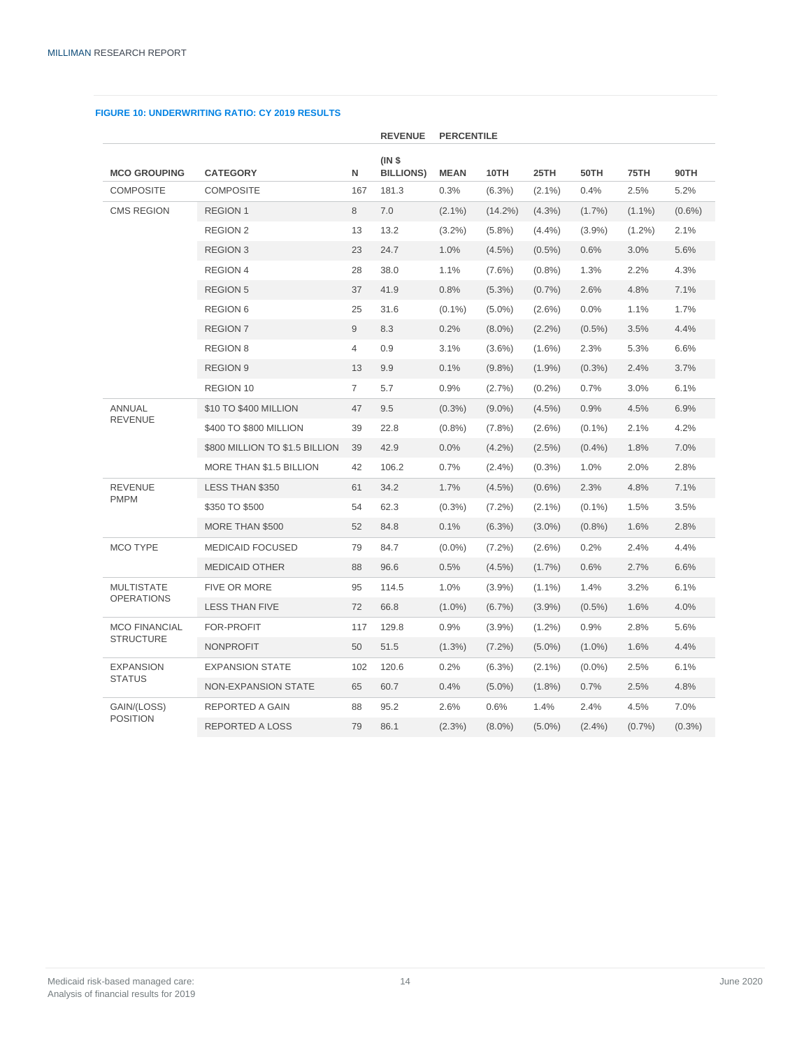|                      |                                |                | <b>REVENUE</b>            | <b>PERCENTILE</b> |            |           |           |           |           |
|----------------------|--------------------------------|----------------|---------------------------|-------------------|------------|-----------|-----------|-----------|-----------|
| <b>MCO GROUPING</b>  | <b>CATEGORY</b>                | N              | (INS)<br><b>BILLIONS)</b> | <b>MEAN</b>       | 10TH       | 25TH      | 50TH      | 75TH      | 90TH      |
| <b>COMPOSITE</b>     | <b>COMPOSITE</b>               | 167            | 181.3                     | 0.3%              | $(6.3\%)$  | $(2.1\%)$ | 0.4%      | 2.5%      | 5.2%      |
| <b>CMS REGION</b>    | <b>REGION 1</b>                | 8              | 7.0                       | $(2.1\%)$         | $(14.2\%)$ | $(4.3\%)$ | $(1.7\%)$ | $(1.1\%)$ | $(0.6\%)$ |
|                      | <b>REGION 2</b>                | 13             | 13.2                      | $(3.2\%)$         | $(5.8\%)$  | $(4.4\%)$ | $(3.9\%)$ | $(1.2\%)$ | 2.1%      |
|                      | <b>REGION 3</b>                | 23             | 24.7                      | 1.0%              | $(4.5\%)$  | $(0.5\%)$ | 0.6%      | 3.0%      | 5.6%      |
|                      | <b>REGION 4</b>                | 28             | 38.0                      | 1.1%              | $(7.6\%)$  | $(0.8\%)$ | 1.3%      | 2.2%      | 4.3%      |
|                      | <b>REGION 5</b>                | 37             | 41.9                      | 0.8%              | $(5.3\%)$  | $(0.7\%)$ | 2.6%      | 4.8%      | 7.1%      |
|                      | <b>REGION 6</b>                | 25             | 31.6                      | $(0.1\%)$         | $(5.0\%)$  | $(2.6\%)$ | 0.0%      | 1.1%      | 1.7%      |
|                      | <b>REGION 7</b>                | 9              | 8.3                       | 0.2%              | $(8.0\%)$  | $(2.2\%)$ | $(0.5\%)$ | 3.5%      | 4.4%      |
|                      | <b>REGION 8</b>                | $\overline{4}$ | 0.9                       | 3.1%              | $(3.6\%)$  | $(1.6\%)$ | 2.3%      | 5.3%      | 6.6%      |
|                      | <b>REGION 9</b>                | 13             | 9.9                       | 0.1%              | (9.8%)     | $(1.9\%)$ | $(0.3\%)$ | 2.4%      | 3.7%      |
|                      | REGION 10                      | $\overline{7}$ | 5.7                       | 0.9%              | (2.7%)     | $(0.2\%)$ | 0.7%      | 3.0%      | 6.1%      |
| ANNUAL               | \$10 TO \$400 MILLION          | 47             | 9.5                       | $(0.3\%)$         | $(9.0\%)$  | $(4.5\%)$ | 0.9%      | 4.5%      | 6.9%      |
| <b>REVENUE</b>       | \$400 TO \$800 MILLION         | 39             | 22.8                      | $(0.8\%)$         | $(7.8\%)$  | $(2.6\%)$ | $(0.1\%)$ | 2.1%      | 4.2%      |
|                      | \$800 MILLION TO \$1.5 BILLION | 39             | 42.9                      | 0.0%              | $(4.2\%)$  | $(2.5\%)$ | $(0.4\%)$ | 1.8%      | 7.0%      |
|                      | MORE THAN \$1.5 BILLION        | 42             | 106.2                     | 0.7%              | $(2.4\%)$  | $(0.3\%)$ | 1.0%      | 2.0%      | 2.8%      |
| <b>REVENUE</b>       | LESS THAN \$350                | 61             | 34.2                      | 1.7%              | $(4.5\%)$  | $(0.6\%)$ | 2.3%      | 4.8%      | 7.1%      |
| <b>PMPM</b>          | \$350 TO \$500                 | 54             | 62.3                      | $(0.3\%)$         | $(7.2\%)$  | $(2.1\%)$ | $(0.1\%)$ | 1.5%      | 3.5%      |
|                      | MORE THAN \$500                | 52             | 84.8                      | 0.1%              | $(6.3\%)$  | $(3.0\%)$ | $(0.8\%)$ | 1.6%      | 2.8%      |
| <b>MCO TYPE</b>      | <b>MEDICAID FOCUSED</b>        | 79             | 84.7                      | $(0.0\%)$         | $(7.2\%)$  | $(2.6\%)$ | 0.2%      | 2.4%      | 4.4%      |
|                      | <b>MEDICAID OTHER</b>          | 88             | 96.6                      | 0.5%              | $(4.5\%)$  | $(1.7\%)$ | 0.6%      | 2.7%      | 6.6%      |
| <b>MULTISTATE</b>    | <b>FIVE OR MORE</b>            | 95             | 114.5                     | 1.0%              | $(3.9\%)$  | $(1.1\%)$ | 1.4%      | 3.2%      | 6.1%      |
| <b>OPERATIONS</b>    | <b>LESS THAN FIVE</b>          | 72             | 66.8                      | $(1.0\%)$         | $(6.7\%)$  | $(3.9\%)$ | $(0.5\%)$ | 1.6%      | 4.0%      |
| <b>MCO FINANCIAL</b> | FOR-PROFIT                     | 117            | 129.8                     | 0.9%              | $(3.9\%)$  | $(1.2\%)$ | 0.9%      | 2.8%      | 5.6%      |
| <b>STRUCTURE</b>     | <b>NONPROFIT</b>               | 50             | 51.5                      | $(1.3\%)$         | $(7.2\%)$  | $(5.0\%)$ | $(1.0\%)$ | 1.6%      | 4.4%      |
| <b>EXPANSION</b>     | <b>EXPANSION STATE</b>         | 102            | 120.6                     | 0.2%              | $(6.3\%)$  | $(2.1\%)$ | $(0.0\%)$ | 2.5%      | 6.1%      |
| <b>STATUS</b>        | <b>NON-EXPANSION STATE</b>     | 65             | 60.7                      | 0.4%              | $(5.0\%)$  | $(1.8\%)$ | 0.7%      | 2.5%      | 4.8%      |
| GAIN/(LOSS)          | REPORTED A GAIN                | 88             | 95.2                      | 2.6%              | 0.6%       | 1.4%      | 2.4%      | 4.5%      | 7.0%      |
| <b>POSITION</b>      | <b>REPORTED A LOSS</b>         | 79             | 86.1                      | $(2.3\%)$         | $(8.0\%)$  | $(5.0\%)$ | $(2.4\%)$ | $(0.7\%)$ | $(0.3\%)$ |

#### **FIGURE 10: UNDERWRITING RATIO: CY 2019 RESULTS**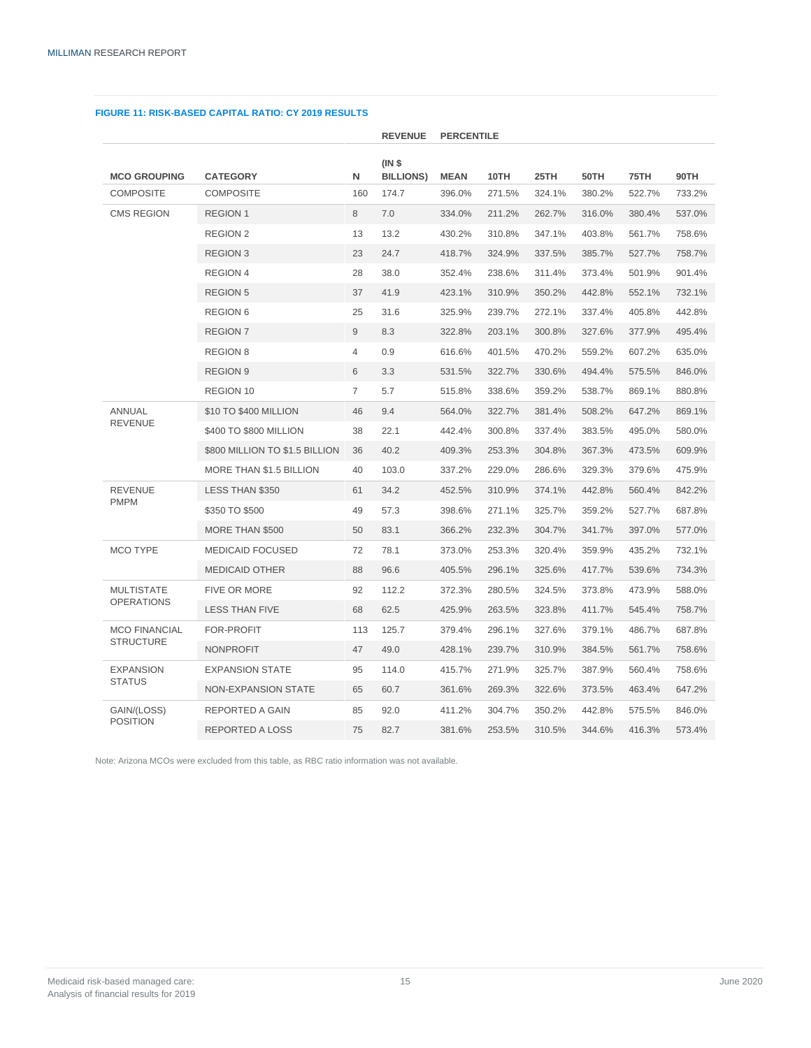|                      |                                |                | <b>REVENUE</b>            | <b>PERCENTILE</b> |        |        |             |        |        |
|----------------------|--------------------------------|----------------|---------------------------|-------------------|--------|--------|-------------|--------|--------|
| <b>MCO GROUPING</b>  | <b>CATEGORY</b>                | N              | (INS)<br><b>BILLIONS)</b> | <b>MEAN</b>       | 10TH   | 25TH   | <b>50TH</b> | 75TH   | 90TH   |
| <b>COMPOSITE</b>     | <b>COMPOSITE</b>               | 160            | 174.7                     | 396.0%            | 271.5% | 324.1% | 380.2%      | 522.7% | 733.2% |
| <b>CMS REGION</b>    | <b>REGION 1</b>                | 8              | 7.0                       | 334.0%            | 211.2% | 262.7% | 316.0%      | 380.4% | 537.0% |
|                      | <b>REGION 2</b>                | 13             | 13.2                      | 430.2%            | 310.8% | 347.1% | 403.8%      | 561.7% | 758.6% |
|                      | <b>REGION 3</b>                | 23             | 24.7                      | 418.7%            | 324.9% | 337.5% | 385.7%      | 527.7% | 758.7% |
|                      | <b>REGION 4</b>                | 28             | 38.0                      | 352.4%            | 238.6% | 311.4% | 373.4%      | 501.9% | 901.4% |
|                      | <b>REGION 5</b>                | 37             | 41.9                      | 423.1%            | 310.9% | 350.2% | 442.8%      | 552.1% | 732.1% |
|                      | <b>REGION 6</b>                | 25             | 31.6                      | 325.9%            | 239.7% | 272.1% | 337.4%      | 405.8% | 442.8% |
|                      | <b>REGION 7</b>                | $\overline{9}$ | 8.3                       | 322.8%            | 203.1% | 300.8% | 327.6%      | 377.9% | 495.4% |
|                      | <b>REGION 8</b>                | $\overline{4}$ | 0.9                       | 616.6%            | 401.5% | 470.2% | 559.2%      | 607.2% | 635.0% |
|                      | <b>REGION 9</b>                | 6              | 3.3                       | 531.5%            | 322.7% | 330.6% | 494.4%      | 575.5% | 846.0% |
|                      | <b>REGION 10</b>               | $\overline{7}$ | 5.7                       | 515.8%            | 338.6% | 359.2% | 538.7%      | 869.1% | 880.8% |
| <b>ANNUAL</b>        | \$10 TO \$400 MILLION          | 46             | 9.4                       | 564.0%            | 322.7% | 381.4% | 508.2%      | 647.2% | 869.1% |
| <b>REVENUE</b>       | \$400 TO \$800 MILLION         | 38             | 22.1                      | 442.4%            | 300.8% | 337.4% | 383.5%      | 495.0% | 580.0% |
|                      | \$800 MILLION TO \$1.5 BILLION | 36             | 40.2                      | 409.3%            | 253.3% | 304.8% | 367.3%      | 473.5% | 609.9% |
|                      | MORE THAN \$1.5 BILLION        | 40             | 103.0                     | 337.2%            | 229.0% | 286.6% | 329.3%      | 379.6% | 475.9% |
| <b>REVENUE</b>       | LESS THAN \$350                | 61             | 34.2                      | 452.5%            | 310.9% | 374.1% | 442.8%      | 560.4% | 842.2% |
| <b>PMPM</b>          | \$350 TO \$500                 | 49             | 57.3                      | 398.6%            | 271.1% | 325.7% | 359.2%      | 527.7% | 687.8% |
|                      | MORE THAN \$500                | 50             | 83.1                      | 366.2%            | 232.3% | 304.7% | 341.7%      | 397.0% | 577.0% |
| <b>MCO TYPE</b>      | <b>MEDICAID FOCUSED</b>        | 72             | 78.1                      | 373.0%            | 253.3% | 320.4% | 359.9%      | 435.2% | 732.1% |
|                      | <b>MEDICAID OTHER</b>          | 88             | 96.6                      | 405.5%            | 296.1% | 325.6% | 417.7%      | 539.6% | 734.3% |
| <b>MULTISTATE</b>    | <b>FIVE OR MORE</b>            | 92             | 112.2                     | 372.3%            | 280.5% | 324.5% | 373.8%      | 473.9% | 588.0% |
| <b>OPERATIONS</b>    | <b>LESS THAN FIVE</b>          | 68             | 62.5                      | 425.9%            | 263.5% | 323.8% | 411.7%      | 545.4% | 758.7% |
| <b>MCO FINANCIAL</b> | <b>FOR-PROFIT</b>              | 113            | 125.7                     | 379.4%            | 296.1% | 327.6% | 379.1%      | 486.7% | 687.8% |
| <b>STRUCTURE</b>     | <b>NONPROFIT</b>               | 47             | 49.0                      | 428.1%            | 239.7% | 310.9% | 384.5%      | 561.7% | 758.6% |
| <b>EXPANSION</b>     | <b>EXPANSION STATE</b>         | 95             | 114.0                     | 415.7%            | 271.9% | 325.7% | 387.9%      | 560.4% | 758.6% |
| <b>STATUS</b>        | <b>NON-EXPANSION STATE</b>     | 65             | 60.7                      | 361.6%            | 269.3% | 322.6% | 373.5%      | 463.4% | 647.2% |
| GAIN/(LOSS)          | <b>REPORTED A GAIN</b>         | 85             | 92.0                      | 411.2%            | 304.7% | 350.2% | 442.8%      | 575.5% | 846.0% |
| <b>POSITION</b>      | <b>REPORTED A LOSS</b>         | 75             | 82.7                      | 381.6%            | 253.5% | 310.5% | 344.6%      | 416.3% | 573.4% |

#### **FIGURE 11: RISK-BASED CAPITAL RATIO: CY 2019 RESULTS**

Note: Arizona MCOs were excluded from this table, as RBC ratio information was not available.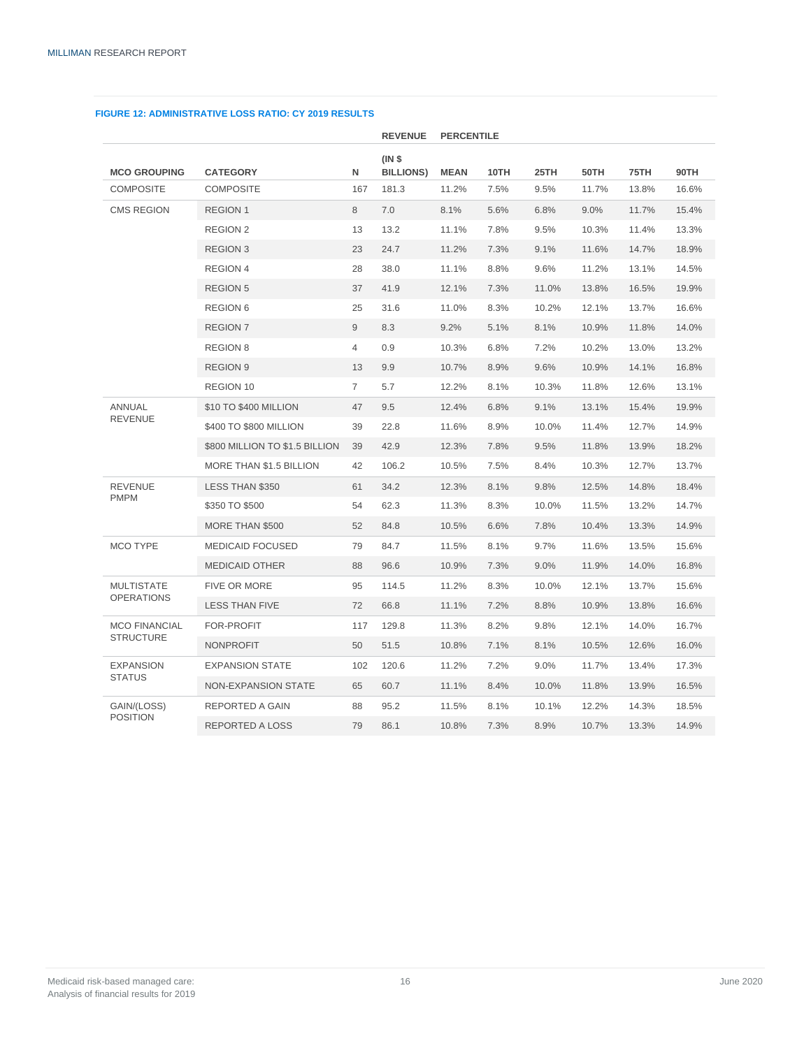|                      |                                |                | <b>REVENUE</b>            | <b>PERCENTILE</b> |      |       |       |       |       |
|----------------------|--------------------------------|----------------|---------------------------|-------------------|------|-------|-------|-------|-------|
| <b>MCO GROUPING</b>  | <b>CATEGORY</b>                | N              | (INS)<br><b>BILLIONS)</b> | <b>MEAN</b>       | 10TH | 25TH  | 50TH  | 75TH  | 90TH  |
| <b>COMPOSITE</b>     | <b>COMPOSITE</b>               | 167            | 181.3                     | 11.2%             | 7.5% | 9.5%  | 11.7% | 13.8% | 16.6% |
| <b>CMS REGION</b>    | <b>REGION 1</b>                | 8              | 7.0                       | 8.1%              | 5.6% | 6.8%  | 9.0%  | 11.7% | 15.4% |
|                      | <b>REGION 2</b>                | 13             | 13.2                      | 11.1%             | 7.8% | 9.5%  | 10.3% | 11.4% | 13.3% |
|                      | <b>REGION 3</b>                | 23             | 24.7                      | 11.2%             | 7.3% | 9.1%  | 11.6% | 14.7% | 18.9% |
|                      | <b>REGION 4</b>                | 28             | 38.0                      | 11.1%             | 8.8% | 9.6%  | 11.2% | 13.1% | 14.5% |
|                      | <b>REGION 5</b>                | 37             | 41.9                      | 12.1%             | 7.3% | 11.0% | 13.8% | 16.5% | 19.9% |
|                      | <b>REGION 6</b>                | 25             | 31.6                      | 11.0%             | 8.3% | 10.2% | 12.1% | 13.7% | 16.6% |
|                      | <b>REGION 7</b>                | 9              | 8.3                       | 9.2%              | 5.1% | 8.1%  | 10.9% | 11.8% | 14.0% |
|                      | <b>REGION 8</b>                | $\overline{4}$ | 0.9                       | 10.3%             | 6.8% | 7.2%  | 10.2% | 13.0% | 13.2% |
|                      | <b>REGION 9</b>                | 13             | 9.9                       | 10.7%             | 8.9% | 9.6%  | 10.9% | 14.1% | 16.8% |
|                      | <b>REGION 10</b>               | 7              | 5.7                       | 12.2%             | 8.1% | 10.3% | 11.8% | 12.6% | 13.1% |
| <b>ANNUAL</b>        | \$10 TO \$400 MILLION          | 47             | 9.5                       | 12.4%             | 6.8% | 9.1%  | 13.1% | 15.4% | 19.9% |
| <b>REVENUE</b>       | \$400 TO \$800 MILLION         | 39             | 22.8                      | 11.6%             | 8.9% | 10.0% | 11.4% | 12.7% | 14.9% |
|                      | \$800 MILLION TO \$1.5 BILLION | 39             | 42.9                      | 12.3%             | 7.8% | 9.5%  | 11.8% | 13.9% | 18.2% |
|                      | MORE THAN \$1.5 BILLION        | 42             | 106.2                     | 10.5%             | 7.5% | 8.4%  | 10.3% | 12.7% | 13.7% |
| <b>REVENUE</b>       | LESS THAN \$350                | 61             | 34.2                      | 12.3%             | 8.1% | 9.8%  | 12.5% | 14.8% | 18.4% |
| <b>PMPM</b>          | \$350 TO \$500                 | 54             | 62.3                      | 11.3%             | 8.3% | 10.0% | 11.5% | 13.2% | 14.7% |
|                      | MORE THAN \$500                | 52             | 84.8                      | 10.5%             | 6.6% | 7.8%  | 10.4% | 13.3% | 14.9% |
| <b>MCO TYPE</b>      | <b>MEDICAID FOCUSED</b>        | 79             | 84.7                      | 11.5%             | 8.1% | 9.7%  | 11.6% | 13.5% | 15.6% |
|                      | <b>MEDICAID OTHER</b>          | 88             | 96.6                      | 10.9%             | 7.3% | 9.0%  | 11.9% | 14.0% | 16.8% |
| <b>MULTISTATE</b>    | <b>FIVE OR MORE</b>            | 95             | 114.5                     | 11.2%             | 8.3% | 10.0% | 12.1% | 13.7% | 15.6% |
| <b>OPERATIONS</b>    | <b>LESS THAN FIVE</b>          | 72             | 66.8                      | 11.1%             | 7.2% | 8.8%  | 10.9% | 13.8% | 16.6% |
| <b>MCO FINANCIAL</b> | FOR-PROFIT                     | 117            | 129.8                     | 11.3%             | 8.2% | 9.8%  | 12.1% | 14.0% | 16.7% |
| <b>STRUCTURE</b>     | <b>NONPROFIT</b>               | 50             | 51.5                      | 10.8%             | 7.1% | 8.1%  | 10.5% | 12.6% | 16.0% |
| <b>EXPANSION</b>     | <b>EXPANSION STATE</b>         | 102            | 120.6                     | 11.2%             | 7.2% | 9.0%  | 11.7% | 13.4% | 17.3% |
| <b>STATUS</b>        | NON-EXPANSION STATE            | 65             | 60.7                      | 11.1%             | 8.4% | 10.0% | 11.8% | 13.9% | 16.5% |
| GAIN/(LOSS)          | REPORTED A GAIN                | 88             | 95.2                      | 11.5%             | 8.1% | 10.1% | 12.2% | 14.3% | 18.5% |
| <b>POSITION</b>      | <b>REPORTED A LOSS</b>         | 79             | 86.1                      | 10.8%             | 7.3% | 8.9%  | 10.7% | 13.3% | 14.9% |

#### **FIGURE 12: ADMINISTRATIVE LOSS RATIO: CY 2019 RESULTS**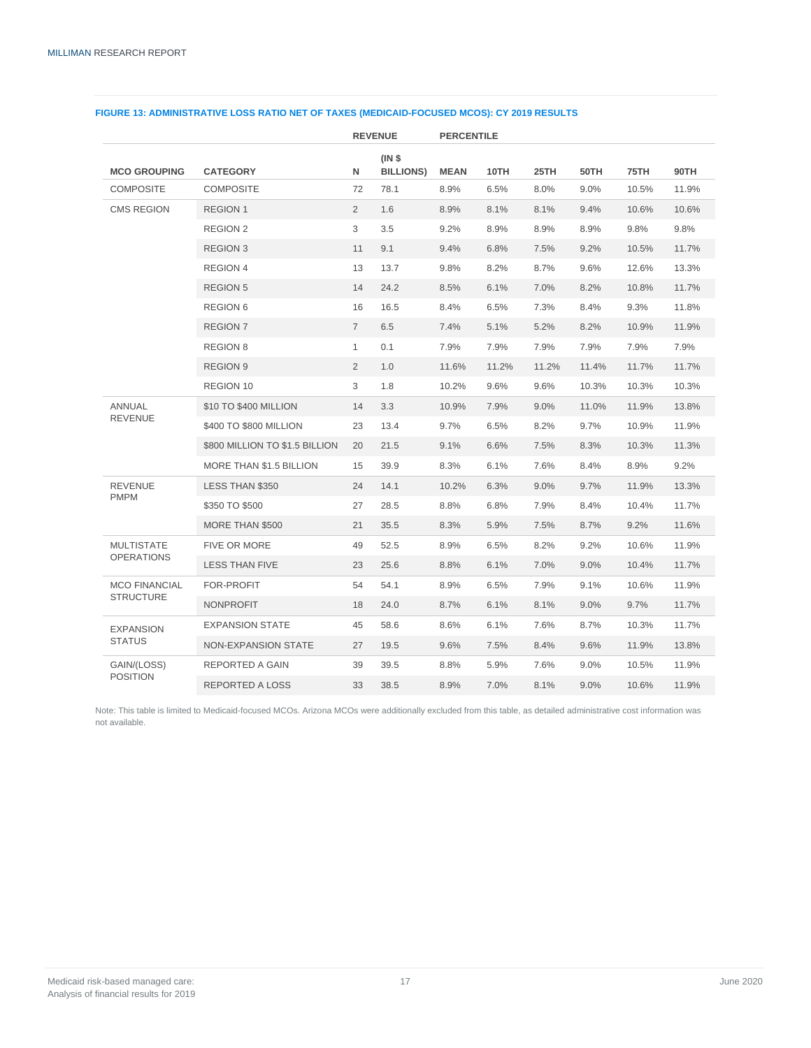|                      |                                | <b>REVENUE</b><br><b>PERCENTILE</b> |                            |             |       |       |       |       |       |
|----------------------|--------------------------------|-------------------------------------|----------------------------|-------------|-------|-------|-------|-------|-------|
| <b>MCO GROUPING</b>  | <b>CATEGORY</b>                | N                                   | (INS)<br><b>BILLIONS</b> ) | <b>MEAN</b> | 10TH  | 25TH  | 50TH  | 75TH  | 90TH  |
| <b>COMPOSITE</b>     | <b>COMPOSITE</b>               | 72                                  | 78.1                       | 8.9%        | 6.5%  | 8.0%  | 9.0%  | 10.5% | 11.9% |
| <b>CMS REGION</b>    | <b>REGION 1</b>                | $\overline{2}$                      | 1.6                        | 8.9%        | 8.1%  | 8.1%  | 9.4%  | 10.6% | 10.6% |
|                      | <b>REGION 2</b>                | 3                                   | 3.5                        | 9.2%        | 8.9%  | 8.9%  | 8.9%  | 9.8%  | 9.8%  |
|                      | <b>REGION 3</b>                | 11                                  | 9.1                        | 9.4%        | 6.8%  | 7.5%  | 9.2%  | 10.5% | 11.7% |
|                      | <b>REGION 4</b>                | 13                                  | 13.7                       | 9.8%        | 8.2%  | 8.7%  | 9.6%  | 12.6% | 13.3% |
|                      | <b>REGION 5</b>                | 14                                  | 24.2                       | 8.5%        | 6.1%  | 7.0%  | 8.2%  | 10.8% | 11.7% |
|                      | <b>REGION 6</b>                | 16                                  | 16.5                       | 8.4%        | 6.5%  | 7.3%  | 8.4%  | 9.3%  | 11.8% |
|                      | <b>REGION 7</b>                | $\overline{7}$                      | 6.5                        | 7.4%        | 5.1%  | 5.2%  | 8.2%  | 10.9% | 11.9% |
|                      | <b>REGION 8</b>                | $\mathbf{1}$                        | 0.1                        | 7.9%        | 7.9%  | 7.9%  | 7.9%  | 7.9%  | 7.9%  |
|                      | <b>REGION 9</b>                | $\overline{2}$                      | 1.0                        | 11.6%       | 11.2% | 11.2% | 11.4% | 11.7% | 11.7% |
|                      | <b>REGION 10</b>               | 3                                   | 1.8                        | 10.2%       | 9.6%  | 9.6%  | 10.3% | 10.3% | 10.3% |
| ANNUAL               | \$10 TO \$400 MILLION          | 14                                  | 3.3                        | 10.9%       | 7.9%  | 9.0%  | 11.0% | 11.9% | 13.8% |
| <b>REVENUE</b>       | \$400 TO \$800 MILLION         | 23                                  | 13.4                       | 9.7%        | 6.5%  | 8.2%  | 9.7%  | 10.9% | 11.9% |
|                      | \$800 MILLION TO \$1.5 BILLION | 20                                  | 21.5                       | 9.1%        | 6.6%  | 7.5%  | 8.3%  | 10.3% | 11.3% |
|                      | MORE THAN \$1.5 BILLION        | 15                                  | 39.9                       | 8.3%        | 6.1%  | 7.6%  | 8.4%  | 8.9%  | 9.2%  |
| <b>REVENUE</b>       | <b>LESS THAN \$350</b>         | 24                                  | 14.1                       | 10.2%       | 6.3%  | 9.0%  | 9.7%  | 11.9% | 13.3% |
| <b>PMPM</b>          | \$350 TO \$500                 | 27                                  | 28.5                       | 8.8%        | 6.8%  | 7.9%  | 8.4%  | 10.4% | 11.7% |
|                      | MORE THAN \$500                | 21                                  | 35.5                       | 8.3%        | 5.9%  | 7.5%  | 8.7%  | 9.2%  | 11.6% |
| <b>MULTISTATE</b>    | <b>FIVE OR MORE</b>            | 49                                  | 52.5                       | 8.9%        | 6.5%  | 8.2%  | 9.2%  | 10.6% | 11.9% |
| <b>OPERATIONS</b>    | <b>LESS THAN FIVE</b>          | 23                                  | 25.6                       | 8.8%        | 6.1%  | 7.0%  | 9.0%  | 10.4% | 11.7% |
| <b>MCO FINANCIAL</b> | FOR-PROFIT                     | 54                                  | 54.1                       | 8.9%        | 6.5%  | 7.9%  | 9.1%  | 10.6% | 11.9% |
| <b>STRUCTURE</b>     | <b>NONPROFIT</b>               | 18                                  | 24.0                       | 8.7%        | 6.1%  | 8.1%  | 9.0%  | 9.7%  | 11.7% |
| <b>EXPANSION</b>     | <b>EXPANSION STATE</b>         | 45                                  | 58.6                       | 8.6%        | 6.1%  | 7.6%  | 8.7%  | 10.3% | 11.7% |
| <b>STATUS</b>        | <b>NON-EXPANSION STATE</b>     | 27                                  | 19.5                       | 9.6%        | 7.5%  | 8.4%  | 9.6%  | 11.9% | 13.8% |
| GAIN/(LOSS)          | REPORTED A GAIN                | 39                                  | 39.5                       | 8.8%        | 5.9%  | 7.6%  | 9.0%  | 10.5% | 11.9% |
| <b>POSITION</b>      | <b>REPORTED A LOSS</b>         | 33                                  | 38.5                       | 8.9%        | 7.0%  | 8.1%  | 9.0%  | 10.6% | 11.9% |

#### **FIGURE 13: ADMINISTRATIVE LOSS RATIO NET OF TAXES (MEDICAID-FOCUSED MCOS): CY 2019 RESULTS**

Note: This table is limited to Medicaid-focused MCOs. Arizona MCOs were additionally excluded from this table, as detailed administrative cost information was not available.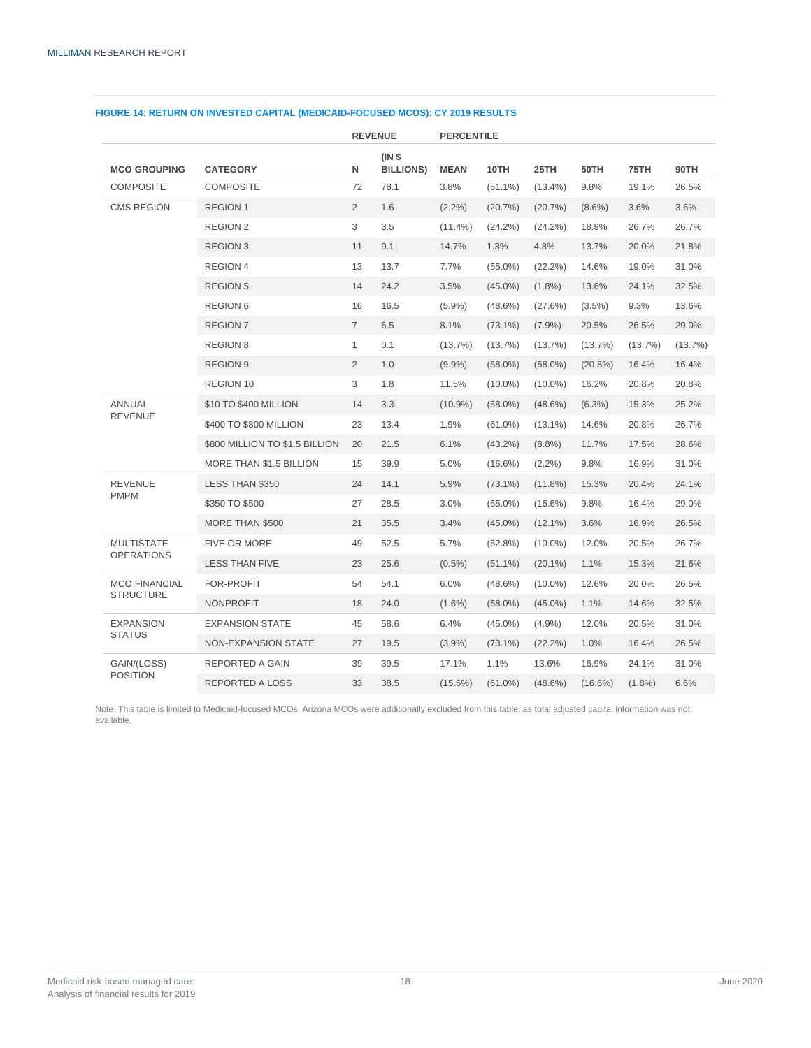|                      |                                | <b>REVENUE</b><br><b>PERCENTILE</b> |                           |             |            |            |            |            |         |
|----------------------|--------------------------------|-------------------------------------|---------------------------|-------------|------------|------------|------------|------------|---------|
| <b>MCO GROUPING</b>  | <b>CATEGORY</b>                | N                                   | (INS)<br><b>BILLIONS)</b> | <b>MEAN</b> | 10TH       | 25TH       | 50TH       | 75TH       | 90TH    |
| <b>COMPOSITE</b>     | <b>COMPOSITE</b>               | 72                                  | 78.1                      | 3.8%        | $(51.1\%)$ | $(13.4\%)$ | 9.8%       | 19.1%      | 26.5%   |
| <b>CMS REGION</b>    | <b>REGION 1</b>                | $\overline{2}$                      | 1.6                       | $(2.2\%)$   | (20.7%)    | (20.7%)    | $(8.6\%)$  | 3.6%       | 3.6%    |
|                      | <b>REGION 2</b>                | 3                                   | 3.5                       | $(11.4\%)$  | $(24.2\%)$ | (24.2%)    | 18.9%      | 26.7%      | 26.7%   |
|                      | <b>REGION 3</b>                | 11                                  | 9.1                       | 14.7%       | 1.3%       | 4.8%       | 13.7%      | 20.0%      | 21.8%   |
|                      | <b>REGION 4</b>                | 13                                  | 13.7                      | 7.7%        | $(55.0\%)$ | $(22.2\%)$ | 14.6%      | 19.0%      | 31.0%   |
|                      | <b>REGION 5</b>                | 14                                  | 24.2                      | 3.5%        | $(45.0\%)$ | $(1.8\%)$  | 13.6%      | 24.1%      | 32.5%   |
|                      | <b>REGION 6</b>                | 16                                  | 16.5                      | $(5.9\%)$   | $(48.6\%)$ | (27.6%)    | $(3.5\%)$  | 9.3%       | 13.6%   |
|                      | <b>REGION 7</b>                | $\overline{7}$                      | 6.5                       | 8.1%        | $(73.1\%)$ | $(7.9\%)$  | 20.5%      | 26.5%      | 29.0%   |
|                      | <b>REGION 8</b>                | 1                                   | 0.1                       | $(13.7\%)$  | $(13.7\%)$ | $(13.7\%)$ | (13.7%)    | $(13.7\%)$ | (13.7%) |
|                      | <b>REGION 9</b>                | $\overline{2}$                      | 1.0                       | $(9.9\%)$   | $(58.0\%)$ | $(58.0\%)$ | $(20.8\%)$ | 16.4%      | 16.4%   |
|                      | REGION 10                      | 3                                   | 1.8                       | 11.5%       | $(10.0\%)$ | $(10.0\%)$ | 16.2%      | 20.8%      | 20.8%   |
| ANNUAL               | \$10 TO \$400 MILLION          | 14                                  | 3.3                       | $(10.9\%)$  | $(58.0\%)$ | $(48.6\%)$ | $(6.3\%)$  | 15.3%      | 25.2%   |
| <b>REVENUE</b>       | \$400 TO \$800 MILLION         | 23                                  | 13.4                      | 1.9%        | $(61.0\%)$ | $(13.1\%)$ | 14.6%      | 20.8%      | 26.7%   |
|                      | \$800 MILLION TO \$1.5 BILLION | 20                                  | 21.5                      | 6.1%        | $(43.2\%)$ | $(8.8\%)$  | 11.7%      | 17.5%      | 28.6%   |
|                      | MORE THAN \$1.5 BILLION        | 15                                  | 39.9                      | 5.0%        | $(16.6\%)$ | $(2.2\%)$  | 9.8%       | 16.9%      | 31.0%   |
| <b>REVENUE</b>       | LESS THAN \$350                | 24                                  | 14.1                      | 5.9%        | $(73.1\%)$ | $(11.8\%)$ | 15.3%      | 20.4%      | 24.1%   |
| <b>PMPM</b>          | \$350 TO \$500                 | 27                                  | 28.5                      | 3.0%        | $(55.0\%)$ | $(16.6\%)$ | 9.8%       | 16.4%      | 29.0%   |
|                      | MORE THAN \$500                | 21                                  | 35.5                      | 3.4%        | $(45.0\%)$ | $(12.1\%)$ | 3.6%       | 16.9%      | 26.5%   |
| <b>MULTISTATE</b>    | FIVE OR MORE                   | 49                                  | 52.5                      | 5.7%        | $(52.8\%)$ | $(10.0\%)$ | 12.0%      | 20.5%      | 26.7%   |
| <b>OPERATIONS</b>    | <b>LESS THAN FIVE</b>          | 23                                  | 25.6                      | $(0.5\%)$   | $(51.1\%)$ | $(20.1\%)$ | 1.1%       | 15.3%      | 21.6%   |
| <b>MCO FINANCIAL</b> | FOR-PROFIT                     | 54                                  | 54.1                      | 6.0%        | $(48.6\%)$ | $(10.0\%)$ | 12.6%      | 20.0%      | 26.5%   |
| <b>STRUCTURE</b>     | <b>NONPROFIT</b>               | 18                                  | 24.0                      | $(1.6\%)$   | $(58.0\%)$ | $(45.0\%)$ | 1.1%       | 14.6%      | 32.5%   |
| <b>EXPANSION</b>     | <b>EXPANSION STATE</b>         | 45                                  | 58.6                      | 6.4%        | $(45.0\%)$ | $(4.9\%)$  | 12.0%      | 20.5%      | 31.0%   |
| <b>STATUS</b>        | NON-EXPANSION STATE            | 27                                  | 19.5                      | $(3.9\%)$   | $(73.1\%)$ | $(22.2\%)$ | 1.0%       | 16.4%      | 26.5%   |
| GAIN/(LOSS)          | REPORTED A GAIN                | 39                                  | 39.5                      | 17.1%       | 1.1%       | 13.6%      | 16.9%      | 24.1%      | 31.0%   |
| <b>POSITION</b>      | <b>REPORTED A LOSS</b>         | 33                                  | 38.5                      | $(15.6\%)$  | $(61.0\%)$ | $(48.6\%)$ | $(16.6\%)$ | $(1.8\%)$  | 6.6%    |

#### **FIGURE 14: RETURN ON INVESTED CAPITAL (MEDICAID-FOCUSED MCOS): CY 2019 RESULTS**

Note: This table is limited to Medicaid-focused MCOs. Arizona MCOs were additionally excluded from this table, as total adjusted capital information was not available.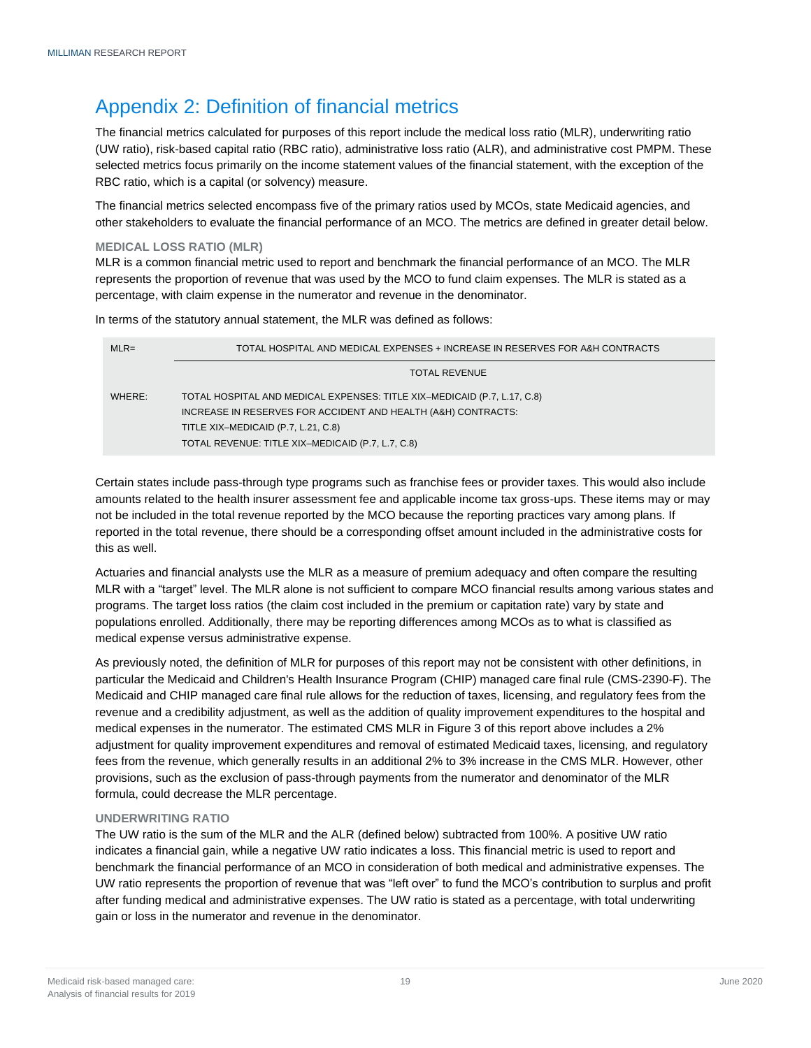### <span id="page-20-0"></span>Appendix 2: Definition of financial metrics

The financial metrics calculated for purposes of this report include the medical loss ratio (MLR), underwriting ratio (UW ratio), risk-based capital ratio (RBC ratio), administrative loss ratio (ALR), and administrative cost PMPM. These selected metrics focus primarily on the income statement values of the financial statement, with the exception of the RBC ratio, which is a capital (or solvency) measure.

The financial metrics selected encompass five of the primary ratios used by MCOs, state Medicaid agencies, and other stakeholders to evaluate the financial performance of an MCO. The metrics are defined in greater detail below.

#### **MEDICAL LOSS RATIO (MLR)**

MLR is a common financial metric used to report and benchmark the financial performance of an MCO. The MLR represents the proportion of revenue that was used by the MCO to fund claim expenses. The MLR is stated as a percentage, with claim expense in the numerator and revenue in the denominator.

In terms of the statutory annual statement, the MLR was defined as follows:

| $MLR =$ | TOTAL HOSPITAL AND MEDICAL EXPENSES + INCREASE IN RESERVES FOR A&H CONTRACTS                                                                                                                                                          |
|---------|---------------------------------------------------------------------------------------------------------------------------------------------------------------------------------------------------------------------------------------|
|         | <b>TOTAL REVENUE</b>                                                                                                                                                                                                                  |
| WHERE:  | TOTAL HOSPITAL AND MEDICAL EXPENSES: TITLE XIX-MEDICAID (P.7, L.17, C.8)<br>INCREASE IN RESERVES FOR ACCIDENT AND HEALTH (A&H) CONTRACTS:<br>TITLE XIX-MEDICAID (P.7, L.21, C.8)<br>TOTAL REVENUE: TITLE XIX-MEDICAID (P.7, L.7, C.8) |

Certain states include pass-through type programs such as franchise fees or provider taxes. This would also include amounts related to the health insurer assessment fee and applicable income tax gross-ups. These items may or may not be included in the total revenue reported by the MCO because the reporting practices vary among plans. If reported in the total revenue, there should be a corresponding offset amount included in the administrative costs for this as well.

Actuaries and financial analysts use the MLR as a measure of premium adequacy and often compare the resulting MLR with a "target" level. The MLR alone is not sufficient to compare MCO financial results among various states and programs. The target loss ratios (the claim cost included in the premium or capitation rate) vary by state and populations enrolled. Additionally, there may be reporting differences among MCOs as to what is classified as medical expense versus administrative expense.

As previously noted, the definition of MLR for purposes of this report may not be consistent with other definitions, in particular the Medicaid and Children's Health Insurance Program (CHIP) managed care final rule (CMS-2390-F). The Medicaid and CHIP managed care final rule allows for the reduction of taxes, licensing, and regulatory fees from the revenue and a credibility adjustment, as well as the addition of quality improvement expenditures to the hospital and medical expenses in the numerator. The estimated CMS MLR in Figure 3 of this report above includes a 2% adjustment for quality improvement expenditures and removal of estimated Medicaid taxes, licensing, and regulatory fees from the revenue, which generally results in an additional 2% to 3% increase in the CMS MLR. However, other provisions, such as the exclusion of pass-through payments from the numerator and denominator of the MLR formula, could decrease the MLR percentage.

#### **UNDERWRITING RATIO**

The UW ratio is the sum of the MLR and the ALR (defined below) subtracted from 100%. A positive UW ratio indicates a financial gain, while a negative UW ratio indicates a loss. This financial metric is used to report and benchmark the financial performance of an MCO in consideration of both medical and administrative expenses. The UW ratio represents the proportion of revenue that was "left over" to fund the MCO's contribution to surplus and profit after funding medical and administrative expenses. The UW ratio is stated as a percentage, with total underwriting gain or loss in the numerator and revenue in the denominator.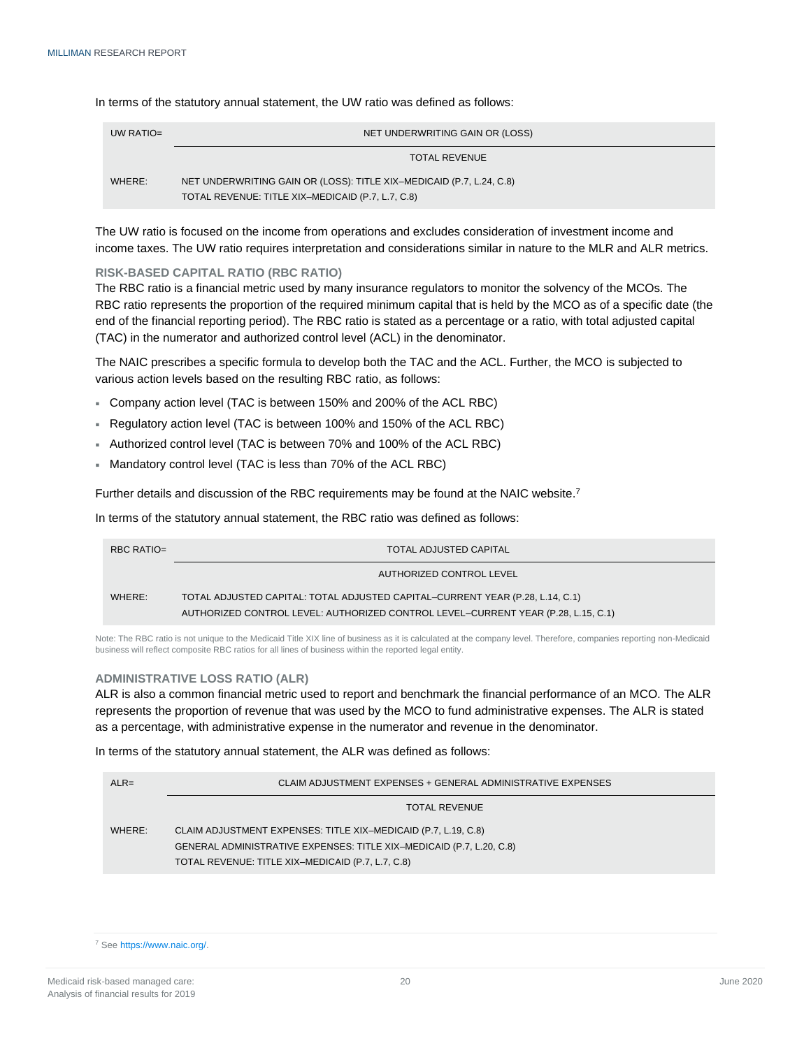In terms of the statutory annual statement, the UW ratio was defined as follows:

| UW RATIO= | NET UNDERWRITING GAIN OR (LOSS)                                                                                           |  |  |  |  |  |  |
|-----------|---------------------------------------------------------------------------------------------------------------------------|--|--|--|--|--|--|
|           | <b>TOTAL REVENUE</b>                                                                                                      |  |  |  |  |  |  |
| WHERE:    | NET UNDERWRITING GAIN OR (LOSS): TITLE XIX-MEDICAID (P.7, L.24, C.8)<br>TOTAL REVENUE: TITLE XIX-MEDICAID (P.7, L.7, C.8) |  |  |  |  |  |  |

The UW ratio is focused on the income from operations and excludes consideration of investment income and income taxes. The UW ratio requires interpretation and considerations similar in nature to the MLR and ALR metrics.

#### **RISK-BASED CAPITAL RATIO (RBC RATIO)**

The RBC ratio is a financial metric used by many insurance regulators to monitor the solvency of the MCOs. The RBC ratio represents the proportion of the required minimum capital that is held by the MCO as of a specific date (the end of the financial reporting period). The RBC ratio is stated as a percentage or a ratio, with total adjusted capital (TAC) in the numerator and authorized control level (ACL) in the denominator.

The NAIC prescribes a specific formula to develop both the TAC and the ACL. Further, the MCO is subjected to various action levels based on the resulting RBC ratio, as follows:

- Company action level (TAC is between 150% and 200% of the ACL RBC)
- Regulatory action level (TAC is between 100% and 150% of the ACL RBC)
- Authorized control level (TAC is between 70% and 100% of the ACL RBC)
- Mandatory control level (TAC is less than 70% of the ACL RBC)

Further details and discussion of the RBC requirements may be found at the NAIC website.<sup>7</sup>

In terms of the statutory annual statement, the RBC ratio was defined as follows:

| RBC RATIO= | TOTAL ADJUSTED CAPITAL                                                                                                                                             |
|------------|--------------------------------------------------------------------------------------------------------------------------------------------------------------------|
|            | AUTHORIZED CONTROL LEVEL                                                                                                                                           |
| WHERE:     | TOTAL ADJUSTED CAPITAL: TOTAL ADJUSTED CAPITAL-CURRENT YEAR (P.28, L.14, C.1)<br>AUTHORIZED CONTROL LEVEL: AUTHORIZED CONTROL LEVEL-CURRENT YEAR (P.28, L.15, C.1) |

Note: The RBC ratio is not unique to the Medicaid Title XIX line of business as it is calculated at the company level. Therefore, companies reporting non-Medicaid business will reflect composite RBC ratios for all lines of business within the reported legal entity.

#### **ADMINISTRATIVE LOSS RATIO (ALR)**

ALR is also a common financial metric used to report and benchmark the financial performance of an MCO. The ALR represents the proportion of revenue that was used by the MCO to fund administrative expenses. The ALR is stated as a percentage, with administrative expense in the numerator and revenue in the denominator.

In terms of the statutory annual statement, the ALR was defined as follows:

| $ALR=$ | CLAIM ADJUSTMENT EXPENSES + GENERAL ADMINISTRATIVE EXPENSES          |
|--------|----------------------------------------------------------------------|
|        | <b>TOTAL REVENUE</b>                                                 |
| WHERE: | CLAIM ADJUSTMENT EXPENSES: TITLE XIX-MEDICAID (P.7, L.19, C.8)       |
|        | GENERAL ADMINISTRATIVE EXPENSES: TITLE XIX-MEDICAID (P.7, L.20, C.8) |
|        | TOTAL REVENUE: TITLE XIX-MEDICAID (P.7, L.7, C.8)                    |

<sup>7</sup> See [https://www.naic.org/.](https://www.naic.org/)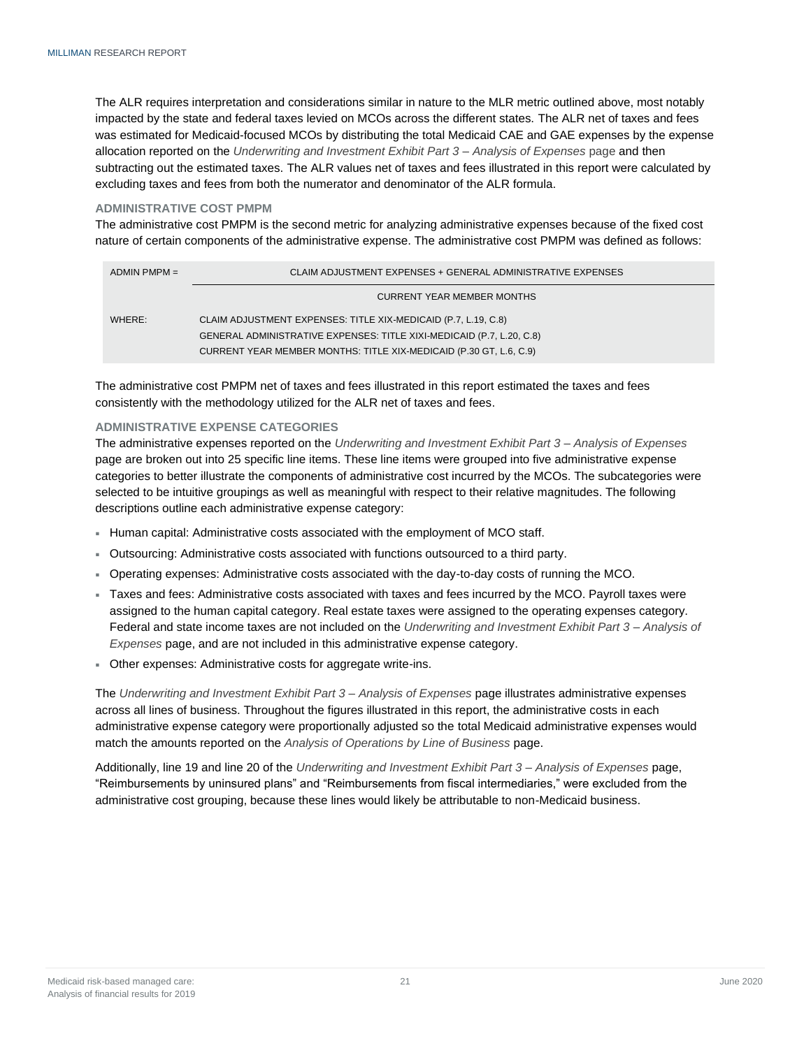The ALR requires interpretation and considerations similar in nature to the MLR metric outlined above, most notably impacted by the state and federal taxes levied on MCOs across the different states. The ALR net of taxes and fees was estimated for Medicaid-focused MCOs by distributing the total Medicaid CAE and GAE expenses by the expense allocation reported on the *Underwriting and Investment Exhibit Part 3 – Analysis of Expenses* page and then subtracting out the estimated taxes. The ALR values net of taxes and fees illustrated in this report were calculated by excluding taxes and fees from both the numerator and denominator of the ALR formula.

#### **ADMINISTRATIVE COST PMPM**

The administrative cost PMPM is the second metric for analyzing administrative expenses because of the fixed cost nature of certain components of the administrative expense. The administrative cost PMPM was defined as follows:

| $ADMIN$ PMPM $=$ | CLAIM ADJUSTMENT EXPENSES + GENERAL ADMINISTRATIVE EXPENSES           |  |  |  |  |  |  |  |
|------------------|-----------------------------------------------------------------------|--|--|--|--|--|--|--|
|                  | <b>CURRENT YEAR MEMBER MONTHS</b>                                     |  |  |  |  |  |  |  |
| WHERE:           | CLAIM ADJUSTMENT EXPENSES: TITLE XIX-MEDICAID (P.7, L.19, C.8)        |  |  |  |  |  |  |  |
|                  | GENERAL ADMINISTRATIVE EXPENSES: TITLE XIXI-MEDICAID (P.7, L.20, C.8) |  |  |  |  |  |  |  |
|                  | CURRENT YEAR MEMBER MONTHS: TITLE XIX-MEDICAID (P.30 GT, L.6, C.9)    |  |  |  |  |  |  |  |

The administrative cost PMPM net of taxes and fees illustrated in this report estimated the taxes and fees consistently with the methodology utilized for the ALR net of taxes and fees.

#### **ADMINISTRATIVE EXPENSE CATEGORIES**

The administrative expenses reported on the *Underwriting and Investment Exhibit Part 3 – Analysis of Expenses* page are broken out into 25 specific line items. These line items were grouped into five administrative expense categories to better illustrate the components of administrative cost incurred by the MCOs. The subcategories were selected to be intuitive groupings as well as meaningful with respect to their relative magnitudes. The following descriptions outline each administrative expense category:

- Human capital: Administrative costs associated with the employment of MCO staff.
- Outsourcing: Administrative costs associated with functions outsourced to a third party.
- Operating expenses: Administrative costs associated with the day-to-day costs of running the MCO.
- Taxes and fees: Administrative costs associated with taxes and fees incurred by the MCO. Payroll taxes were assigned to the human capital category. Real estate taxes were assigned to the operating expenses category. Federal and state income taxes are not included on the *Underwriting and Investment Exhibit Part 3 – Analysis of Expenses* page, and are not included in this administrative expense category.
- Other expenses: Administrative costs for aggregate write-ins.

The *Underwriting and Investment Exhibit Part 3 – Analysis of Expenses* page illustrates administrative expenses across all lines of business. Throughout the figures illustrated in this report, the administrative costs in each administrative expense category were proportionally adjusted so the total Medicaid administrative expenses would match the amounts reported on the *Analysis of Operations by Line of Business* page.

Additionally, line 19 and line 20 of the *Underwriting and Investment Exhibit Part 3 – Analysis of Expenses* page, "Reimbursements by uninsured plans" and "Reimbursements from fiscal intermediaries," were excluded from the administrative cost grouping, because these lines would likely be attributable to non-Medicaid business.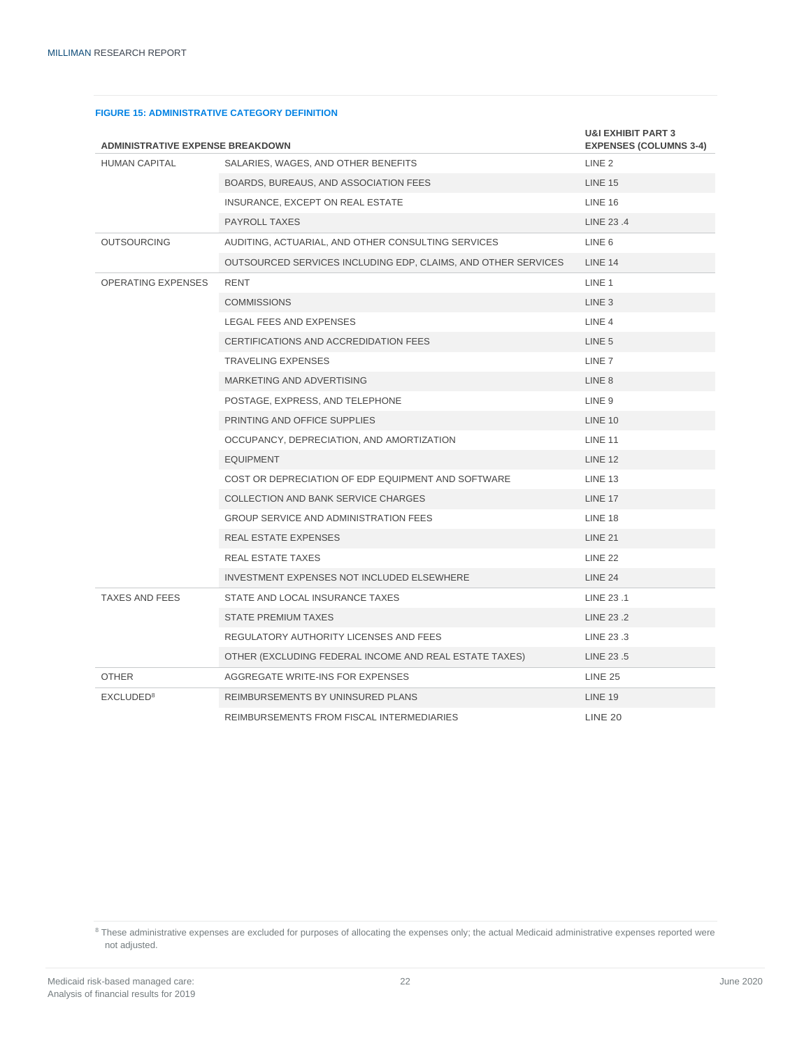| <b>ADMINISTRATIVE EXPENSE BREAKDOWN</b> |                                                               | <b>U&amp;I EXHIBIT PART 3</b><br><b>EXPENSES (COLUMNS 3-4)</b> |
|-----------------------------------------|---------------------------------------------------------------|----------------------------------------------------------------|
| <b>HUMAN CAPITAL</b>                    | SALARIES, WAGES, AND OTHER BENEFITS                           | LINE <sub>2</sub>                                              |
|                                         | BOARDS, BUREAUS, AND ASSOCIATION FEES                         | <b>LINE 15</b>                                                 |
|                                         | INSURANCE, EXCEPT ON REAL ESTATE                              | <b>LINE 16</b>                                                 |
|                                         | <b>PAYROLL TAXES</b>                                          | LINE 23.4                                                      |
| <b>OUTSOURCING</b>                      | AUDITING, ACTUARIAL, AND OTHER CONSULTING SERVICES            | LINE <sub>6</sub>                                              |
|                                         | OUTSOURCED SERVICES INCLUDING EDP, CLAIMS, AND OTHER SERVICES | <b>LINE 14</b>                                                 |
| <b>OPERATING EXPENSES</b>               | <b>RENT</b>                                                   | LINE 1                                                         |
|                                         | <b>COMMISSIONS</b>                                            | LINE <sub>3</sub>                                              |
|                                         | LEGAL FEES AND EXPENSES                                       | LINE 4                                                         |
|                                         | CERTIFICATIONS AND ACCREDIDATION FEES                         | LINE <sub>5</sub>                                              |
|                                         | <b>TRAVELING EXPENSES</b>                                     | LINE 7                                                         |
|                                         | MARKETING AND ADVERTISING                                     | LINE 8                                                         |
|                                         | POSTAGE, EXPRESS, AND TELEPHONE                               | LINE 9                                                         |
|                                         | PRINTING AND OFFICE SUPPLIES                                  | <b>LINE 10</b>                                                 |
|                                         | OCCUPANCY, DEPRECIATION, AND AMORTIZATION                     | <b>LINE 11</b>                                                 |
|                                         | <b>EQUIPMENT</b>                                              | <b>LINE 12</b>                                                 |
|                                         | COST OR DEPRECIATION OF EDP EQUIPMENT AND SOFTWARE            | <b>LINE 13</b>                                                 |
|                                         | COLLECTION AND BANK SERVICE CHARGES                           | <b>LINE 17</b>                                                 |
|                                         | <b>GROUP SERVICE AND ADMINISTRATION FEES</b>                  | LINE 18                                                        |
|                                         | REAL ESTATE EXPENSES                                          | <b>LINE 21</b>                                                 |
|                                         | <b>REAL ESTATE TAXES</b>                                      | <b>LINE 22</b>                                                 |
|                                         | INVESTMENT EXPENSES NOT INCLUDED ELSEWHERE                    | LINE 24                                                        |
| TAXES AND FEES                          | STATE AND LOCAL INSURANCE TAXES                               | LINE 23.1                                                      |
|                                         | <b>STATE PREMIUM TAXES</b>                                    | LINE 23.2                                                      |
|                                         | REGULATORY AUTHORITY LICENSES AND FEES                        | LINE 23.3                                                      |
|                                         | OTHER (EXCLUDING FEDERAL INCOME AND REAL ESTATE TAXES)        | LINE 23.5                                                      |
| <b>OTHER</b>                            | AGGREGATE WRITE-INS FOR EXPENSES                              | <b>LINE 25</b>                                                 |
| EXCLUDED <sup>8</sup>                   | REIMBURSEMENTS BY UNINSURED PLANS                             | <b>LINE 19</b>                                                 |
|                                         | REIMBURSEMENTS FROM FISCAL INTERMEDIARIES                     | LINE 20                                                        |

#### **FIGURE 15: ADMINISTRATIVE CATEGORY DEFINITION**

<sup>8</sup> These administrative expenses are excluded for purposes of allocating the expenses only; the actual Medicaid administrative expenses reported were not adjusted.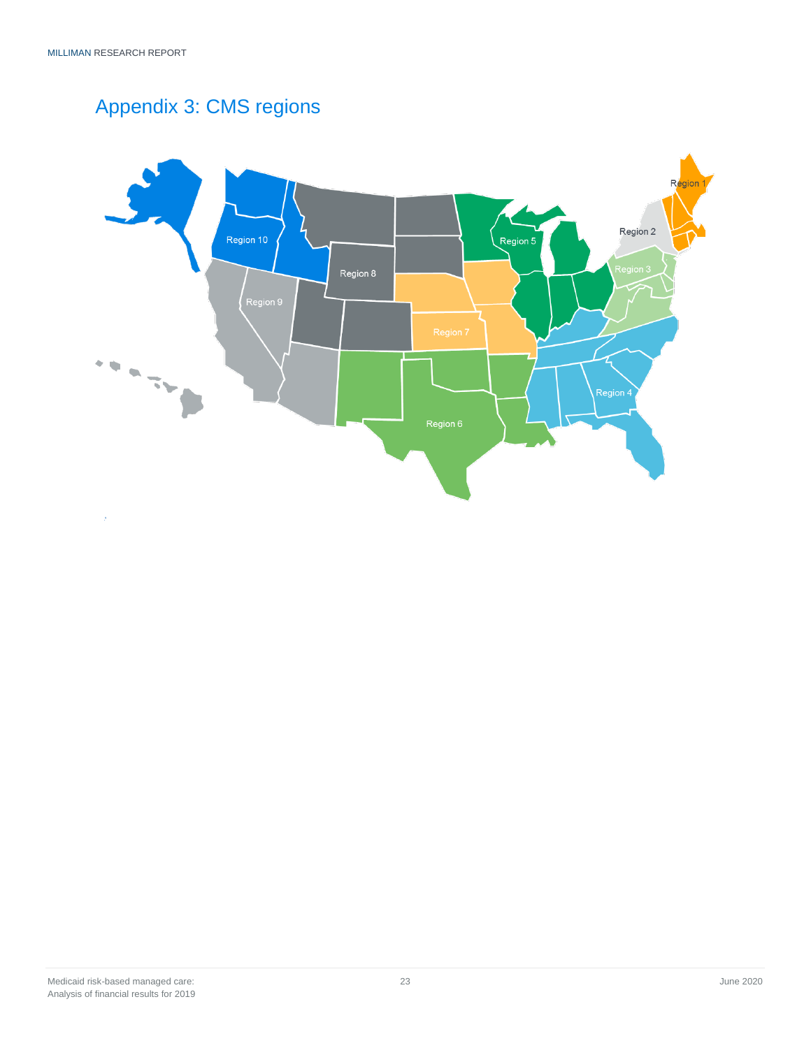# <span id="page-24-0"></span>Appendix 3: CMS regions

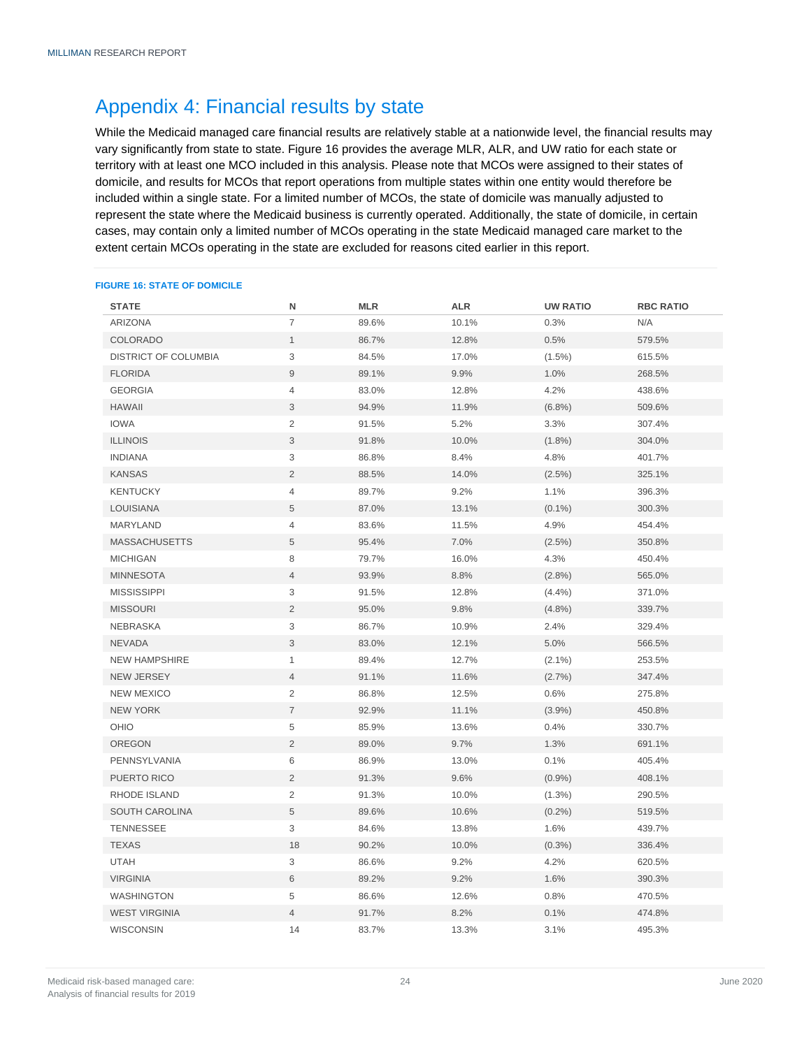### <span id="page-25-0"></span>Appendix 4: Financial results by state

While the Medicaid managed care financial results are relatively stable at a nationwide level, the financial results may vary significantly from state to state. Figure 16 provides the average MLR, ALR, and UW ratio for each state or territory with at least one MCO included in this analysis. Please note that MCOs were assigned to their states of domicile, and results for MCOs that report operations from multiple states within one entity would therefore be included within a single state. For a limited number of MCOs, the state of domicile was manually adjusted to represent the state where the Medicaid business is currently operated. Additionally, the state of domicile, in certain cases, may contain only a limited number of MCOs operating in the state Medicaid managed care market to the extent certain MCOs operating in the state are excluded for reasons cited earlier in this report.

#### **FIGURE 16: STATE OF DOMICILE**

| <b>STATE</b>                | N                         | <b>MLR</b> | <b>ALR</b> | <b>UW RATIO</b> | <b>RBC RATIO</b> |
|-----------------------------|---------------------------|------------|------------|-----------------|------------------|
| <b>ARIZONA</b>              | $\overline{7}$            | 89.6%      | 10.1%      | 0.3%            | N/A              |
| <b>COLORADO</b>             | $\mathbf{1}$              | 86.7%      | 12.8%      | 0.5%            | 579.5%           |
| <b>DISTRICT OF COLUMBIA</b> | 3                         | 84.5%      | 17.0%      | $(1.5\%)$       | 615.5%           |
| <b>FLORIDA</b>              | $\boldsymbol{9}$          | 89.1%      | 9.9%       | 1.0%            | 268.5%           |
| <b>GEORGIA</b>              | $\overline{4}$            | 83.0%      | 12.8%      | 4.2%            | 438.6%           |
| <b>HAWAII</b>               | $\ensuremath{\mathsf{3}}$ | 94.9%      | 11.9%      | (6.8%)          | 509.6%           |
| <b>IOWA</b>                 | $\overline{2}$            | 91.5%      | 5.2%       | 3.3%            | 307.4%           |
| <b>ILLINOIS</b>             | $\ensuremath{\mathsf{3}}$ | 91.8%      | 10.0%      | $(1.8\%)$       | 304.0%           |
| <b>INDIANA</b>              | 3                         | 86.8%      | 8.4%       | 4.8%            | 401.7%           |
| <b>KANSAS</b>               | $\overline{2}$            | 88.5%      | 14.0%      | (2.5%)          | 325.1%           |
| <b>KENTUCKY</b>             | $\overline{4}$            | 89.7%      | 9.2%       | 1.1%            | 396.3%           |
| <b>LOUISIANA</b>            | $\,$ 5 $\,$               | 87.0%      | 13.1%      | $(0.1\%)$       | 300.3%           |
| <b>MARYLAND</b>             | 4                         | 83.6%      | 11.5%      | 4.9%            | 454.4%           |
| <b>MASSACHUSETTS</b>        | 5                         | 95.4%      | 7.0%       | $(2.5\%)$       | 350.8%           |
| <b>MICHIGAN</b>             | 8                         | 79.7%      | 16.0%      | 4.3%            | 450.4%           |
| <b>MINNESOTA</b>            | $\overline{4}$            | 93.9%      | 8.8%       | (2.8%)          | 565.0%           |
| <b>MISSISSIPPI</b>          | 3                         | 91.5%      | 12.8%      | (4.4%)          | 371.0%           |
| <b>MISSOURI</b>             | $\overline{c}$            | 95.0%      | 9.8%       | $(4.8\%)$       | 339.7%           |
| <b>NEBRASKA</b>             | 3                         | 86.7%      | 10.9%      | 2.4%            | 329.4%           |
| <b>NEVADA</b>               | 3                         | 83.0%      | 12.1%      | 5.0%            | 566.5%           |
| <b>NEW HAMPSHIRE</b>        | $\mathbf{1}$              | 89.4%      | 12.7%      | $(2.1\%)$       | 253.5%           |
| <b>NEW JERSEY</b>           | $\overline{4}$            | 91.1%      | 11.6%      | (2.7%)          | 347.4%           |
| <b>NEW MEXICO</b>           | $\overline{2}$            | 86.8%      | 12.5%      | 0.6%            | 275.8%           |
| <b>NEW YORK</b>             | $\overline{\mathcal{I}}$  | 92.9%      | 11.1%      | $(3.9\%)$       | 450.8%           |
| OHIO                        | 5                         | 85.9%      | 13.6%      | 0.4%            | 330.7%           |
| <b>OREGON</b>               | $\overline{2}$            | 89.0%      | 9.7%       | 1.3%            | 691.1%           |
| PENNSYLVANIA                | 6                         | 86.9%      | 13.0%      | 0.1%            | 405.4%           |
| PUERTO RICO                 | $\overline{2}$            | 91.3%      | 9.6%       | $(0.9\%)$       | 408.1%           |
| RHODE ISLAND                | 2                         | 91.3%      | 10.0%      | $(1.3\%)$       | 290.5%           |
| SOUTH CAROLINA              | 5                         | 89.6%      | 10.6%      | $(0.2\%)$       | 519.5%           |
| <b>TENNESSEE</b>            | 3                         | 84.6%      | 13.8%      | 1.6%            | 439.7%           |
| <b>TEXAS</b>                | 18                        | 90.2%      | 10.0%      | $(0.3\%)$       | 336.4%           |
| <b>UTAH</b>                 | 3                         | 86.6%      | 9.2%       | 4.2%            | 620.5%           |
| <b>VIRGINIA</b>             | 6                         | 89.2%      | 9.2%       | 1.6%            | 390.3%           |
| <b>WASHINGTON</b>           | 5                         | 86.6%      | 12.6%      | 0.8%            | 470.5%           |
| <b>WEST VIRGINIA</b>        | 4                         | 91.7%      | 8.2%       | 0.1%            | 474.8%           |
| <b>WISCONSIN</b>            | 14                        | 83.7%      | 13.3%      | 3.1%            | 495.3%           |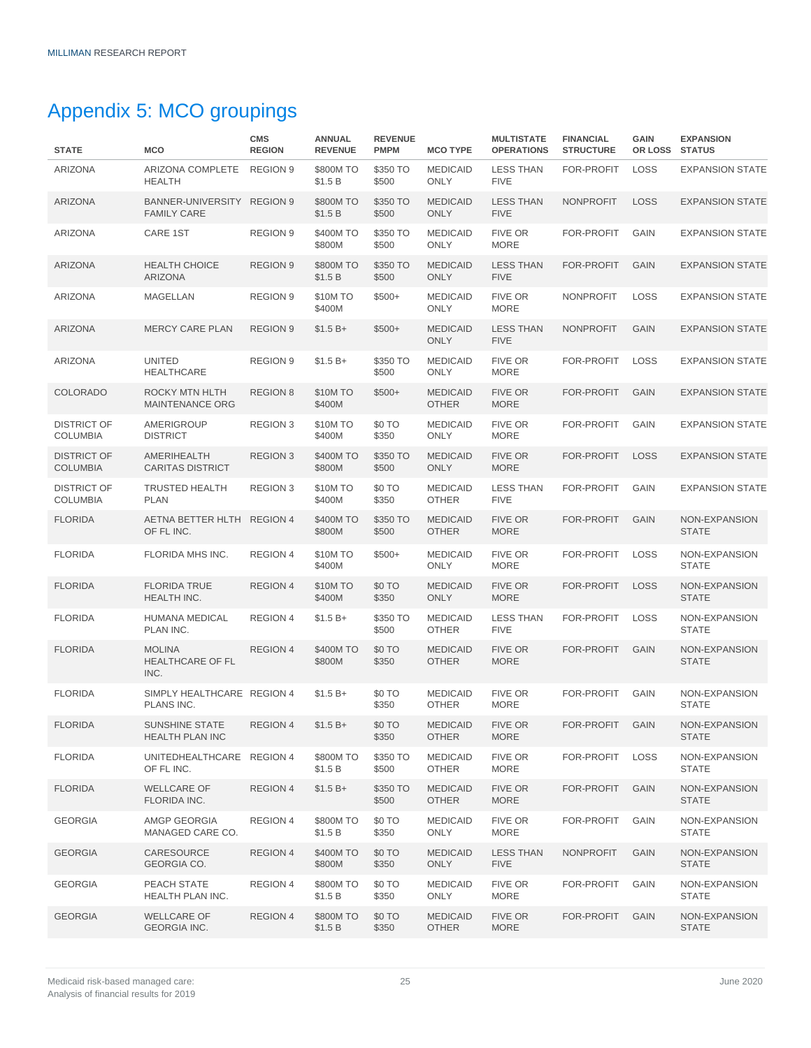## <span id="page-26-0"></span>Appendix 5: MCO groupings

| <b>STATE</b>                          | <b>MCO</b>                                       | <b>CMS</b><br><b>REGION</b> | <b>ANNUAL</b><br><b>REVENUE</b> | <b>REVENUE</b><br><b>PMPM</b> | <b>MCO TYPE</b>                 | <b>MULTISTATE</b><br><b>OPERATIONS</b> | <b>FINANCIAL</b><br><b>STRUCTURE</b> | <b>GAIN</b><br>OR LOSS | <b>EXPANSION</b><br><b>STATUS</b> |
|---------------------------------------|--------------------------------------------------|-----------------------------|---------------------------------|-------------------------------|---------------------------------|----------------------------------------|--------------------------------------|------------------------|-----------------------------------|
| <b>ARIZONA</b>                        | ARIZONA COMPLETE REGION 9<br><b>HEALTH</b>       |                             | \$800M TO<br>\$1.5 B            | \$350 TO<br>\$500             | <b>MEDICAID</b><br><b>ONLY</b>  | <b>LESS THAN</b><br><b>FIVE</b>        | FOR-PROFIT                           | <b>LOSS</b>            | <b>EXPANSION STATE</b>            |
| <b>ARIZONA</b>                        | BANNER-UNIVERSITY REGION 9<br><b>FAMILY CARE</b> |                             | \$800M TO<br>\$1.5 B            | \$350 TO<br>\$500             | <b>MEDICAID</b><br><b>ONLY</b>  | <b>LESS THAN</b><br><b>FIVE</b>        | <b>NONPROFIT</b>                     | <b>LOSS</b>            | <b>EXPANSION STATE</b>            |
| <b>ARIZONA</b>                        | CARE 1ST                                         | <b>REGION 9</b>             | \$400M TO<br>\$800M             | \$350 TO<br>\$500             | <b>MEDICAID</b><br><b>ONLY</b>  | <b>FIVE OR</b><br><b>MORE</b>          | FOR-PROFIT                           | GAIN                   | <b>EXPANSION STATE</b>            |
| <b>ARIZONA</b>                        | <b>HEALTH CHOICE</b><br><b>ARIZONA</b>           | <b>REGION 9</b>             | \$800M TO<br>\$1.5 B            | \$350 TO<br>\$500             | <b>MEDICAID</b><br><b>ONLY</b>  | <b>LESS THAN</b><br><b>FIVE</b>        | <b>FOR-PROFIT</b>                    | <b>GAIN</b>            | <b>EXPANSION STATE</b>            |
| <b>ARIZONA</b>                        | MAGELLAN                                         | <b>REGION 9</b>             | \$10M TO<br>\$400M              | $$500+$                       | <b>MEDICAID</b><br><b>ONLY</b>  | <b>FIVE OR</b><br><b>MORE</b>          | <b>NONPROFIT</b>                     | <b>LOSS</b>            | <b>EXPANSION STATE</b>            |
| <b>ARIZONA</b>                        | <b>MERCY CARE PLAN</b>                           | <b>REGION 9</b>             | $$1.5 B+$                       | $$500+$                       | <b>MEDICAID</b><br><b>ONLY</b>  | <b>LESS THAN</b><br><b>FIVE</b>        | <b>NONPROFIT</b>                     | <b>GAIN</b>            | <b>EXPANSION STATE</b>            |
| <b>ARIZONA</b>                        | <b>UNITED</b><br><b>HEALTHCARE</b>               | <b>REGION 9</b>             | $$1.5 B+$                       | \$350 TO<br>\$500             | <b>MEDICAID</b><br><b>ONLY</b>  | FIVE OR<br><b>MORE</b>                 | FOR-PROFIT                           | <b>LOSS</b>            | <b>EXPANSION STATE</b>            |
| <b>COLORADO</b>                       | ROCKY MTN HLTH<br>MAINTENANCE ORG                | <b>REGION 8</b>             | \$10M TO<br>\$400M              | $$500+$                       | <b>MEDICAID</b><br><b>OTHER</b> | <b>FIVE OR</b><br><b>MORE</b>          | <b>FOR-PROFIT</b>                    | <b>GAIN</b>            | <b>EXPANSION STATE</b>            |
| <b>DISTRICT OF</b><br><b>COLUMBIA</b> | AMERIGROUP<br><b>DISTRICT</b>                    | <b>REGION 3</b>             | \$10M TO<br>\$400M              | \$0 TO<br>\$350               | <b>MEDICAID</b><br><b>ONLY</b>  | <b>FIVE OR</b><br><b>MORE</b>          | FOR-PROFIT                           | GAIN                   | <b>EXPANSION STATE</b>            |
| <b>DISTRICT OF</b><br><b>COLUMBIA</b> | AMERIHEALTH<br><b>CARITAS DISTRICT</b>           | <b>REGION 3</b>             | \$400M TO<br>\$800M             | \$350 TO<br>\$500             | <b>MEDICAID</b><br><b>ONLY</b>  | <b>FIVE OR</b><br><b>MORE</b>          | <b>FOR-PROFIT</b>                    | <b>LOSS</b>            | <b>EXPANSION STATE</b>            |
| <b>DISTRICT OF</b><br><b>COLUMBIA</b> | <b>TRUSTED HEALTH</b><br><b>PLAN</b>             | <b>REGION 3</b>             | \$10M TO<br>\$400M              | \$0 TO<br>\$350               | <b>MEDICAID</b><br><b>OTHER</b> | <b>LESS THAN</b><br><b>FIVE</b>        | FOR-PROFIT                           | GAIN                   | <b>EXPANSION STATE</b>            |
| <b>FLORIDA</b>                        | AETNA BETTER HLTH REGION 4<br>OF FL INC.         |                             | \$400M TO<br>\$800M             | \$350 TO<br>\$500             | <b>MEDICAID</b><br><b>OTHER</b> | <b>FIVE OR</b><br><b>MORE</b>          | <b>FOR-PROFIT</b>                    | <b>GAIN</b>            | NON-EXPANSION<br><b>STATE</b>     |
| <b>FLORIDA</b>                        | FLORIDA MHS INC.                                 | <b>REGION 4</b>             | \$10M TO<br>\$400M              | \$500+                        | <b>MEDICAID</b><br><b>ONLY</b>  | FIVE OR<br><b>MORE</b>                 | FOR-PROFIT                           | <b>LOSS</b>            | NON-EXPANSION<br><b>STATE</b>     |
| <b>FLORIDA</b>                        | <b>FLORIDA TRUE</b><br>HEALTH INC.               | <b>REGION 4</b>             | \$10M TO<br>\$400M              | \$0 TO<br>\$350               | <b>MEDICAID</b><br><b>ONLY</b>  | <b>FIVE OR</b><br><b>MORE</b>          | <b>FOR-PROFIT</b>                    | <b>LOSS</b>            | NON-EXPANSION<br><b>STATE</b>     |
| <b>FLORIDA</b>                        | HUMANA MEDICAL<br>PLAN INC.                      | <b>REGION 4</b>             | $$1.5 B+$                       | \$350 TO<br>\$500             | <b>MEDICAID</b><br><b>OTHER</b> | <b>LESS THAN</b><br><b>FIVE</b>        | FOR-PROFIT                           | <b>LOSS</b>            | NON-EXPANSION<br><b>STATE</b>     |
| <b>FLORIDA</b>                        | <b>MOLINA</b><br><b>HEALTHCARE OF FL</b><br>INC. | <b>REGION 4</b>             | \$400M TO<br>\$800M             | \$0 TO<br>\$350               | <b>MEDICAID</b><br><b>OTHER</b> | <b>FIVE OR</b><br><b>MORE</b>          | <b>FOR-PROFIT</b>                    | <b>GAIN</b>            | NON-EXPANSION<br><b>STATE</b>     |
| <b>FLORIDA</b>                        | SIMPLY HEALTHCARE REGION 4<br>PLANS INC.         |                             | $$1.5 B+$                       | \$0 TO<br>\$350               | <b>MEDICAID</b><br><b>OTHER</b> | FIVE OR<br><b>MORE</b>                 | FOR-PROFIT                           | GAIN                   | NON-EXPANSION<br><b>STATE</b>     |
| <b>FLORIDA</b>                        | SUNSHINE STATE<br><b>HEALTH PLAN INC</b>         | REGION 4                    | $$1.5 B+$                       | \$0 TO<br>\$350               | MEDICAID<br><b>OTHER</b>        | FIVE OR<br><b>MORE</b>                 | FOR-PROFIT GAIN                      |                        | NON-EXPANSION<br><b>STATE</b>     |
| <b>FLORIDA</b>                        | UNITEDHEALTHCARE REGION 4<br>OF FL INC.          |                             | \$800M TO<br>\$1.5 B            | \$350 TO<br>\$500             | <b>MEDICAID</b><br><b>OTHER</b> | FIVE OR<br><b>MORE</b>                 | FOR-PROFIT LOSS                      |                        | NON-EXPANSION<br><b>STATE</b>     |
| <b>FLORIDA</b>                        | <b>WELLCARE OF</b><br>FLORIDA INC.               | <b>REGION 4</b>             | $$1.5 B+$                       | \$350 TO<br>\$500             | <b>MEDICAID</b><br><b>OTHER</b> | <b>FIVE OR</b><br><b>MORE</b>          | FOR-PROFIT                           | <b>GAIN</b>            | NON-EXPANSION<br><b>STATE</b>     |
| <b>GEORGIA</b>                        | AMGP GEORGIA<br>MANAGED CARE CO.                 | <b>REGION 4</b>             | \$800M TO<br>\$1.5 B            | \$0 TO<br>\$350               | <b>MEDICAID</b><br>ONLY         | FIVE OR<br><b>MORE</b>                 | FOR-PROFIT                           | GAIN                   | NON-EXPANSION<br><b>STATE</b>     |
| <b>GEORGIA</b>                        | CARESOURCE<br>GEORGIA CO.                        | <b>REGION 4</b>             | \$400M TO<br>\$800M             | \$0 TO<br>\$350               | <b>MEDICAID</b><br><b>ONLY</b>  | <b>LESS THAN</b><br><b>FIVE</b>        | <b>NONPROFIT</b>                     | <b>GAIN</b>            | NON-EXPANSION<br><b>STATE</b>     |
| <b>GEORGIA</b>                        | PEACH STATE<br>HEALTH PLAN INC.                  | <b>REGION 4</b>             | \$800M TO<br>\$1.5 B            | \$0 TO<br>\$350               | <b>MEDICAID</b><br><b>ONLY</b>  | FIVE OR<br><b>MORE</b>                 | FOR-PROFIT                           | GAIN                   | NON-EXPANSION<br><b>STATE</b>     |
| <b>GEORGIA</b>                        | <b>WELLCARE OF</b><br><b>GEORGIA INC.</b>        | <b>REGION 4</b>             | \$800M TO<br>\$1.5 B            | \$0 TO<br>\$350               | <b>MEDICAID</b><br><b>OTHER</b> | <b>FIVE OR</b><br><b>MORE</b>          | FOR-PROFIT                           | <b>GAIN</b>            | NON-EXPANSION<br><b>STATE</b>     |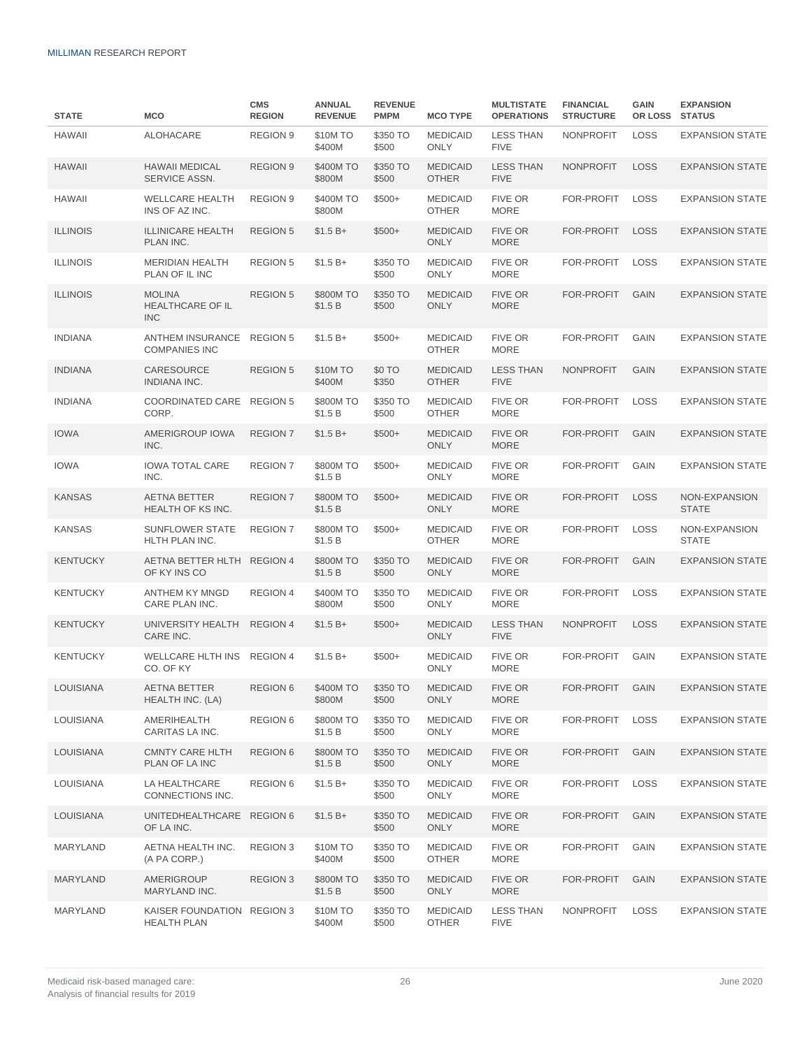| <b>STATE</b>     | <b>MCO</b>                                             | <b>CMS</b><br><b>REGION</b> | <b>ANNUAL</b><br><b>REVENUE</b> | <b>REVENUE</b><br><b>PMPM</b> | <b>MCO TYPE</b>                 | <b>MULTISTATE</b><br><b>OPERATIONS</b> | <b>FINANCIAL</b><br><b>STRUCTURE</b> | <b>GAIN</b><br>OR LOSS | <b>EXPANSION</b><br><b>STATUS</b> |
|------------------|--------------------------------------------------------|-----------------------------|---------------------------------|-------------------------------|---------------------------------|----------------------------------------|--------------------------------------|------------------------|-----------------------------------|
| <b>HAWAII</b>    | <b>ALOHACARE</b>                                       | <b>REGION 9</b>             | \$10M TO<br>\$400M              | \$350 TO<br>\$500             | <b>MEDICAID</b><br><b>ONLY</b>  | <b>LESS THAN</b><br><b>FIVE</b>        | <b>NONPROFIT</b>                     | <b>LOSS</b>            | <b>EXPANSION STATE</b>            |
| <b>HAWAII</b>    | <b>HAWAII MEDICAL</b><br>SERVICE ASSN.                 | <b>REGION 9</b>             | \$400M TO<br>\$800M             | \$350 TO<br>\$500             | <b>MEDICAID</b><br><b>OTHER</b> | <b>LESS THAN</b><br><b>FIVE</b>        | <b>NONPROFIT</b>                     | <b>LOSS</b>            | <b>EXPANSION STATE</b>            |
| HAWAII           | <b>WELLCARE HEALTH</b><br>INS OF AZ INC.               | <b>REGION 9</b>             | \$400M TO<br>\$800M             | $$500+$                       | <b>MEDICAID</b><br><b>OTHER</b> | <b>FIVE OR</b><br><b>MORE</b>          | FOR-PROFIT                           | <b>LOSS</b>            | <b>EXPANSION STATE</b>            |
| <b>ILLINOIS</b>  | <b>ILLINICARE HEALTH</b><br>PLAN INC.                  | <b>REGION 5</b>             | $$1.5 B+$                       | $$500+$                       | <b>MEDICAID</b><br><b>ONLY</b>  | <b>FIVE OR</b><br><b>MORE</b>          | FOR-PROFIT                           | <b>LOSS</b>            | <b>EXPANSION STATE</b>            |
| <b>ILLINOIS</b>  | <b>MERIDIAN HEALTH</b><br>PLAN OF IL INC               | <b>REGION 5</b>             | $$1.5 B+$                       | \$350 TO<br>\$500             | <b>MEDICAID</b><br><b>ONLY</b>  | <b>FIVE OR</b><br><b>MORE</b>          | FOR-PROFIT                           | <b>LOSS</b>            | <b>EXPANSION STATE</b>            |
| <b>ILLINOIS</b>  | <b>MOLINA</b><br><b>HEALTHCARE OF IL</b><br><b>INC</b> | <b>REGION 5</b>             | \$800M TO<br>\$1.5 B            | \$350 TO<br>\$500             | <b>MEDICAID</b><br><b>ONLY</b>  | <b>FIVE OR</b><br><b>MORE</b>          | <b>FOR-PROFIT</b>                    | <b>GAIN</b>            | <b>EXPANSION STATE</b>            |
| <b>INDIANA</b>   | ANTHEM INSURANCE<br><b>COMPANIES INC</b>               | <b>REGION 5</b>             | $$1.5 B+$                       | $$500+$                       | <b>MEDICAID</b><br><b>OTHER</b> | <b>FIVE OR</b><br><b>MORE</b>          | FOR-PROFIT                           | <b>GAIN</b>            | <b>EXPANSION STATE</b>            |
| <b>INDIANA</b>   | CARESOURCE<br>INDIANA INC.                             | <b>REGION 5</b>             | \$10M TO<br>\$400M              | \$0 TO<br>\$350               | <b>MEDICAID</b><br><b>OTHER</b> | <b>LESS THAN</b><br><b>FIVE</b>        | <b>NONPROFIT</b>                     | <b>GAIN</b>            | <b>EXPANSION STATE</b>            |
| <b>INDIANA</b>   | COORDINATED CARE REGION 5<br>CORP.                     |                             | \$800M TO<br>\$1.5 B            | \$350 TO<br>\$500             | <b>MEDICAID</b><br><b>OTHER</b> | <b>FIVE OR</b><br><b>MORE</b>          | FOR-PROFIT                           | <b>LOSS</b>            | <b>EXPANSION STATE</b>            |
| <b>IOWA</b>      | <b>AMERIGROUP IOWA</b><br>INC.                         | <b>REGION 7</b>             | $$1.5 B+$                       | $$500+$                       | <b>MEDICAID</b><br><b>ONLY</b>  | <b>FIVE OR</b><br><b>MORE</b>          | <b>FOR-PROFIT</b>                    | <b>GAIN</b>            | <b>EXPANSION STATE</b>            |
| <b>IOWA</b>      | <b>IOWA TOTAL CARE</b><br>INC.                         | <b>REGION 7</b>             | \$800M TO<br>\$1.5 B            | $$500+$                       | <b>MEDICAID</b><br><b>ONLY</b>  | <b>FIVE OR</b><br><b>MORE</b>          | FOR-PROFIT                           | <b>GAIN</b>            | <b>EXPANSION STATE</b>            |
| <b>KANSAS</b>    | <b>AETNA BETTER</b><br>HEALTH OF KS INC.               | <b>REGION 7</b>             | \$800M TO<br>\$1.5 B            | $$500+$                       | <b>MEDICAID</b><br><b>ONLY</b>  | <b>FIVE OR</b><br><b>MORE</b>          | FOR-PROFIT                           | <b>LOSS</b>            | NON-EXPANSION<br><b>STATE</b>     |
| <b>KANSAS</b>    | <b>SUNFLOWER STATE</b><br>HLTH PLAN INC.               | <b>REGION 7</b>             | \$800M TO<br>\$1.5 B            | $$500+$                       | <b>MEDICAID</b><br><b>OTHER</b> | <b>FIVE OR</b><br><b>MORE</b>          | FOR-PROFIT                           | <b>LOSS</b>            | NON-EXPANSION<br><b>STATE</b>     |
| <b>KENTUCKY</b>  | AETNA BETTER HLTH REGION 4<br>OF KY INS CO             |                             | \$800M TO<br>\$1.5 B            | \$350 TO<br>\$500             | <b>MEDICAID</b><br><b>ONLY</b>  | <b>FIVE OR</b><br><b>MORE</b>          | FOR-PROFIT                           | <b>GAIN</b>            | <b>EXPANSION STATE</b>            |
| <b>KENTUCKY</b>  | <b>ANTHEM KY MNGD</b><br>CARE PLAN INC.                | <b>REGION 4</b>             | \$400M TO<br>\$800M             | \$350 TO<br>\$500             | <b>MEDICAID</b><br><b>ONLY</b>  | <b>FIVE OR</b><br><b>MORE</b>          | FOR-PROFIT                           | <b>LOSS</b>            | <b>EXPANSION STATE</b>            |
| <b>KENTUCKY</b>  | UNIVERSITY HEALTH<br>CARE INC.                         | <b>REGION 4</b>             | $$1.5 B+$                       | $$500+$                       | <b>MEDICAID</b><br><b>ONLY</b>  | <b>LESS THAN</b><br><b>FIVE</b>        | <b>NONPROFIT</b>                     | <b>LOSS</b>            | <b>EXPANSION STATE</b>            |
| <b>KENTUCKY</b>  | <b>WELLCARE HLTH INS</b><br>CO. OF KY                  | <b>REGION 4</b>             | $$1.5 B+$                       | $$500+$                       | <b>MEDICAID</b><br><b>ONLY</b>  | <b>FIVE OR</b><br><b>MORE</b>          | FOR-PROFIT                           | <b>GAIN</b>            | <b>EXPANSION STATE</b>            |
| LOUISIANA        | <b>AETNA BETTER</b><br><b>HEALTH INC. (LA)</b>         | <b>REGION 6</b>             | \$400M TO<br>\$800M             | \$350 TO<br>\$500             | <b>MEDICAID</b><br><b>ONLY</b>  | FIVE OR<br><b>MORE</b>                 | FOR-PROFIT GAIN                      |                        | <b>EXPANSION STATE</b>            |
| <b>LOUISIANA</b> | AMERIHEALTH<br>CARITAS LA INC.                         | <b>REGION 6</b>             | \$800M TO<br>\$1.5 B            | \$350 TO<br>\$500             | <b>MEDICAID</b><br><b>ONLY</b>  | FIVE OR<br><b>MORE</b>                 | FOR-PROFIT LOSS                      |                        | <b>EXPANSION STATE</b>            |
| <b>LOUISIANA</b> | <b>CMNTY CARE HLTH</b><br>PLAN OF LA INC               | <b>REGION 6</b>             | \$800M TO<br>\$1.5 B            | \$350 TO<br>\$500             | <b>MEDICAID</b><br><b>ONLY</b>  | FIVE OR<br><b>MORE</b>                 | FOR-PROFIT                           | <b>GAIN</b>            | <b>EXPANSION STATE</b>            |
| <b>LOUISIANA</b> | LA HEALTHCARE<br>CONNECTIONS INC.                      | <b>REGION 6</b>             | $$1.5 B+$                       | \$350 TO<br>\$500             | <b>MEDICAID</b><br><b>ONLY</b>  | FIVE OR<br><b>MORE</b>                 | FOR-PROFIT                           | LOSS                   | <b>EXPANSION STATE</b>            |
| <b>LOUISIANA</b> | UNITEDHEALTHCARE REGION 6<br>OF LA INC.                |                             | $$1.5 B+$                       | \$350 TO<br>\$500             | <b>MEDICAID</b><br><b>ONLY</b>  | FIVE OR<br><b>MORE</b>                 | FOR-PROFIT                           | <b>GAIN</b>            | <b>EXPANSION STATE</b>            |
| MARYLAND         | AETNA HEALTH INC.<br>(A PA CORP.)                      | <b>REGION 3</b>             | \$10M TO<br>\$400M              | \$350 TO<br>\$500             | <b>MEDICAID</b><br><b>OTHER</b> | FIVE OR<br><b>MORE</b>                 | FOR-PROFIT                           | GAIN                   | <b>EXPANSION STATE</b>            |
| MARYLAND         | AMERIGROUP<br>MARYLAND INC.                            | <b>REGION 3</b>             | \$800M TO<br>\$1.5 B            | \$350 TO<br>\$500             | <b>MEDICAID</b><br><b>ONLY</b>  | FIVE OR<br><b>MORE</b>                 | FOR-PROFIT                           | <b>GAIN</b>            | <b>EXPANSION STATE</b>            |
| MARYLAND         | KAISER FOUNDATION REGION 3<br><b>HEALTH PLAN</b>       |                             | \$10M TO<br>\$400M              | \$350 TO<br>\$500             | <b>MEDICAID</b><br><b>OTHER</b> | <b>LESS THAN</b><br><b>FIVE</b>        | NONPROFIT                            | LOSS                   | <b>EXPANSION STATE</b>            |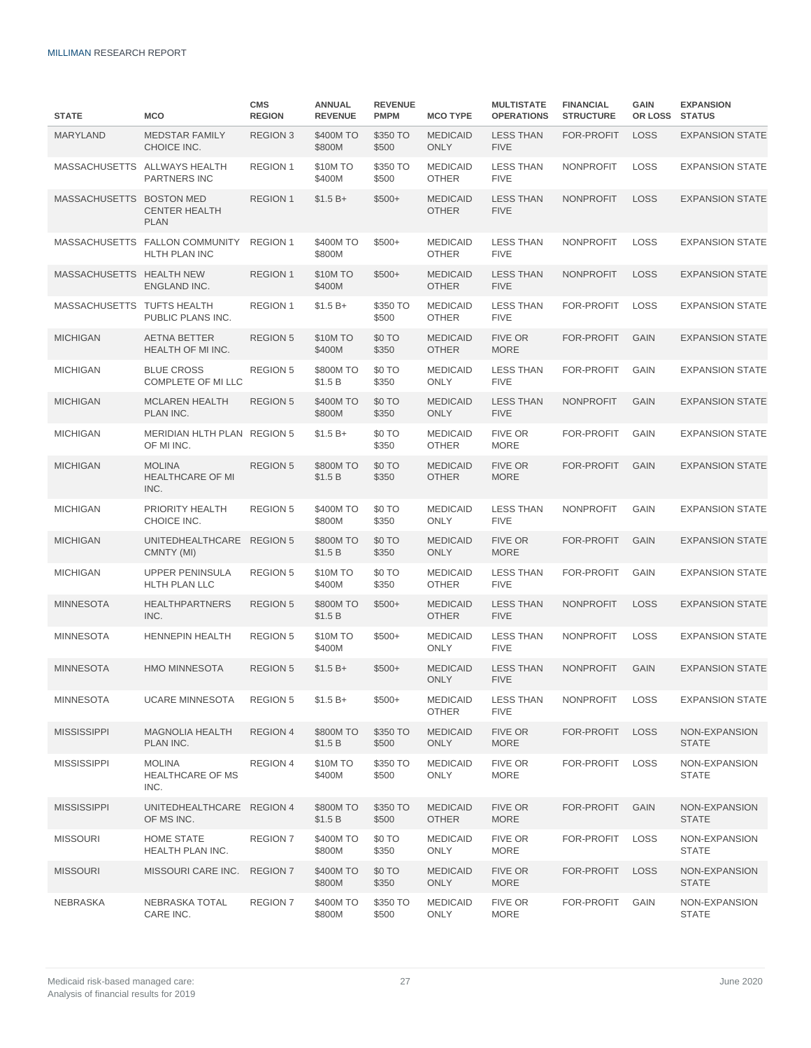| <b>STATE</b>               | <b>MCO</b>                                             | <b>CMS</b><br><b>REGION</b> | ANNUAL<br><b>REVENUE</b> | <b>REVENUE</b><br><b>PMPM</b> | <b>MCO TYPE</b>                 | <b>MULTISTATE</b><br><b>OPERATIONS</b> | <b>FINANCIAL</b><br><b>STRUCTURE</b> | GAIN<br>OR LOSS | <b>EXPANSION</b><br><b>STATUS</b> |
|----------------------------|--------------------------------------------------------|-----------------------------|--------------------------|-------------------------------|---------------------------------|----------------------------------------|--------------------------------------|-----------------|-----------------------------------|
| <b>MARYLAND</b>            | <b>MEDSTAR FAMILY</b><br>CHOICE INC.                   | <b>REGION 3</b>             | \$400M TO<br>\$800M      | \$350 TO<br>\$500             | <b>MEDICAID</b><br><b>ONLY</b>  | <b>LESS THAN</b><br><b>FIVE</b>        | FOR-PROFIT                           | <b>LOSS</b>     | <b>EXPANSION STATE</b>            |
|                            | MASSACHUSETTS ALLWAYS HEALTH<br>PARTNERS INC           | <b>REGION 1</b>             | \$10M TO<br>\$400M       | \$350 TO<br>\$500             | <b>MEDICAID</b><br><b>OTHER</b> | <b>LESS THAN</b><br><b>FIVE</b>        | <b>NONPROFIT</b>                     | <b>LOSS</b>     | <b>EXPANSION STATE</b>            |
| MASSACHUSETTS BOSTON MED   | <b>CENTER HEALTH</b><br><b>PLAN</b>                    | <b>REGION 1</b>             | $$1.5 B+$                | $$500+$                       | <b>MEDICAID</b><br><b>OTHER</b> | <b>LESS THAN</b><br><b>FIVE</b>        | <b>NONPROFIT</b>                     | <b>LOSS</b>     | <b>EXPANSION STATE</b>            |
|                            | MASSACHUSETTS FALLON COMMUNITY<br><b>HLTH PLAN INC</b> | <b>REGION 1</b>             | \$400M TO<br>\$800M      | $$500+$                       | <b>MEDICAID</b><br><b>OTHER</b> | <b>LESS THAN</b><br><b>FIVE</b>        | <b>NONPROFIT</b>                     | <b>LOSS</b>     | <b>EXPANSION STATE</b>            |
| MASSACHUSETTS HEALTH NEW   | ENGLAND INC.                                           | <b>REGION 1</b>             | \$10M TO<br>\$400M       | $$500+$                       | <b>MEDICAID</b><br><b>OTHER</b> | <b>LESS THAN</b><br><b>FIVE</b>        | <b>NONPROFIT</b>                     | <b>LOSS</b>     | <b>EXPANSION STATE</b>            |
| MASSACHUSETTS TUFTS HEALTH | PUBLIC PLANS INC.                                      | <b>REGION 1</b>             | $$1.5 B+$                | \$350 TO<br>\$500             | <b>MEDICAID</b><br><b>OTHER</b> | <b>LESS THAN</b><br><b>FIVE</b>        | FOR-PROFIT                           | <b>LOSS</b>     | <b>EXPANSION STATE</b>            |
| <b>MICHIGAN</b>            | <b>AETNA BETTER</b><br>HEALTH OF MI INC.               | <b>REGION 5</b>             | \$10M TO<br>\$400M       | \$0 TO<br>\$350               | <b>MEDICAID</b><br><b>OTHER</b> | <b>FIVE OR</b><br><b>MORE</b>          | FOR-PROFIT                           | <b>GAIN</b>     | <b>EXPANSION STATE</b>            |
| <b>MICHIGAN</b>            | <b>BLUE CROSS</b><br>COMPLETE OF MI LLC                | <b>REGION 5</b>             | \$800M TO<br>\$1.5 B     | \$0 TO<br>\$350               | <b>MEDICAID</b><br><b>ONLY</b>  | <b>LESS THAN</b><br><b>FIVE</b>        | FOR-PROFIT                           | <b>GAIN</b>     | <b>EXPANSION STATE</b>            |
| <b>MICHIGAN</b>            | <b>MCLAREN HEALTH</b><br>PLAN INC.                     | <b>REGION 5</b>             | \$400M TO<br>\$800M      | \$0 TO<br>\$350               | <b>MEDICAID</b><br><b>ONLY</b>  | <b>LESS THAN</b><br><b>FIVE</b>        | <b>NONPROFIT</b>                     | <b>GAIN</b>     | <b>EXPANSION STATE</b>            |
| <b>MICHIGAN</b>            | MERIDIAN HLTH PLAN REGION 5<br>OF MI INC.              |                             | $$1.5 B+$                | \$0 TO<br>\$350               | <b>MEDICAID</b><br><b>OTHER</b> | <b>FIVE OR</b><br><b>MORE</b>          | FOR-PROFIT                           | <b>GAIN</b>     | <b>EXPANSION STATE</b>            |
| <b>MICHIGAN</b>            | <b>MOLINA</b><br><b>HEALTHCARE OF MI</b><br>INC.       | <b>REGION 5</b>             | \$800M TO<br>\$1.5 B     | \$0 TO<br>\$350               | <b>MEDICAID</b><br><b>OTHER</b> | <b>FIVE OR</b><br><b>MORE</b>          | <b>FOR-PROFIT</b>                    | <b>GAIN</b>     | <b>EXPANSION STATE</b>            |
| <b>MICHIGAN</b>            | PRIORITY HEALTH<br>CHOICE INC.                         | <b>REGION 5</b>             | \$400M TO<br>\$800M      | \$0 TO<br>\$350               | <b>MEDICAID</b><br><b>ONLY</b>  | <b>LESS THAN</b><br><b>FIVE</b>        | <b>NONPROFIT</b>                     | GAIN            | <b>EXPANSION STATE</b>            |
| <b>MICHIGAN</b>            | UNITEDHEALTHCARE REGION 5<br>CMNTY (MI)                |                             | \$800M TO<br>\$1.5 B     | \$0 TO<br>\$350               | <b>MEDICAID</b><br><b>ONLY</b>  | <b>FIVE OR</b><br><b>MORE</b>          | FOR-PROFIT                           | <b>GAIN</b>     | <b>EXPANSION STATE</b>            |
| <b>MICHIGAN</b>            | <b>UPPER PENINSULA</b><br>HLTH PLAN LLC                | <b>REGION 5</b>             | \$10M TO<br>\$400M       | \$0 TO<br>\$350               | <b>MEDICAID</b><br><b>OTHER</b> | <b>LESS THAN</b><br><b>FIVE</b>        | <b>FOR-PROFIT</b>                    | <b>GAIN</b>     | <b>EXPANSION STATE</b>            |
| <b>MINNESOTA</b>           | <b>HEALTHPARTNERS</b><br>INC.                          | <b>REGION 5</b>             | \$800M TO<br>\$1.5 B     | $$500+$                       | <b>MEDICAID</b><br><b>OTHER</b> | <b>LESS THAN</b><br><b>FIVE</b>        | <b>NONPROFIT</b>                     | <b>LOSS</b>     | <b>EXPANSION STATE</b>            |
| <b>MINNESOTA</b>           | <b>HENNEPIN HEALTH</b>                                 | <b>REGION 5</b>             | \$10M TO<br>\$400M       | $$500+$                       | <b>MEDICAID</b><br><b>ONLY</b>  | <b>LESS THAN</b><br><b>FIVE</b>        | <b>NONPROFIT</b>                     | <b>LOSS</b>     | <b>EXPANSION STATE</b>            |
| <b>MINNESOTA</b>           | <b>HMO MINNESOTA</b>                                   | <b>REGION 5</b>             | $$1.5 B+$                | $$500+$                       | <b>MEDICAID</b><br><b>ONLY</b>  | <b>LESS THAN</b><br><b>FIVE</b>        | <b>NONPROFIT</b>                     | <b>GAIN</b>     | <b>EXPANSION STATE</b>            |
| <b>MINNESOTA</b>           | <b>UCARE MINNESOTA</b>                                 | <b>REGION 5</b>             | $$1.5 B+$                | $$500+$                       | <b>MEDICAID</b><br><b>OTHER</b> | <b>LESS THAN</b><br><b>FIVE</b>        | NONPROFIT                            | <b>LOSS</b>     | <b>EXPANSION STATE</b>            |
| <b>MISSISSIPPI</b>         | <b>MAGNOLIA HEALTH</b><br>PLAN INC.                    | <b>REGION 4</b>             | \$800M TO<br>\$1.5 B     | \$350 TO<br>\$500             | <b>MEDICAID</b><br><b>ONLY</b>  | FIVE OR<br><b>MORE</b>                 | FOR-PROFIT                           | <b>LOSS</b>     | NON-EXPANSION<br><b>STATE</b>     |
| <b>MISSISSIPPI</b>         | <b>MOLINA</b><br><b>HEALTHCARE OF MS</b><br>INC.       | <b>REGION 4</b>             | \$10M TO<br>\$400M       | \$350 TO<br>\$500             | <b>MEDICAID</b><br><b>ONLY</b>  | FIVE OR<br><b>MORE</b>                 | FOR-PROFIT                           | <b>LOSS</b>     | NON-EXPANSION<br><b>STATE</b>     |
| <b>MISSISSIPPI</b>         | UNITEDHEALTHCARE REGION 4<br>OF MS INC.                |                             | \$800M TO<br>\$1.5 B     | \$350 TO<br>\$500             | <b>MEDICAID</b><br><b>OTHER</b> | <b>FIVE OR</b><br><b>MORE</b>          | FOR-PROFIT                           | <b>GAIN</b>     | NON-EXPANSION<br><b>STATE</b>     |
| <b>MISSOURI</b>            | <b>HOME STATE</b><br>HEALTH PLAN INC.                  | <b>REGION 7</b>             | \$400M TO<br>\$800M      | \$0 TO<br>\$350               | <b>MEDICAID</b><br><b>ONLY</b>  | FIVE OR<br><b>MORE</b>                 | FOR-PROFIT                           | LOSS            | NON-EXPANSION<br><b>STATE</b>     |
| <b>MISSOURI</b>            | MISSOURI CARE INC. REGION 7                            |                             | \$400M TO<br>\$800M      | \$0 TO<br>\$350               | <b>MEDICAID</b><br><b>ONLY</b>  | FIVE OR<br><b>MORE</b>                 | FOR-PROFIT                           | <b>LOSS</b>     | NON-EXPANSION<br><b>STATE</b>     |
| NEBRASKA                   | NEBRASKA TOTAL<br>CARE INC.                            | <b>REGION 7</b>             | \$400M TO<br>\$800M      | \$350 TO<br>\$500             | <b>MEDICAID</b><br><b>ONLY</b>  | FIVE OR<br><b>MORE</b>                 | FOR-PROFIT                           | GAIN            | NON-EXPANSION<br><b>STATE</b>     |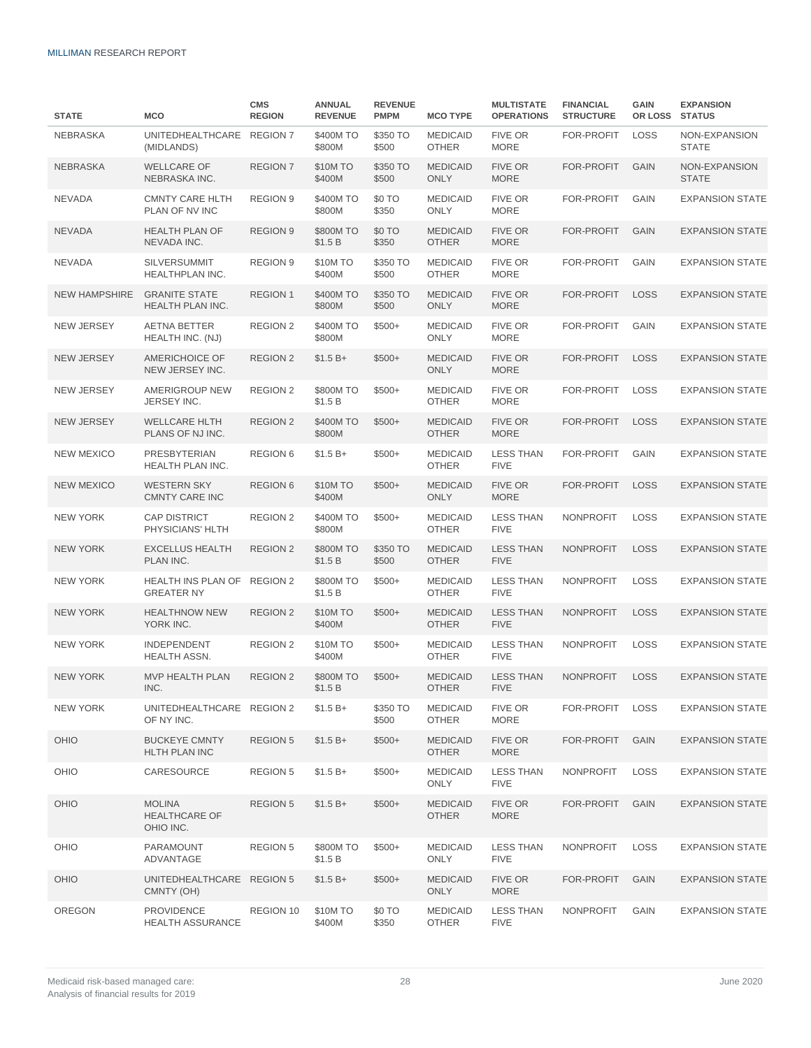| <b>STATE</b>         | <b>MCO</b>                                         | <b>CMS</b><br><b>REGION</b> | ANNUAL<br><b>REVENUE</b> | <b>REVENUE</b><br><b>PMPM</b> | <b>MCO TYPE</b>                 | <b>MULTISTATE</b><br><b>OPERATIONS</b> | <b>FINANCIAL</b><br><b>STRUCTURE</b> | <b>GAIN</b><br>OR LOSS | <b>EXPANSION</b><br><b>STATUS</b> |
|----------------------|----------------------------------------------------|-----------------------------|--------------------------|-------------------------------|---------------------------------|----------------------------------------|--------------------------------------|------------------------|-----------------------------------|
| NEBRASKA             | UNITEDHEALTHCARE REGION 7<br>(MIDLANDS)            |                             | \$400M TO<br>\$800M      | \$350 TO<br>\$500             | <b>MEDICAID</b><br><b>OTHER</b> | <b>FIVE OR</b><br><b>MORE</b>          | FOR-PROFIT                           | <b>LOSS</b>            | NON-EXPANSION<br><b>STATE</b>     |
| NEBRASKA             | <b>WELLCARE OF</b><br>NEBRASKA INC.                | <b>REGION 7</b>             | \$10M TO<br>\$400M       | \$350 TO<br>\$500             | <b>MEDICAID</b><br><b>ONLY</b>  | <b>FIVE OR</b><br><b>MORE</b>          | FOR-PROFIT                           | <b>GAIN</b>            | NON-EXPANSION<br><b>STATE</b>     |
| <b>NEVADA</b>        | <b>CMNTY CARE HLTH</b><br>PLAN OF NV INC           | <b>REGION 9</b>             | \$400M TO<br>\$800M      | \$0 TO<br>\$350               | <b>MEDICAID</b><br><b>ONLY</b>  | <b>FIVE OR</b><br><b>MORE</b>          | FOR-PROFIT                           | <b>GAIN</b>            | <b>EXPANSION STATE</b>            |
| <b>NEVADA</b>        | <b>HEALTH PLAN OF</b><br>NEVADA INC.               | <b>REGION 9</b>             | \$800M TO<br>\$1.5 B     | \$0 TO<br>\$350               | <b>MEDICAID</b><br><b>OTHER</b> | <b>FIVE OR</b><br><b>MORE</b>          | FOR-PROFIT                           | <b>GAIN</b>            | <b>EXPANSION STATE</b>            |
| <b>NEVADA</b>        | <b>SILVERSUMMIT</b><br>HEALTHPLAN INC.             | <b>REGION 9</b>             | \$10M TO<br>\$400M       | \$350 TO<br>\$500             | <b>MEDICAID</b><br><b>OTHER</b> | <b>FIVE OR</b><br><b>MORE</b>          | FOR-PROFIT                           | <b>GAIN</b>            | <b>EXPANSION STATE</b>            |
| <b>NEW HAMPSHIRE</b> | <b>GRANITE STATE</b><br>HEALTH PLAN INC.           | <b>REGION 1</b>             | \$400M TO<br>\$800M      | \$350 TO<br>\$500             | <b>MEDICAID</b><br><b>ONLY</b>  | <b>FIVE OR</b><br><b>MORE</b>          | FOR-PROFIT                           | <b>LOSS</b>            | <b>EXPANSION STATE</b>            |
| <b>NEW JERSEY</b>    | <b>AETNA BETTER</b><br>HEALTH INC. (NJ)            | <b>REGION 2</b>             | \$400M TO<br>\$800M      | $$500+$                       | <b>MEDICAID</b><br><b>ONLY</b>  | <b>FIVE OR</b><br><b>MORE</b>          | FOR-PROFIT                           | <b>GAIN</b>            | <b>EXPANSION STATE</b>            |
| <b>NEW JERSEY</b>    | AMERICHOICE OF<br>NEW JERSEY INC.                  | <b>REGION 2</b>             | $$1.5 B+$                | $$500+$                       | <b>MEDICAID</b><br><b>ONLY</b>  | <b>FIVE OR</b><br><b>MORE</b>          | FOR-PROFIT                           | <b>LOSS</b>            | <b>EXPANSION STATE</b>            |
| <b>NEW JERSEY</b>    | <b>AMERIGROUP NEW</b><br>JERSEY INC.               | <b>REGION 2</b>             | \$800M TO<br>\$1.5 B     | $$500+$                       | <b>MEDICAID</b><br><b>OTHER</b> | <b>FIVE OR</b><br><b>MORE</b>          | FOR-PROFIT                           | <b>LOSS</b>            | <b>EXPANSION STATE</b>            |
| <b>NEW JERSEY</b>    | <b>WELLCARE HLTH</b><br>PLANS OF NJ INC.           | <b>REGION 2</b>             | \$400M TO<br>\$800M      | $$500+$                       | <b>MEDICAID</b><br><b>OTHER</b> | FIVE OR<br><b>MORE</b>                 | FOR-PROFIT                           | <b>LOSS</b>            | <b>EXPANSION STATE</b>            |
| <b>NEW MEXICO</b>    | PRESBYTERIAN<br>HEALTH PLAN INC.                   | <b>REGION 6</b>             | $$1.5 B+$                | $$500+$                       | <b>MEDICAID</b><br><b>OTHER</b> | <b>LESS THAN</b><br><b>FIVE</b>        | FOR-PROFIT                           | <b>GAIN</b>            | <b>EXPANSION STATE</b>            |
| <b>NEW MEXICO</b>    | <b>WESTERN SKY</b><br><b>CMNTY CARE INC</b>        | <b>REGION 6</b>             | \$10M TO<br>\$400M       | $$500+$                       | <b>MEDICAID</b><br><b>ONLY</b>  | FIVE OR<br><b>MORE</b>                 | FOR-PROFIT                           | <b>LOSS</b>            | <b>EXPANSION STATE</b>            |
| <b>NEW YORK</b>      | <b>CAP DISTRICT</b><br>PHYSICIANS' HLTH            | <b>REGION 2</b>             | \$400M TO<br>\$800M      | $$500+$                       | <b>MEDICAID</b><br><b>OTHER</b> | <b>LESS THAN</b><br><b>FIVE</b>        | <b>NONPROFIT</b>                     | <b>LOSS</b>            | <b>EXPANSION STATE</b>            |
| <b>NEW YORK</b>      | <b>EXCELLUS HEALTH</b><br>PLAN INC.                | <b>REGION 2</b>             | \$800M TO<br>\$1.5 B     | \$350 TO<br>\$500             | <b>MEDICAID</b><br><b>OTHER</b> | <b>LESS THAN</b><br><b>FIVE</b>        | <b>NONPROFIT</b>                     | <b>LOSS</b>            | <b>EXPANSION STATE</b>            |
| <b>NEW YORK</b>      | HEALTH INS PLAN OF<br><b>GREATER NY</b>            | <b>REGION 2</b>             | \$800M TO<br>\$1.5 B     | $$500+$                       | <b>MEDICAID</b><br><b>OTHER</b> | <b>LESS THAN</b><br><b>FIVE</b>        | <b>NONPROFIT</b>                     | <b>LOSS</b>            | <b>EXPANSION STATE</b>            |
| <b>NEW YORK</b>      | <b>HEALTHNOW NEW</b><br>YORK INC.                  | <b>REGION 2</b>             | \$10M TO<br>\$400M       | $$500+$                       | <b>MEDICAID</b><br><b>OTHER</b> | <b>LESS THAN</b><br><b>FIVE</b>        | <b>NONPROFIT</b>                     | <b>LOSS</b>            | <b>EXPANSION STATE</b>            |
| <b>NEW YORK</b>      | <b>INDEPENDENT</b><br>HEALTH ASSN.                 | <b>REGION 2</b>             | \$10M TO<br>\$400M       | $$500+$                       | <b>MEDICAID</b><br><b>OTHER</b> | <b>LESS THAN</b><br><b>FIVE</b>        | <b>NONPROFIT</b>                     | <b>LOSS</b>            | <b>EXPANSION STATE</b>            |
| <b>NEW YORK</b>      | <b>MVP HEALTH PLAN</b><br>INC.                     | <b>REGION 2</b>             | \$800M TO<br>\$1.5 B     | $$500+$                       | <b>MEDICAID</b><br><b>OTHER</b> | <b>LESS THAN</b><br><b>FIVE</b>        | <b>NONPROFIT</b>                     | <b>LOSS</b>            | <b>EXPANSION STATE</b>            |
| <b>NEW YORK</b>      | UNITEDHEALTHCARE REGION 2<br>OF NY INC.            |                             | $$1.5 B+$                | \$350 TO<br>\$500             | <b>MEDICAID</b><br><b>OTHER</b> | <b>FIVE OR</b><br><b>MORE</b>          | FOR-PROFIT                           | LOSS                   | <b>EXPANSION STATE</b>            |
| OHIO                 | <b>BUCKEYE CMNTY</b><br>HLTH PLAN INC              | <b>REGION 5</b>             | $$1.5 B+$                | $$500+$                       | <b>MEDICAID</b><br><b>OTHER</b> | FIVE OR<br><b>MORE</b>                 | FOR-PROFIT                           | <b>GAIN</b>            | <b>EXPANSION STATE</b>            |
| OHIO                 | CARESOURCE                                         | <b>REGION 5</b>             | $$1.5 B+$                | $$500+$                       | <b>MEDICAID</b><br><b>ONLY</b>  | <b>LESS THAN</b><br><b>FIVE</b>        | NONPROFIT                            | LOSS                   | <b>EXPANSION STATE</b>            |
| OHIO                 | <b>MOLINA</b><br><b>HEALTHCARE OF</b><br>OHIO INC. | <b>REGION 5</b>             | $$1.5 B+$                | $$500+$                       | <b>MEDICAID</b><br><b>OTHER</b> | FIVE OR<br><b>MORE</b>                 | FOR-PROFIT                           | <b>GAIN</b>            | <b>EXPANSION STATE</b>            |
| OHIO                 | PARAMOUNT<br>ADVANTAGE                             | <b>REGION 5</b>             | \$800M TO<br>\$1.5 B     | $$500+$                       | <b>MEDICAID</b><br><b>ONLY</b>  | <b>LESS THAN</b><br><b>FIVE</b>        | NONPROFIT                            | <b>LOSS</b>            | <b>EXPANSION STATE</b>            |
| OHIO                 | UNITEDHEALTHCARE REGION 5<br>CMNTY (OH)            |                             | $$1.5 B+$                | $$500+$                       | <b>MEDICAID</b><br><b>ONLY</b>  | FIVE OR<br><b>MORE</b>                 | FOR-PROFIT                           | <b>GAIN</b>            | <b>EXPANSION STATE</b>            |
| OREGON               | <b>PROVIDENCE</b><br><b>HEALTH ASSURANCE</b>       | REGION 10                   | \$10M TO<br>\$400M       | \$0 TO<br>\$350               | <b>MEDICAID</b><br><b>OTHER</b> | <b>LESS THAN</b><br><b>FIVE</b>        | NONPROFIT                            | GAIN                   | <b>EXPANSION STATE</b>            |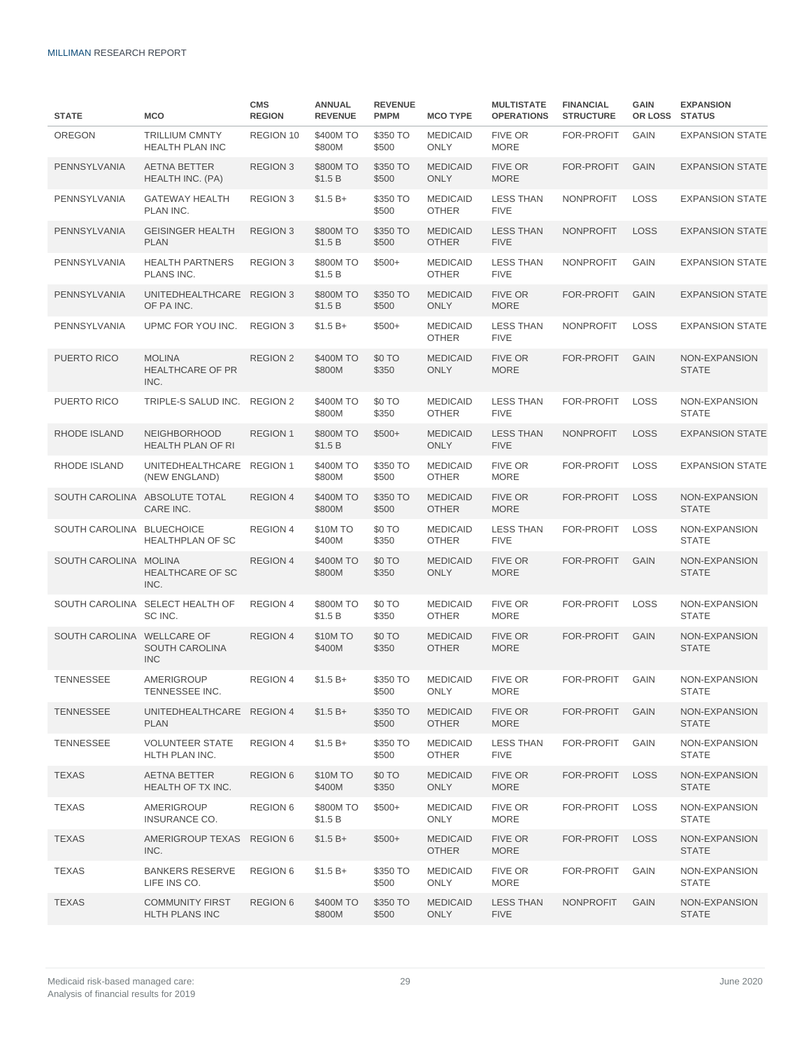| <b>STATE</b>               | <b>MCO</b>                                       | <b>CMS</b><br><b>REGION</b> | ANNUAL<br><b>REVENUE</b> | <b>REVENUE</b><br><b>PMPM</b> | <b>MCO TYPE</b>                 | <b>MULTISTATE</b><br><b>OPERATIONS</b> | <b>FINANCIAL</b><br><b>STRUCTURE</b> | <b>GAIN</b><br>OR LOSS | <b>EXPANSION</b><br><b>STATUS</b> |
|----------------------------|--------------------------------------------------|-----------------------------|--------------------------|-------------------------------|---------------------------------|----------------------------------------|--------------------------------------|------------------------|-----------------------------------|
| <b>OREGON</b>              | <b>TRILLIUM CMNTY</b><br><b>HEALTH PLAN INC</b>  | REGION 10                   | \$400M TO<br>\$800M      | \$350 TO<br>\$500             | <b>MEDICAID</b><br><b>ONLY</b>  | <b>FIVE OR</b><br><b>MORE</b>          | <b>FOR-PROFIT</b>                    | <b>GAIN</b>            | <b>EXPANSION STATE</b>            |
| PENNSYLVANIA               | <b>AETNA BETTER</b><br>HEALTH INC. (PA)          | <b>REGION 3</b>             | \$800M TO<br>\$1.5 B     | \$350 TO<br>\$500             | <b>MEDICAID</b><br><b>ONLY</b>  | <b>FIVE OR</b><br><b>MORE</b>          | <b>FOR-PROFIT</b>                    | <b>GAIN</b>            | <b>EXPANSION STATE</b>            |
| PENNSYLVANIA               | <b>GATEWAY HEALTH</b><br>PLAN INC.               | <b>REGION 3</b>             | $$1.5 B+$                | \$350 TO<br>\$500             | <b>MEDICAID</b><br><b>OTHER</b> | <b>LESS THAN</b><br><b>FIVE</b>        | <b>NONPROFIT</b>                     | <b>LOSS</b>            | <b>EXPANSION STATE</b>            |
| PENNSYLVANIA               | <b>GEISINGER HEALTH</b><br><b>PLAN</b>           | <b>REGION 3</b>             | \$800M TO<br>\$1.5 B     | \$350 TO<br>\$500             | <b>MEDICAID</b><br><b>OTHER</b> | <b>LESS THAN</b><br><b>FIVE</b>        | <b>NONPROFIT</b>                     | <b>LOSS</b>            | <b>EXPANSION STATE</b>            |
| PENNSYLVANIA               | <b>HEALTH PARTNERS</b><br>PLANS INC.             | <b>REGION 3</b>             | \$800M TO<br>\$1.5 B     | $$500+$                       | <b>MEDICAID</b><br><b>OTHER</b> | <b>LESS THAN</b><br><b>FIVE</b>        | <b>NONPROFIT</b>                     | <b>GAIN</b>            | <b>EXPANSION STATE</b>            |
| PENNSYLVANIA               | UNITEDHEALTHCARE REGION 3<br>OF PA INC.          |                             | \$800M TO<br>\$1.5 B     | \$350 TO<br>\$500             | <b>MEDICAID</b><br><b>ONLY</b>  | <b>FIVE OR</b><br><b>MORE</b>          | <b>FOR-PROFIT</b>                    | <b>GAIN</b>            | <b>EXPANSION STATE</b>            |
| PENNSYLVANIA               | UPMC FOR YOU INC.                                | <b>REGION 3</b>             | $$1.5 B+$                | $$500+$                       | <b>MEDICAID</b><br><b>OTHER</b> | <b>LESS THAN</b><br><b>FIVE</b>        | <b>NONPROFIT</b>                     | <b>LOSS</b>            | <b>EXPANSION STATE</b>            |
| PUERTO RICO                | <b>MOLINA</b><br><b>HEALTHCARE OF PR</b><br>INC. | <b>REGION 2</b>             | \$400M TO<br>\$800M      | \$0 TO<br>\$350               | <b>MEDICAID</b><br><b>ONLY</b>  | <b>FIVE OR</b><br><b>MORE</b>          | <b>FOR-PROFIT</b>                    | <b>GAIN</b>            | NON-EXPANSION<br><b>STATE</b>     |
| PUERTO RICO                | TRIPLE-S SALUD INC. REGION 2                     |                             | \$400M TO<br>\$800M      | \$0 TO<br>\$350               | <b>MEDICAID</b><br><b>OTHER</b> | <b>LESS THAN</b><br><b>FIVE</b>        | FOR-PROFIT                           | <b>LOSS</b>            | NON-EXPANSION<br><b>STATE</b>     |
| RHODE ISLAND               | <b>NEIGHBORHOOD</b><br><b>HEALTH PLAN OF RI</b>  | <b>REGION 1</b>             | \$800M TO<br>\$1.5 B     | $$500+$                       | <b>MEDICAID</b><br><b>ONLY</b>  | <b>LESS THAN</b><br><b>FIVE</b>        | <b>NONPROFIT</b>                     | <b>LOSS</b>            | <b>EXPANSION STATE</b>            |
| RHODE ISLAND               | UNITEDHEALTHCARE REGION 1<br>(NEW ENGLAND)       |                             | \$400M TO<br>\$800M      | \$350 TO<br>\$500             | <b>MEDICAID</b><br><b>OTHER</b> | <b>FIVE OR</b><br><b>MORE</b>          | FOR-PROFIT                           | <b>LOSS</b>            | <b>EXPANSION STATE</b>            |
|                            | SOUTH CAROLINA ABSOLUTE TOTAL<br>CARE INC.       | <b>REGION 4</b>             | \$400M TO<br>\$800M      | \$350 TO<br>\$500             | <b>MEDICAID</b><br><b>OTHER</b> | <b>FIVE OR</b><br><b>MORE</b>          | FOR-PROFIT                           | <b>LOSS</b>            | NON-EXPANSION<br><b>STATE</b>     |
| SOUTH CAROLINA BLUECHOICE  | <b>HEALTHPLAN OF SC</b>                          | <b>REGION 4</b>             | \$10M TO<br>\$400M       | \$0 TO<br>\$350               | <b>MEDICAID</b><br><b>OTHER</b> | <b>LESS THAN</b><br><b>FIVE</b>        | FOR-PROFIT                           | <b>LOSS</b>            | NON-EXPANSION<br><b>STATE</b>     |
| SOUTH CAROLINA MOLINA      | <b>HEALTHCARE OF SC</b><br>INC.                  | <b>REGION 4</b>             | \$400M TO<br>\$800M      | \$0 TO<br>\$350               | <b>MEDICAID</b><br><b>ONLY</b>  | FIVE OR<br><b>MORE</b>                 | <b>FOR-PROFIT</b>                    | <b>GAIN</b>            | NON-EXPANSION<br><b>STATE</b>     |
|                            | SOUTH CAROLINA SELECT HEALTH OF<br>SC INC.       | <b>REGION 4</b>             | \$800M TO<br>\$1.5 B     | \$0 TO<br>\$350               | <b>MEDICAID</b><br><b>OTHER</b> | <b>FIVE OR</b><br><b>MORE</b>          | FOR-PROFIT                           | LOSS                   | NON-EXPANSION<br><b>STATE</b>     |
| SOUTH CAROLINA WELLCARE OF | SOUTH CAROLINA<br><b>INC</b>                     | <b>REGION 4</b>             | \$10M TO<br>\$400M       | \$0 TO<br>\$350               | <b>MEDICAID</b><br><b>OTHER</b> | <b>FIVE OR</b><br><b>MORE</b>          | <b>FOR-PROFIT</b>                    | <b>GAIN</b>            | NON-EXPANSION<br><b>STATE</b>     |
| <b>TENNESSEE</b>           | AMERIGROUP<br>TENNESSEE INC.                     | <b>REGION 4</b>             | $$1.5 B+$                | \$350 TO<br>\$500             | <b>MEDICAID</b><br><b>ONLY</b>  | <b>FIVE OR</b><br><b>MORE</b>          | FOR-PROFIT                           | <b>GAIN</b>            | NON-EXPANSION<br><b>STATE</b>     |
| <b>TENNESSEE</b>           | UNITEDHEALTHCARE REGION 4<br><b>PLAN</b>         |                             | $$1.5 B+$                | \$350 TO<br>\$500             | <b>MEDICAID</b><br><b>OTHER</b> | FIVE OR<br><b>MORE</b>                 | FOR-PROFIT                           | <b>GAIN</b>            | NON-EXPANSION<br><b>STATE</b>     |
| <b>TENNESSEE</b>           | <b>VOLUNTEER STATE</b><br>HLTH PLAN INC.         | <b>REGION 4</b>             | $$1.5 B+$                | \$350 TO<br>\$500             | <b>MEDICAID</b><br><b>OTHER</b> | <b>LESS THAN</b><br><b>FIVE</b>        | FOR-PROFIT                           | <b>GAIN</b>            | NON-EXPANSION<br><b>STATE</b>     |
| <b>TEXAS</b>               | <b>AETNA BETTER</b><br>HEALTH OF TX INC.         | <b>REGION 6</b>             | \$10M TO<br>\$400M       | \$0 TO<br>\$350               | <b>MEDICAID</b><br><b>ONLY</b>  | FIVE OR<br><b>MORE</b>                 | FOR-PROFIT                           | <b>LOSS</b>            | NON-EXPANSION<br><b>STATE</b>     |
| <b>TEXAS</b>               | AMERIGROUP<br>INSURANCE CO.                      | <b>REGION 6</b>             | \$800M TO<br>\$1.5 B     | $$500+$                       | <b>MEDICAID</b><br><b>ONLY</b>  | <b>FIVE OR</b><br><b>MORE</b>          | FOR-PROFIT                           | LOSS                   | NON-EXPANSION<br><b>STATE</b>     |
| <b>TEXAS</b>               | AMERIGROUP TEXAS REGION 6<br>INC.                |                             | $$1.5 B+$                | $$500+$                       | <b>MEDICAID</b><br><b>OTHER</b> | <b>FIVE OR</b><br><b>MORE</b>          | FOR-PROFIT                           | <b>LOSS</b>            | NON-EXPANSION<br><b>STATE</b>     |
| <b>TEXAS</b>               | <b>BANKERS RESERVE</b><br>LIFE INS CO.           | <b>REGION 6</b>             | $$1.5 B+$                | \$350 TO<br>\$500             | <b>MEDICAID</b><br><b>ONLY</b>  | <b>FIVE OR</b><br><b>MORE</b>          | FOR-PROFIT                           | <b>GAIN</b>            | NON-EXPANSION<br><b>STATE</b>     |
| <b>TEXAS</b>               | <b>COMMUNITY FIRST</b><br><b>HLTH PLANS INC</b>  | <b>REGION 6</b>             | \$400M TO<br>\$800M      | \$350 TO<br>\$500             | <b>MEDICAID</b><br><b>ONLY</b>  | <b>LESS THAN</b><br><b>FIVE</b>        | <b>NONPROFIT</b>                     | <b>GAIN</b>            | NON-EXPANSION<br><b>STATE</b>     |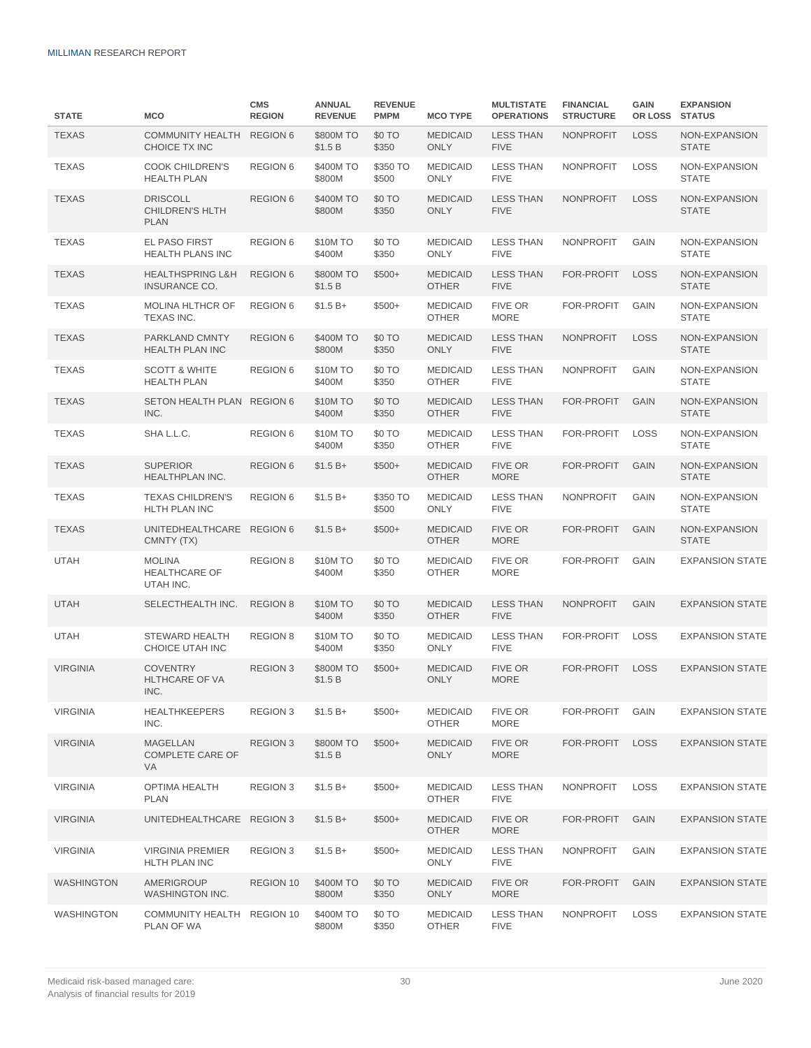| <b>STATE</b>    | <b>MCO</b>                                               | <b>CMS</b><br><b>REGION</b> | <b>ANNUAL</b><br><b>REVENUE</b> | <b>REVENUE</b><br><b>PMPM</b> | <b>MCO TYPE</b>                 | <b>MULTISTATE</b><br><b>OPERATIONS</b> | <b>FINANCIAL</b><br><b>STRUCTURE</b> | <b>GAIN</b><br>OR LOSS | <b>EXPANSION</b><br><b>STATUS</b> |
|-----------------|----------------------------------------------------------|-----------------------------|---------------------------------|-------------------------------|---------------------------------|----------------------------------------|--------------------------------------|------------------------|-----------------------------------|
| <b>TEXAS</b>    | COMMUNITY HEALTH REGION 6<br>CHOICE TX INC               |                             | \$800M TO<br>\$1.5 B            | \$0 TO<br>\$350               | <b>MEDICAID</b><br><b>ONLY</b>  | <b>LESS THAN</b><br><b>FIVE</b>        | <b>NONPROFIT</b>                     | <b>LOSS</b>            | NON-EXPANSION<br><b>STATE</b>     |
| <b>TEXAS</b>    | <b>COOK CHILDREN'S</b><br><b>HEALTH PLAN</b>             | <b>REGION 6</b>             | \$400M TO<br>\$800M             | \$350 TO<br>\$500             | <b>MEDICAID</b><br><b>ONLY</b>  | <b>LESS THAN</b><br><b>FIVE</b>        | <b>NONPROFIT</b>                     | <b>LOSS</b>            | NON-EXPANSION<br><b>STATE</b>     |
| <b>TEXAS</b>    | <b>DRISCOLL</b><br><b>CHILDREN'S HLTH</b><br><b>PLAN</b> | <b>REGION 6</b>             | \$400M TO<br>\$800M             | \$0 TO<br>\$350               | <b>MEDICAID</b><br><b>ONLY</b>  | <b>LESS THAN</b><br><b>FIVE</b>        | <b>NONPROFIT</b>                     | <b>LOSS</b>            | NON-EXPANSION<br><b>STATE</b>     |
| <b>TEXAS</b>    | <b>EL PASO FIRST</b><br><b>HEALTH PLANS INC</b>          | <b>REGION 6</b>             | \$10M TO<br>\$400M              | \$0 TO<br>\$350               | <b>MEDICAID</b><br><b>ONLY</b>  | <b>LESS THAN</b><br><b>FIVE</b>        | <b>NONPROFIT</b>                     | <b>GAIN</b>            | NON-EXPANSION<br><b>STATE</b>     |
| <b>TEXAS</b>    | <b>HEALTHSPRING L&amp;H</b><br>INSURANCE CO.             | <b>REGION 6</b>             | \$800M TO<br>\$1.5 B            | $$500+$                       | <b>MEDICAID</b><br><b>OTHER</b> | <b>LESS THAN</b><br><b>FIVE</b>        | <b>FOR-PROFIT</b>                    | <b>LOSS</b>            | NON-EXPANSION<br><b>STATE</b>     |
| <b>TEXAS</b>    | MOLINA HLTHCR OF<br>TEXAS INC.                           | <b>REGION 6</b>             | $$1.5 B+$                       | $$500+$                       | <b>MEDICAID</b><br><b>OTHER</b> | <b>FIVE OR</b><br><b>MORE</b>          | FOR-PROFIT                           | <b>GAIN</b>            | NON-EXPANSION<br><b>STATE</b>     |
| <b>TEXAS</b>    | PARKLAND CMNTY<br><b>HEALTH PLAN INC</b>                 | <b>REGION 6</b>             | \$400M TO<br>\$800M             | \$0 TO<br>\$350               | <b>MEDICAID</b><br><b>ONLY</b>  | <b>LESS THAN</b><br><b>FIVE</b>        | <b>NONPROFIT</b>                     | <b>LOSS</b>            | NON-EXPANSION<br><b>STATE</b>     |
| <b>TEXAS</b>    | <b>SCOTT &amp; WHITE</b><br><b>HEALTH PLAN</b>           | <b>REGION 6</b>             | \$10M TO<br>\$400M              | \$0 TO<br>\$350               | <b>MEDICAID</b><br><b>OTHER</b> | <b>LESS THAN</b><br><b>FIVE</b>        | <b>NONPROFIT</b>                     | <b>GAIN</b>            | NON-EXPANSION<br><b>STATE</b>     |
| <b>TEXAS</b>    | SETON HEALTH PLAN REGION 6<br>INC.                       |                             | \$10M TO<br>\$400M              | \$0 TO<br>\$350               | <b>MEDICAID</b><br><b>OTHER</b> | <b>LESS THAN</b><br><b>FIVE</b>        | FOR-PROFIT                           | <b>GAIN</b>            | NON-EXPANSION<br><b>STATE</b>     |
| <b>TEXAS</b>    | SHA L.L.C.                                               | <b>REGION 6</b>             | \$10M TO<br>\$400M              | \$0 TO<br>\$350               | <b>MEDICAID</b><br><b>OTHER</b> | <b>LESS THAN</b><br><b>FIVE</b>        | FOR-PROFIT                           | <b>LOSS</b>            | NON-EXPANSION<br><b>STATE</b>     |
| <b>TEXAS</b>    | <b>SUPERIOR</b><br>HEALTHPLAN INC.                       | <b>REGION 6</b>             | $$1.5 B+$                       | $$500+$                       | <b>MEDICAID</b><br><b>OTHER</b> | <b>FIVE OR</b><br><b>MORE</b>          | FOR-PROFIT                           | <b>GAIN</b>            | NON-EXPANSION<br><b>STATE</b>     |
| <b>TEXAS</b>    | <b>TEXAS CHILDREN'S</b><br>HLTH PLAN INC                 | <b>REGION 6</b>             | $$1.5 B+$                       | \$350 TO<br>\$500             | <b>MEDICAID</b><br><b>ONLY</b>  | <b>LESS THAN</b><br><b>FIVE</b>        | <b>NONPROFIT</b>                     | <b>GAIN</b>            | NON-EXPANSION<br><b>STATE</b>     |
| <b>TEXAS</b>    | UNITEDHEALTHCARE REGION 6<br>CMNTY (TX)                  |                             | $$1.5 B+$                       | $$500+$                       | <b>MEDICAID</b><br><b>OTHER</b> | <b>FIVE OR</b><br><b>MORE</b>          | FOR-PROFIT                           | <b>GAIN</b>            | NON-EXPANSION<br><b>STATE</b>     |
| <b>UTAH</b>     | <b>MOLINA</b><br><b>HEALTHCARE OF</b><br>UTAH INC.       | <b>REGION 8</b>             | \$10M TO<br>\$400M              | \$0 TO<br>\$350               | <b>MEDICAID</b><br><b>OTHER</b> | <b>FIVE OR</b><br><b>MORE</b>          | FOR-PROFIT                           | <b>GAIN</b>            | <b>EXPANSION STATE</b>            |
| <b>UTAH</b>     | SELECTHEALTH INC.                                        | <b>REGION 8</b>             | \$10M TO<br>\$400M              | \$0 TO<br>\$350               | <b>MEDICAID</b><br><b>OTHER</b> | <b>LESS THAN</b><br><b>FIVE</b>        | <b>NONPROFIT</b>                     | <b>GAIN</b>            | <b>EXPANSION STATE</b>            |
| <b>UTAH</b>     | <b>STEWARD HEALTH</b><br>CHOICE UTAH INC                 | <b>REGION 8</b>             | \$10M TO<br>\$400M              | \$0 TO<br>\$350               | <b>MEDICAID</b><br><b>ONLY</b>  | <b>LESS THAN</b><br><b>FIVE</b>        | FOR-PROFIT                           | <b>LOSS</b>            | <b>EXPANSION STATE</b>            |
| <b>VIRGINIA</b> | <b>COVENTRY</b><br><b>HLTHCARE OF VA</b><br>INC.         | <b>REGION 3</b>             | \$800M TO<br>\$1.5 B            | $$500+$                       | <b>MEDICAID</b><br><b>ONLY</b>  | <b>FIVE OR</b><br><b>MORE</b>          | <b>FOR-PROFIT</b>                    | <b>LOSS</b>            | <b>EXPANSION STATE</b>            |
| <b>VIRGINIA</b> | <b>HEALTHKEEPERS</b><br>INC.                             | <b>REGION 3</b>             | $$1.5 B+$                       | $$500+$                       | <b>MEDICAID</b><br><b>OTHER</b> | FIVE OR<br><b>MORE</b>                 | FOR-PROFIT                           | GAIN                   | <b>EXPANSION STATE</b>            |
| <b>VIRGINIA</b> | <b>MAGELLAN</b><br><b>COMPLETE CARE OF</b><br>VA         | <b>REGION 3</b>             | \$800M TO<br>\$1.5 B            | $$500+$                       | <b>MEDICAID</b><br><b>ONLY</b>  | <b>FIVE OR</b><br><b>MORE</b>          | FOR-PROFIT                           | <b>LOSS</b>            | <b>EXPANSION STATE</b>            |
| <b>VIRGINIA</b> | OPTIMA HEALTH<br><b>PLAN</b>                             | <b>REGION 3</b>             | $$1.5 B+$                       | $$500+$                       | <b>MEDICAID</b><br><b>OTHER</b> | <b>LESS THAN</b><br><b>FIVE</b>        | <b>NONPROFIT</b>                     | <b>LOSS</b>            | <b>EXPANSION STATE</b>            |
| <b>VIRGINIA</b> | UNITEDHEALTHCARE REGION 3                                |                             | $$1.5 B+$                       | $$500+$                       | <b>MEDICAID</b><br><b>OTHER</b> | FIVE OR<br><b>MORE</b>                 | FOR-PROFIT                           | <b>GAIN</b>            | <b>EXPANSION STATE</b>            |
| <b>VIRGINIA</b> | <b>VIRGINIA PREMIER</b><br>HLTH PLAN INC                 | <b>REGION 3</b>             | $$1.5 B+$                       | $$500+$                       | <b>MEDICAID</b><br><b>ONLY</b>  | <b>LESS THAN</b><br><b>FIVE</b>        | <b>NONPROFIT</b>                     | <b>GAIN</b>            | <b>EXPANSION STATE</b>            |
| WASHINGTON      | AMERIGROUP<br>WASHINGTON INC.                            | REGION 10                   | \$400M TO<br>\$800M             | \$0 TO<br>\$350               | <b>MEDICAID</b><br><b>ONLY</b>  | FIVE OR<br><b>MORE</b>                 | FOR-PROFIT                           | <b>GAIN</b>            | <b>EXPANSION STATE</b>            |
| WASHINGTON      | COMMUNITY HEALTH REGION 10<br>PLAN OF WA                 |                             | \$400M TO<br>\$800M             | \$0 TO<br>\$350               | <b>MEDICAID</b><br><b>OTHER</b> | <b>LESS THAN</b><br><b>FIVE</b>        | <b>NONPROFIT</b>                     | <b>LOSS</b>            | <b>EXPANSION STATE</b>            |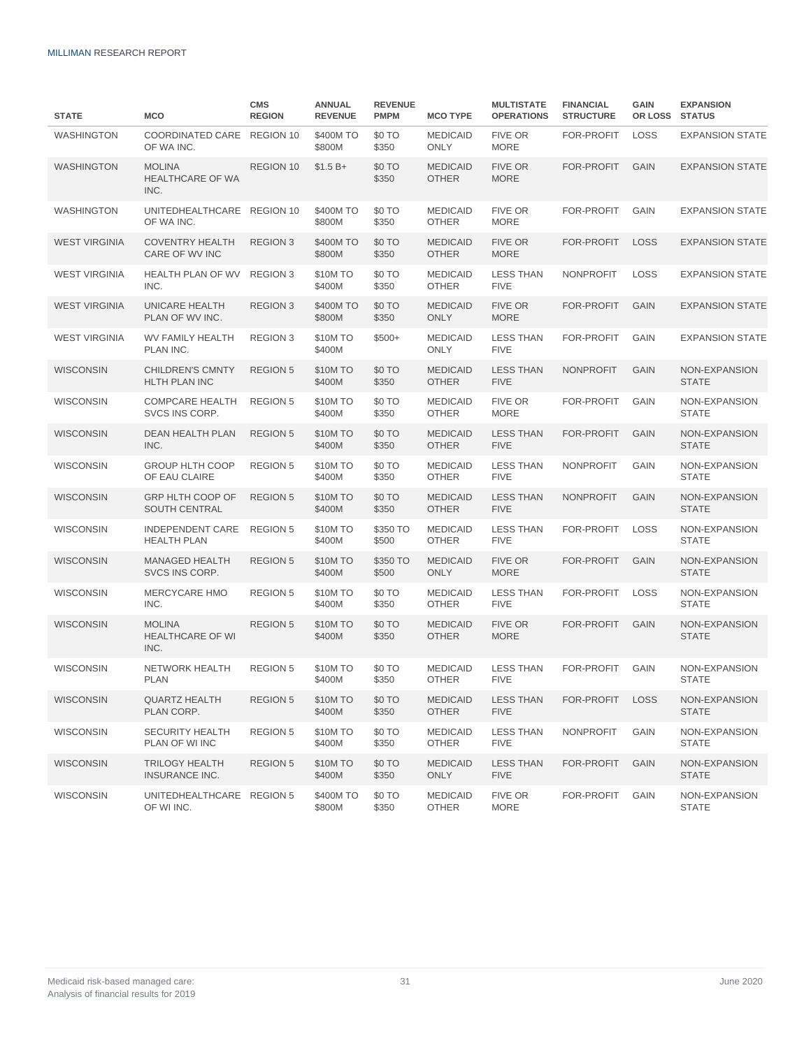| <b>STATE</b>         | <b>MCO</b>                                       | <b>CMS</b><br><b>REGION</b> | <b>ANNUAL</b><br><b>REVENUE</b> | <b>REVENUE</b><br><b>PMPM</b> | <b>MCO TYPE</b>                 | <b>MULTISTATE</b><br><b>OPERATIONS</b> | <b>FINANCIAL</b><br><b>STRUCTURE</b> | <b>GAIN</b><br>OR LOSS | <b>EXPANSION</b><br><b>STATUS</b> |
|----------------------|--------------------------------------------------|-----------------------------|---------------------------------|-------------------------------|---------------------------------|----------------------------------------|--------------------------------------|------------------------|-----------------------------------|
| WASHINGTON           | COORDINATED CARE<br>OF WA INC.                   | REGION 10                   | \$400M TO<br>\$800M             | \$0 TO<br>\$350               | <b>MEDICAID</b><br><b>ONLY</b>  | <b>FIVE OR</b><br><b>MORE</b>          | <b>FOR-PROFIT</b>                    | <b>LOSS</b>            | <b>EXPANSION STATE</b>            |
| <b>WASHINGTON</b>    | <b>MOLINA</b><br><b>HEALTHCARE OF WA</b><br>INC. | <b>REGION 10</b>            | $$1.5 B+$                       | \$0 TO<br>\$350               | <b>MEDICAID</b><br><b>OTHER</b> | <b>FIVE OR</b><br><b>MORE</b>          | <b>FOR-PROFIT</b>                    | <b>GAIN</b>            | <b>EXPANSION STATE</b>            |
| WASHINGTON           | <b>UNITEDHEALTHCARE</b><br>OF WA INC.            | <b>REGION 10</b>            | \$400M TO<br>\$800M             | \$0 TO<br>\$350               | <b>MEDICAID</b><br><b>OTHER</b> | <b>FIVE OR</b><br><b>MORE</b>          | FOR-PROFIT                           | GAIN                   | <b>EXPANSION STATE</b>            |
| <b>WEST VIRGINIA</b> | <b>COVENTRY HEALTH</b><br>CARE OF WV INC         | <b>REGION 3</b>             | \$400M TO<br>\$800M             | \$0 TO<br>\$350               | <b>MEDICAID</b><br><b>OTHER</b> | <b>FIVE OR</b><br><b>MORE</b>          | <b>FOR-PROFIT</b>                    | <b>LOSS</b>            | <b>EXPANSION STATE</b>            |
| <b>WEST VIRGINIA</b> | <b>HEALTH PLAN OF WV</b><br>INC.                 | <b>REGION 3</b>             | \$10M TO<br>\$400M              | \$0 TO<br>\$350               | <b>MEDICAID</b><br><b>OTHER</b> | <b>LESS THAN</b><br><b>FIVE</b>        | <b>NONPROFIT</b>                     | <b>LOSS</b>            | <b>EXPANSION STATE</b>            |
| <b>WEST VIRGINIA</b> | UNICARE HEALTH<br>PLAN OF WV INC.                | <b>REGION 3</b>             | \$400M TO<br>\$800M             | \$0 TO<br>\$350               | <b>MEDICAID</b><br><b>ONLY</b>  | <b>FIVE OR</b><br><b>MORE</b>          | FOR-PROFIT                           | <b>GAIN</b>            | <b>EXPANSION STATE</b>            |
| <b>WEST VIRGINIA</b> | <b>WV FAMILY HEALTH</b><br>PLAN INC.             | <b>REGION 3</b>             | \$10M TO<br>\$400M              | $$500+$                       | <b>MEDICAID</b><br><b>ONLY</b>  | <b>LESS THAN</b><br><b>FIVE</b>        | FOR-PROFIT                           | GAIN                   | <b>EXPANSION STATE</b>            |
| <b>WISCONSIN</b>     | <b>CHILDREN'S CMNTY</b><br>HLTH PLAN INC         | <b>REGION 5</b>             | \$10M TO<br>\$400M              | \$0 TO<br>\$350               | <b>MEDICAID</b><br><b>OTHER</b> | <b>LESS THAN</b><br><b>FIVE</b>        | <b>NONPROFIT</b>                     | <b>GAIN</b>            | NON-EXPANSION<br><b>STATE</b>     |
| <b>WISCONSIN</b>     | <b>COMPCARE HEALTH</b><br>SVCS INS CORP.         | <b>REGION 5</b>             | \$10M TO<br>\$400M              | \$0 TO<br>\$350               | <b>MEDICAID</b><br><b>OTHER</b> | FIVE OR<br><b>MORE</b>                 | FOR-PROFIT                           | <b>GAIN</b>            | NON-EXPANSION<br><b>STATE</b>     |
| <b>WISCONSIN</b>     | <b>DEAN HEALTH PLAN</b><br>INC.                  | <b>REGION 5</b>             | \$10M TO<br>\$400M              | \$0 TO<br>\$350               | <b>MEDICAID</b><br><b>OTHER</b> | <b>LESS THAN</b><br><b>FIVE</b>        | <b>FOR-PROFIT</b>                    | <b>GAIN</b>            | NON-EXPANSION<br><b>STATE</b>     |
| <b>WISCONSIN</b>     | <b>GROUP HLTH COOP</b><br>OF EAU CLAIRE          | <b>REGION 5</b>             | \$10M TO<br>\$400M              | \$0 TO<br>\$350               | <b>MEDICAID</b><br><b>OTHER</b> | <b>LESS THAN</b><br><b>FIVE</b>        | <b>NONPROFIT</b>                     | <b>GAIN</b>            | NON-EXPANSION<br><b>STATE</b>     |
| <b>WISCONSIN</b>     | <b>GRP HLTH COOP OF</b><br><b>SOUTH CENTRAL</b>  | <b>REGION 5</b>             | \$10M TO<br>\$400M              | \$0 TO<br>\$350               | <b>MEDICAID</b><br><b>OTHER</b> | <b>LESS THAN</b><br><b>FIVE</b>        | <b>NONPROFIT</b>                     | <b>GAIN</b>            | NON-EXPANSION<br><b>STATE</b>     |
| <b>WISCONSIN</b>     | <b>INDEPENDENT CARE</b><br><b>HEALTH PLAN</b>    | <b>REGION 5</b>             | \$10M TO<br>\$400M              | \$350 TO<br>\$500             | <b>MEDICAID</b><br><b>OTHER</b> | <b>LESS THAN</b><br><b>FIVE</b>        | FOR-PROFIT                           | <b>LOSS</b>            | NON-EXPANSION<br><b>STATE</b>     |
| <b>WISCONSIN</b>     | <b>MANAGED HEALTH</b><br>SVCS INS CORP.          | <b>REGION 5</b>             | \$10M TO<br>\$400M              | \$350 TO<br>\$500             | <b>MEDICAID</b><br><b>ONLY</b>  | <b>FIVE OR</b><br><b>MORE</b>          | <b>FOR-PROFIT</b>                    | <b>GAIN</b>            | NON-EXPANSION<br><b>STATE</b>     |
| <b>WISCONSIN</b>     | MERCYCARE HMO<br>INC.                            | <b>REGION 5</b>             | \$10M TO<br>\$400M              | \$0 TO<br>\$350               | <b>MEDICAID</b><br><b>OTHER</b> | <b>LESS THAN</b><br><b>FIVE</b>        | FOR-PROFIT                           | <b>LOSS</b>            | NON-EXPANSION<br><b>STATE</b>     |
| <b>WISCONSIN</b>     | <b>MOLINA</b><br><b>HEALTHCARE OF WI</b><br>INC. | <b>REGION 5</b>             | \$10M TO<br>\$400M              | \$0 TO<br>\$350               | <b>MEDICAID</b><br><b>OTHER</b> | <b>FIVE OR</b><br><b>MORE</b>          | <b>FOR-PROFIT</b>                    | <b>GAIN</b>            | NON-EXPANSION<br><b>STATE</b>     |
| <b>WISCONSIN</b>     | NETWORK HEALTH<br><b>PLAN</b>                    | <b>REGION 5</b>             | \$10M TO<br>\$400M              | \$0 TO<br>\$350               | <b>MEDICAID</b><br><b>OTHER</b> | <b>LESS THAN</b><br><b>FIVE</b>        | FOR-PROFIT                           | <b>GAIN</b>            | NON-EXPANSION<br><b>STATE</b>     |
| <b>WISCONSIN</b>     | <b>QUARTZ HEALTH</b><br>PLAN CORP.               | <b>REGION 5</b>             | \$10M TO<br>\$400M              | \$0 TO<br>\$350               | <b>MEDICAID</b><br><b>OTHER</b> | <b>LESS THAN</b><br><b>FIVE</b>        | FOR-PROFIT                           | <b>LOSS</b>            | NON-EXPANSION<br><b>STATE</b>     |
| <b>WISCONSIN</b>     | SECURITY HEALTH<br>PLAN OF WI INC                | REGION 5                    | \$10M TO<br>\$400M              | \$0 TO<br>\$350               | <b>MEDICAID</b><br><b>OTHER</b> | <b>LESS THAN</b><br><b>FIVE</b>        | NONPROFIT                            | GAIN                   | NON-EXPANSION<br><b>STATE</b>     |
| <b>WISCONSIN</b>     | <b>TRILOGY HEALTH</b><br>INSURANCE INC.          | <b>REGION 5</b>             | \$10M TO<br>\$400M              | \$0 TO<br>\$350               | <b>MEDICAID</b><br>ONLY         | <b>LESS THAN</b><br><b>FIVE</b>        | FOR-PROFIT                           | <b>GAIN</b>            | NON-EXPANSION<br><b>STATE</b>     |
| WISCONSIN            | UNITEDHEALTHCARE REGION 5<br>OF WI INC.          |                             | \$400M TO<br>\$800M             | \$0 TO<br>\$350               | <b>MEDICAID</b><br><b>OTHER</b> | FIVE OR<br><b>MORE</b>                 | FOR-PROFIT                           | GAIN                   | NON-EXPANSION<br><b>STATE</b>     |